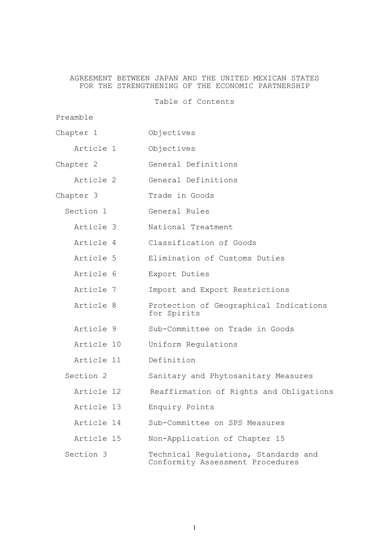AGREEMENT BETWEEN JAPAN AND THE UNITED MEXICAN STATES FOR THE STRENGTHENING OF THE ECONOMIC PARTNERSHIP

Table of Contents

# Preamble

| Chapter 1  | Objectives                                                               |
|------------|--------------------------------------------------------------------------|
| Article 1  | Objectives                                                               |
| Chapter 2  | General Definitions                                                      |
| Article 2  | General Definitions                                                      |
| Chapter 3  | Trade in Goods                                                           |
| Section 1  | General Rules                                                            |
| Article 3  | National Treatment                                                       |
| Article 4  | Classification of Goods                                                  |
| Article 5  | Elimination of Customs Duties                                            |
| Article 6  | Export Duties                                                            |
| Article 7  | Import and Export Restrictions                                           |
| Article 8  | Protection of Geographical Indications<br>for Spirits                    |
| Article 9  | Sub-Committee on Trade in Goods                                          |
| Article 10 | Uniform Regulations                                                      |
| Article 11 | Definition                                                               |
| Section 2  | Sanitary and Phytosanitary Measures                                      |
| Article 12 | Reaffirmation of Rights and Obligations                                  |
| Article 13 | Enquiry Points                                                           |
| Article 14 | Sub-Committee on SPS Measures                                            |
| Article 15 | Non-Application of Chapter 15                                            |
| Section 3  | Technical Regulations, Standards and<br>Conformity Assessment Procedures |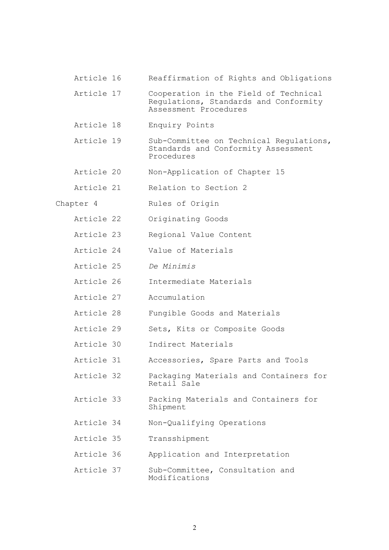- Article 16 Reaffirmation of Rights and Obligations
- Article 17 Cooperation in the Field of Technical Regulations, Standards and Conformity Assessment Procedures
- Article 18 Enquiry Points
- Article 19 Sub-Committee on Technical Regulations, Standards and Conformity Assessment Procedures
- Article 20 Non-Application of Chapter 15
- Article 21 Relation to Section 2
- Chapter 4 Rules of Origin
	- Article 22 Originating Goods
	- Article 23 Regional Value Content
	- Article 24 Value of Materials
	- Article 25 *De Minimis*
	- Article 26 Intermediate Materials
	- Article 27 Accumulation
	- Article 28 Fungible Goods and Materials
	- Article 29 Sets, Kits or Composite Goods
	- Article 30 Indirect Materials
	- Article 31 Accessories, Spare Parts and Tools
	- Article 32 Packaging Materials and Containers for Retail Sale
	- Article 33 Packing Materials and Containers for Shipment
	- Article 34 Non-Qualifying Operations
	- Article 35 Transshipment
	- Article 36 Application and Interpretation
	- Article 37 Sub-Committee, Consultation and Modifications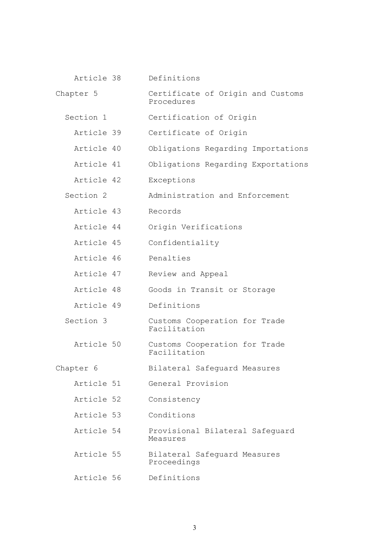| Article 38 | Definitions                                     |
|------------|-------------------------------------------------|
| Chapter 5  | Certificate of Origin and Customs<br>Procedures |
| Section 1  | Certification of Origin                         |
| Article 39 | Certificate of Origin                           |
| Article 40 | Obligations Regarding Importations              |
| Article 41 | Obligations Regarding Exportations              |
| Article 42 | Exceptions                                      |
| Section 2  | Administration and Enforcement                  |
| Article 43 | Records                                         |
| Article 44 | Origin Verifications                            |
| Article 45 | Confidentiality                                 |
| Article 46 | Penalties                                       |
| Article 47 | Review and Appeal                               |
| Article 48 | Goods in Transit or Storage                     |
| Article 49 | Definitions                                     |
| Section 3  | Customs Cooperation for Trade<br>Facilitation   |
| Article 50 | Customs Cooperation for Trade<br>Facilitation   |
| Chapter 6  | Bilateral Safequard Measures                    |
| Article 51 | General Provision                               |
| Article 52 | Consistency                                     |
| Article 53 | Conditions                                      |
| Article 54 | Provisional Bilateral Safequard<br>Measures     |
| Article 55 | Bilateral Safeguard Measures<br>Proceedings     |
| Article 56 | Definitions                                     |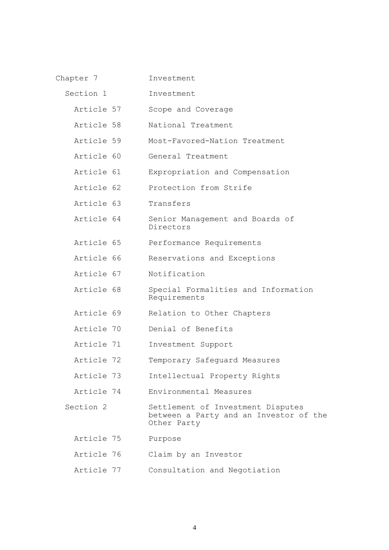| Chapter 7  | Investment                                                                                 |
|------------|--------------------------------------------------------------------------------------------|
| Section 1  | Investment                                                                                 |
| Article 57 | Scope and Coverage                                                                         |
| Article 58 | National Treatment                                                                         |
| Article 59 | Most-Favored-Nation Treatment                                                              |
| Article 60 | General Treatment                                                                          |
| Article 61 | Expropriation and Compensation                                                             |
| Article 62 | Protection from Strife                                                                     |
| Article 63 | Transfers                                                                                  |
| Article 64 | Senior Management and Boards of<br>Directors                                               |
| Article 65 | Performance Requirements                                                                   |
| Article 66 | Reservations and Exceptions                                                                |
| Article 67 | Notification                                                                               |
| Article 68 | Special Formalities and Information<br>Requirements                                        |
| Article 69 | Relation to Other Chapters                                                                 |
| Article 70 | Denial of Benefits                                                                         |
| Article 71 | Investment Support                                                                         |
| Article 72 | Temporary Safeguard Measures                                                               |
| Article 73 | Intellectual Property Rights                                                               |
| Article 74 | Environmental Measures                                                                     |
| Section 2  | Settlement of Investment Disputes<br>between a Party and an Investor of the<br>Other Party |
| Article 75 | Purpose                                                                                    |
| Article 76 | Claim by an Investor                                                                       |
| Article 77 | Consultation and Negotiation                                                               |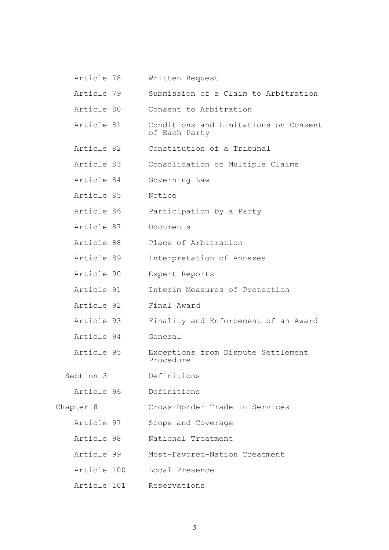- Article 78 Written Request
- Article 79 Submission of a Claim to Arbitration
- Article 80 Consent to Arbitration
- Article 81 Conditions and Limitations on Consent of Each Party
- Article 82 Constitution of a Tribunal
- Article 83 Consolidation of Multiple Claims
- Article 84 Governing Law
- Article 85 Notice
- Article 86 Participation by a Party
- Article 87 Documents
- Article 88 Place of Arbitration
- Article 89 Interpretation of Annexes
- Article 90 Expert Reports
- Article 91 Interim Measures of Protection
- Article 92 Final Award
- Article 93 Finality and Enforcement of an Award
- Article 94 General
- Article 95 Exceptions from Dispute Settlement Procedure
- Section 3 Definitions
- Article 96 Definitions
- Chapter 8 Cross-Border Trade in Services
	- Article 97 Scope and Coverage
	- Article 98 National Treatment
	- Article 99 Most-Favored-Nation Treatment
	- Article 100 Local Presence
	- Article 101 Reservations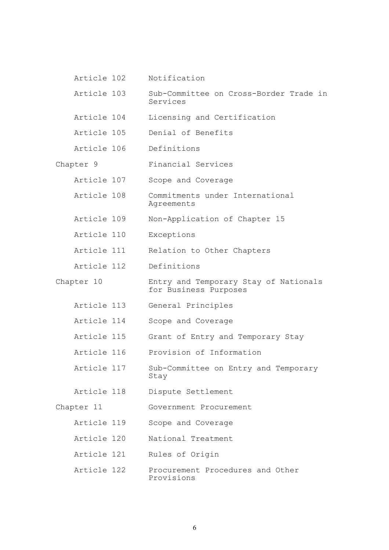| Article 102 | Notification                                                   |
|-------------|----------------------------------------------------------------|
| Article 103 | Sub-Committee on Cross-Border Trade in<br>Services             |
| Article 104 | Licensing and Certification                                    |
| Article 105 | Denial of Benefits                                             |
| Article 106 | Definitions                                                    |
| Chapter 9   | Financial Services                                             |
| Article 107 | Scope and Coverage                                             |
| Article 108 | Commitments under International<br>Agreements                  |
| Article 109 | Non-Application of Chapter 15                                  |
| Article 110 | Exceptions                                                     |
| Article 111 | Relation to Other Chapters                                     |
| Article 112 | Definitions                                                    |
| Chapter 10  | Entry and Temporary Stay of Nationals<br>for Business Purposes |
| Article 113 | General Principles                                             |
| Article 114 | Scope and Coverage                                             |
| Article 115 | Grant of Entry and Temporary Stay                              |
| Article 116 | Provision of Information                                       |
| Article 117 | Sub-Committee on Entry and Temporary<br>Stay                   |
| Article 118 | Dispute Settlement                                             |
| Chapter 11  | Government Procurement                                         |
| Article 119 | Scope and Coverage                                             |
| Article 120 | National Treatment                                             |
| Article 121 | Rules of Origin                                                |
| Article 122 | Procurement Procedures and Other<br>Provisions                 |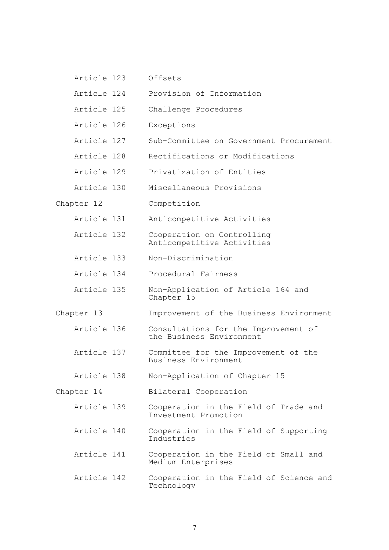| Article 123 | Offsets                                                          |
|-------------|------------------------------------------------------------------|
| Article 124 | Provision of Information                                         |
| Article 125 | Challenge Procedures                                             |
| Article 126 | Exceptions                                                       |
| Article 127 | Sub-Committee on Government Procurement                          |
| Article 128 | Rectifications or Modifications                                  |
| Article 129 | Privatization of Entities                                        |
| Article 130 | Miscellaneous Provisions                                         |
| Chapter 12  | Competition                                                      |
| Article 131 | Anticompetitive Activities                                       |
| Article 132 | Cooperation on Controlling<br>Anticompetitive Activities         |
| Article 133 | Non-Discrimination                                               |
| Article 134 | Procedural Fairness                                              |
| Article 135 | Non-Application of Article 164 and<br>Chapter 15                 |
| Chapter 13  | Improvement of the Business Environment                          |
| Article 136 | Consultations for the Improvement of<br>the Business Environment |
| Article 137 | Committee for the Improvement of the<br>Business Environment     |
| Article 138 | Non-Application of Chapter 15                                    |
| Chapter 14  | Bilateral Cooperation                                            |
| Article 139 | Cooperation in the Field of Trade and<br>Investment Promotion    |
| Article 140 | Cooperation in the Field of Supporting<br>Industries             |
| Article 141 | Cooperation in the Field of Small and<br>Medium Enterprises      |
| Article 142 | Cooperation in the Field of Science and<br>Technology            |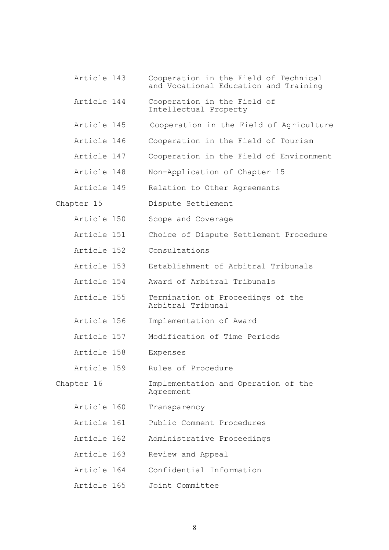Article 143 Cooperation in the Field of Technical and Vocational Education and Training Article 144 Cooperation in the Field of Intellectual Property Article 145 Cooperation in the Field of Agriculture Article 146 Cooperation in the Field of Tourism Article 147 Cooperation in the Field of Environment Article 148 Non-Application of Chapter 15 Article 149 Relation to Other Agreements Chapter 15 Dispute Settlement Article 150 Scope and Coverage Article 151 Choice of Dispute Settlement Procedure Article 152 Consultations Article 153 Establishment of Arbitral Tribunals Article 154 Award of Arbitral Tribunals Article 155 Termination of Proceedings of the Arbitral Tribunal Article 156 Implementation of Award Article 157 Modification of Time Periods Article 158 Expenses Article 159 Rules of Procedure Chapter 16 Implementation and Operation of the Agreement Article 160 Transparency Article 161 Public Comment Procedures Article 162 Administrative Proceedings Article 163 Review and Appeal Article 164 Confidential Information Article 165 Joint Committee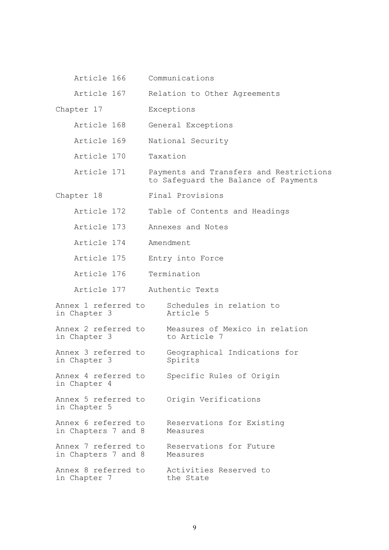| Article 166 Communications                 |                                                                                 |
|--------------------------------------------|---------------------------------------------------------------------------------|
| Article 167                                | Relation to Other Agreements                                                    |
| Chapter 17                                 | Exceptions                                                                      |
| Article 168                                | General Exceptions                                                              |
| Article 169                                | National Security                                                               |
| Article 170                                | Taxation                                                                        |
| Article 171                                | Payments and Transfers and Restrictions<br>to Safeguard the Balance of Payments |
| Chapter 18                                 | Final Provisions                                                                |
| Article 172                                | Table of Contents and Headings                                                  |
| Article 173                                | Annexes and Notes                                                               |
| Article 174                                | Amendment                                                                       |
| Article 175                                | Entry into Force                                                                |
| Article 176                                | Termination                                                                     |
| Article 177                                | Authentic Texts                                                                 |
| Annex 1 referred to<br>in Chapter 3        | Schedules in relation to<br>Article 5                                           |
| Annex 2 referred to<br>in Chapter 3        | Measures of Mexico in relation<br>to Article 7                                  |
| Annex 3 referred to<br>in Chapter 3        | Geographical Indications for<br>Spirits                                         |
| Annex 4 referred to<br>in Chapter 4        | Specific Rules of Origin                                                        |
| Annex 5 referred to<br>in Chapter 5        | Origin Verifications                                                            |
| Annex 6 referred to<br>in Chapters 7 and 8 | Reservations for Existing<br>Measures                                           |
| Annex 7 referred to<br>in Chapters 7 and 8 | Reservations for Future<br>Measures                                             |
| Annex 8 referred to<br>in Chapter 7        | Activities Reserved to<br>the State                                             |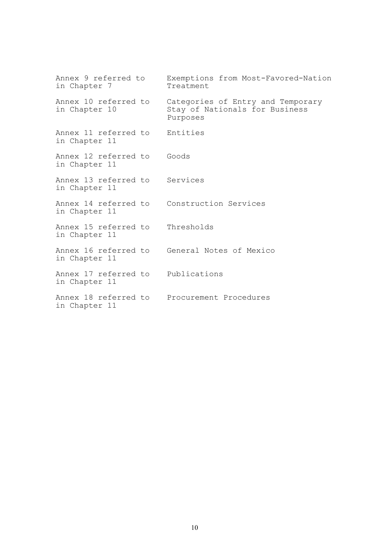| Annex 9 referred to<br>in Chapter 7   | Exemptions from Most-Favored-Nation<br>Treatment                                |
|---------------------------------------|---------------------------------------------------------------------------------|
| Annex 10 referred to<br>in Chapter 10 | Categories of Entry and Temporary<br>Stay of Nationals for Business<br>Purposes |
| Annex 11 referred to<br>in Chapter 11 | Entities                                                                        |
| Annex 12 referred to<br>in Chapter 11 | Goods                                                                           |
| Annex 13 referred to<br>in Chapter 11 | Services                                                                        |
| Annex 14 referred to<br>in Chapter 11 | Construction Services                                                           |
| Annex 15 referred to<br>in Chapter 11 | Thresholds                                                                      |
| Annex 16 referred to<br>in Chapter 11 | General Notes of Mexico                                                         |
| Annex 17 referred to<br>in Chapter 11 | Publications                                                                    |
| Annex 18 referred to<br>in Chapter 11 | Procurement Procedures                                                          |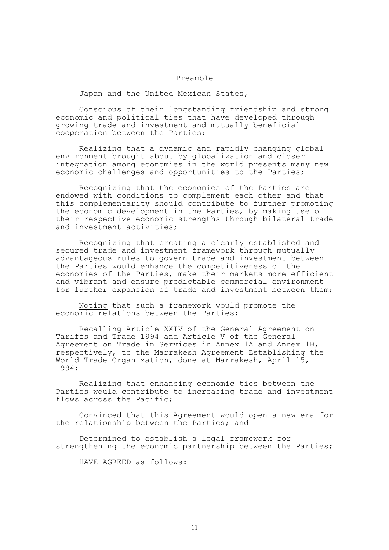### Preamble

Japan and the United Mexican States,

 Conscious of their longstanding friendship and strong economic and political ties that have developed through growing trade and investment and mutually beneficial cooperation between the Parties;

 Realizing that a dynamic and rapidly changing global environment brought about by globalization and closer integration among economies in the world presents many new economic challenges and opportunities to the Parties;

 Recognizing that the economies of the Parties are endowed with conditions to complement each other and that this complementarity should contribute to further promoting the economic development in the Parties, by making use of their respective economic strengths through bilateral trade and investment activities;

 Recognizing that creating a clearly established and secured trade and investment framework through mutually advantageous rules to govern trade and investment between the Parties would enhance the competitiveness of the economies of the Parties, make their markets more efficient and vibrant and ensure predictable commercial environment for further expansion of trade and investment between them;

 Noting that such a framework would promote the economic relations between the Parties;

 Recalling Article XXIV of the General Agreement on Tariffs and Trade 1994 and Article V of the General Agreement on Trade in Services in Annex 1A and Annex 1B, respectively, to the Marrakesh Agreement Establishing the World Trade Organization, done at Marrakesh, April 15, 1994;

 Realizing that enhancing economic ties between the Parties would contribute to increasing trade and investment flows across the Pacific;

 Convinced that this Agreement would open a new era for the relationship between the Parties; and

 Determined to establish a legal framework for strengthening the economic partnership between the Parties;

HAVE AGREED as follows: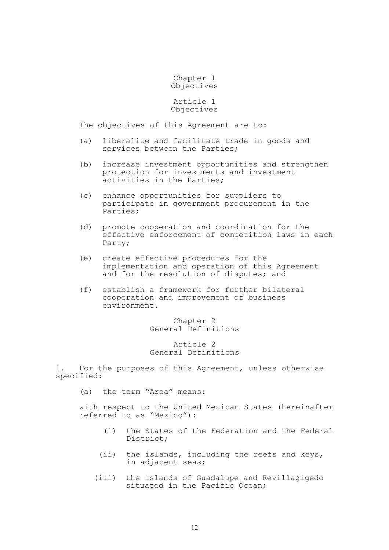### Chapter 1 Objectives

## Article 1 Objectives

The objectives of this Agreement are to:

- (a) liberalize and facilitate trade in goods and services between the Parties:
- (b) increase investment opportunities and strengthen protection for investments and investment activities in the Parties;
- (c) enhance opportunities for suppliers to participate in government procurement in the Parties;
- (d) promote cooperation and coordination for the effective enforcement of competition laws in each Party;
- (e) create effective procedures for the implementation and operation of this Agreement and for the resolution of disputes; and
- (f) establish a framework for further bilateral cooperation and improvement of business environment.

Chapter 2 General Definitions

Article 2 General Definitions

1. For the purposes of this Agreement, unless otherwise specified:

(a) the term "Area" means:

 with respect to the United Mexican States (hereinafter referred to as "Mexico"):

- (i) the States of the Federation and the Federal District;
- (ii) the islands, including the reefs and keys, in adjacent seas;
- (iii) the islands of Guadalupe and Revillagigedo situated in the Pacific Ocean;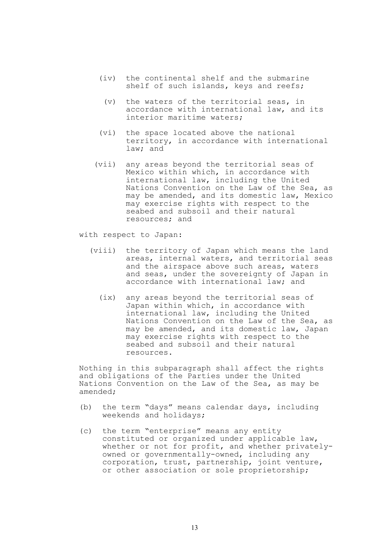- (iv) the continental shelf and the submarine shelf of such islands, keys and reefs;
	- (v) the waters of the territorial seas, in accordance with international law, and its interior maritime waters;
- (vi) the space located above the national territory, in accordance with international law; and
- (vii) any areas beyond the territorial seas of Mexico within which, in accordance with international law, including the United Nations Convention on the Law of the Sea, as may be amended, and its domestic law, Mexico may exercise rights with respect to the seabed and subsoil and their natural resources; and

with respect to Japan:

- (viii) the territory of Japan which means the land areas, internal waters, and territorial seas and the airspace above such areas, waters and seas, under the sovereignty of Japan in accordance with international law; and
	- (ix) any areas beyond the territorial seas of Japan within which, in accordance with international law, including the United Nations Convention on the Law of the Sea, as may be amended, and its domestic law, Japan may exercise rights with respect to the seabed and subsoil and their natural resources.

 Nothing in this subparagraph shall affect the rights and obligations of the Parties under the United Nations Convention on the Law of the Sea, as may be amended;

- (b) the term "days" means calendar days, including weekends and holidays;
- (c) the term "enterprise" means any entity constituted or organized under applicable law, whether or not for profit, and whether privatelyowned or governmentally-owned, including any corporation, trust, partnership, joint venture, or other association or sole proprietorship;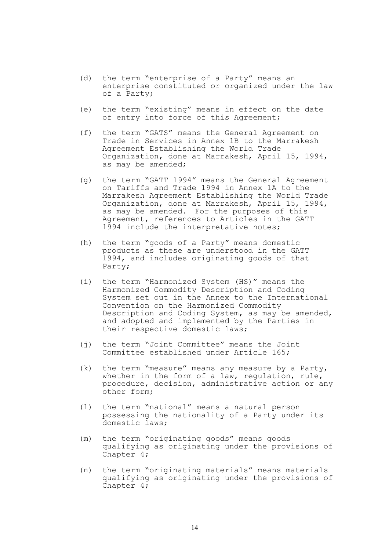- (d) the term "enterprise of a Party" means an enterprise constituted or organized under the law of a Party;
- (e) the term "existing" means in effect on the date of entry into force of this Agreement;
- (f) the term "GATS" means the General Agreement on Trade in Services in Annex 1B to the Marrakesh Agreement Establishing the World Trade Organization, done at Marrakesh, April 15, 1994, as may be amended;
- (g) the term "GATT 1994" means the General Agreement on Tariffs and Trade 1994 in Annex 1A to the Marrakesh Agreement Establishing the World Trade Organization, done at Marrakesh, April 15, 1994, as may be amended. For the purposes of this Agreement, references to Articles in the GATT 1994 include the interpretative notes;
- (h) the term "goods of a Party" means domestic products as these are understood in the GATT 1994, and includes originating goods of that Party;
- (i) the term "Harmonized System (HS)" means the Harmonized Commodity Description and Coding System set out in the Annex to the International Convention on the Harmonized Commodity Description and Coding System, as may be amended, and adopted and implemented by the Parties in their respective domestic laws;
- (j) the term "Joint Committee" means the Joint Committee established under Article 165;
- (k) the term "measure" means any measure by a Party, whether in the form of a law, regulation, rule, procedure, decision, administrative action or any other form;
- (l) the term "national" means a natural person possessing the nationality of a Party under its domestic laws;
- (m) the term "originating goods" means goods qualifying as originating under the provisions of Chapter 4;
- (n) the term "originating materials" means materials qualifying as originating under the provisions of Chapter 4;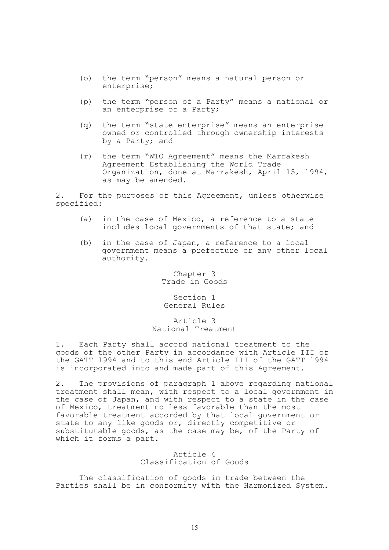- (o) the term "person" means a natural person or enterprise;
- (p) the term "person of a Party" means a national or an enterprise of a Party;
- (q) the term "state enterprise" means an enterprise owned or controlled through ownership interests by a Party; and
- (r) the term "WTO Agreement" means the Marrakesh Agreement Establishing the World Trade Organization, done at Marrakesh, April 15, 1994, as may be amended.

2. For the purposes of this Agreement, unless otherwise specified:

- (a) in the case of Mexico, a reference to a state includes local governments of that state; and
- (b) in the case of Japan, a reference to a local government means a prefecture or any other local authority.

Chapter 3 Trade in Goods

Section 1 General Rules

Article 3 National Treatment

1. Each Party shall accord national treatment to the goods of the other Party in accordance with Article III of the GATT 1994 and to this end Article III of the GATT 1994 is incorporated into and made part of this Agreement.

2. The provisions of paragraph 1 above regarding national treatment shall mean, with respect to a local government in the case of Japan, and with respect to a state in the case of Mexico, treatment no less favorable than the most favorable treatment accorded by that local government or state to any like goods or, directly competitive or substitutable goods, as the case may be, of the Party of which it forms a part.

> Article 4 Classification of Goods

 The classification of goods in trade between the Parties shall be in conformity with the Harmonized System.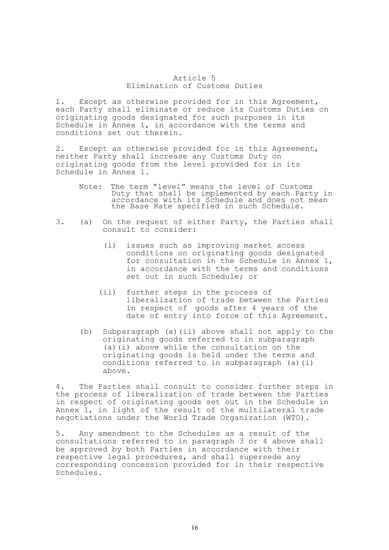## Article 5 Elimination of Customs Duties

1. Except as otherwise provided for in this Agreement, each Party shall eliminate or reduce its Customs Duties on originating goods designated for such purposes in its Schedule in Annex 1, in accordance with the terms and conditions set out therein.

2. Except as otherwise provided for in this Agreement, neither Party shall increase any Customs Duty on originating goods from the level provided for in its Schedule in Annex 1.

- Note: The term "level" means the level of Customs Duty that shall be implemented by each Party in accordance with its Schedule and does not mean the Base Rate specified in such Schedule.
- 3. (a) On the request of either Party, the Parties shall consult to consider:
	- (i) issues such as improving market access conditions on originating goods designated for consultation in the Schedule in Annex 1, in accordance with the terms and conditions set out in such Schedule; or
	- (ii) further steps in the process of liberalization of trade between the Parties in respect of goods after 4 years of the date of entry into force of this Agreement.
	- (b) Subparagraph (a)(ii) above shall not apply to the originating goods referred to in subparagraph (a)(i) above while the consultation on the originating goods is held under the terms and conditions referred to in subparagraph (a)(i) above.

4. The Parties shall consult to consider further steps in the process of liberalization of trade between the Parties in respect of originating goods set out in the Schedule in Annex 1, in light of the result of the multilateral trade negotiations under the World Trade Organization (WTO).

5. Any amendment to the Schedules as a result of the consultations referred to in paragraph 3 or 4 above shall be approved by both Parties in accordance with their respective legal procedures, and shall supersede any corresponding concession provided for in their respective Schedules.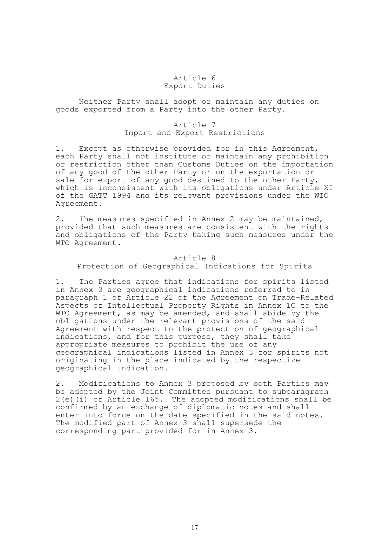#### Article 6 Export Duties

 Neither Party shall adopt or maintain any duties on goods exported from a Party into the other Party.

# Article 7 Import and Export Restrictions

1. Except as otherwise provided for in this Agreement, each Party shall not institute or maintain any prohibition or restriction other than Customs Duties on the importation of any good of the other Party or on the exportation or sale for export of any good destined to the other Party, which is inconsistent with its obligations under Article XI of the GATT 1994 and its relevant provisions under the WTO Agreement.

2. The measures specified in Annex 2 may be maintained, provided that such measures are consistent with the rights and obligations of the Party taking such measures under the WTO Agreement.

# Article 8 Protection of Geographical Indications for Spirits

1. The Parties agree that indications for spirits listed in Annex 3 are geographical indications referred to in paragraph 1 of Article 22 of the Agreement on Trade-Related Aspects of Intellectual Property Rights in Annex 1C to the WTO Agreement, as may be amended, and shall abide by the obligations under the relevant provisions of the said Agreement with respect to the protection of geographical indications, and for this purpose, they shall take appropriate measures to prohibit the use of any geographical indications listed in Annex 3 for spirits not originating in the place indicated by the respective geographical indication.

2. Modifications to Annex 3 proposed by both Parties may be adopted by the Joint Committee pursuant to subparagraph 2(e)(i) of Article 165. The adopted modifications shall be confirmed by an exchange of diplomatic notes and shall enter into force on the date specified in the said notes. The modified part of Annex 3 shall supersede the corresponding part provided for in Annex 3.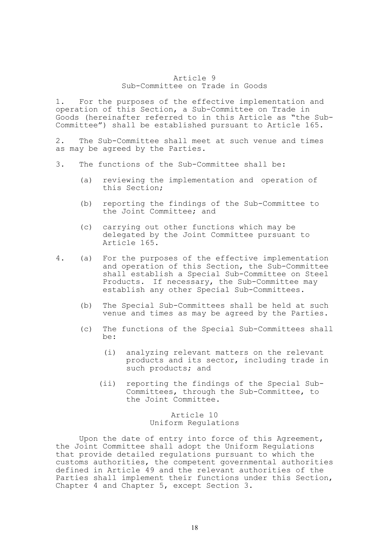## Article 9 Sub-Committee on Trade in Goods

1. For the purposes of the effective implementation and operation of this Section, a Sub-Committee on Trade in Goods (hereinafter referred to in this Article as "the Sub-Committee") shall be established pursuant to Article 165.

2. The Sub-Committee shall meet at such venue and times as may be agreed by the Parties.

- 3. The functions of the Sub-Committee shall be:
	- (a) reviewing the implementation and operation of this Section;
	- (b) reporting the findings of the Sub-Committee to the Joint Committee; and
	- (c) carrying out other functions which may be delegated by the Joint Committee pursuant to Article 165.
- 4. (a) For the purposes of the effective implementation and operation of this Section, the Sub-Committee shall establish a Special Sub-Committee on Steel Products. If necessary, the Sub-Committee may establish any other Special Sub-Committees.
	- (b) The Special Sub-Committees shall be held at such venue and times as may be agreed by the Parties.
	- (c) The functions of the Special Sub-Committees shall be:
		- (i) analyzing relevant matters on the relevant products and its sector, including trade in such products; and
		- (ii) reporting the findings of the Special Sub-Committees, through the Sub-Committee, to the Joint Committee.

## Article 10 Uniform Regulations

 Upon the date of entry into force of this Agreement, the Joint Committee shall adopt the Uniform Regulations that provide detailed regulations pursuant to which the customs authorities, the competent governmental authorities defined in Article 49 and the relevant authorities of the Parties shall implement their functions under this Section, Chapter 4 and Chapter 5, except Section 3.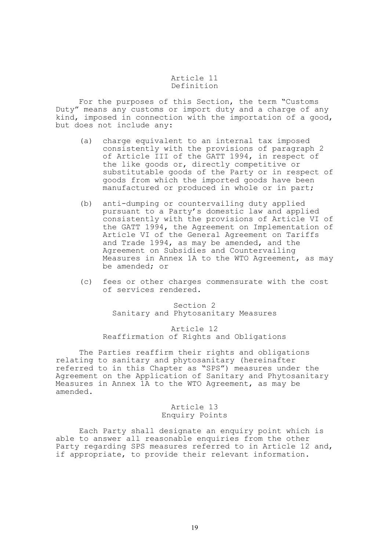### Article 11 Definition

 For the purposes of this Section, the term "Customs Duty" means any customs or import duty and a charge of any kind, imposed in connection with the importation of a good, but does not include any:

- (a) charge equivalent to an internal tax imposed consistently with the provisions of paragraph 2 of Article III of the GATT 1994, in respect of the like goods or, directly competitive or substitutable goods of the Party or in respect of goods from which the imported goods have been manufactured or produced in whole or in part;
- (b) anti-dumping or countervailing duty applied pursuant to a Party's domestic law and applied consistently with the provisions of Article VI of the GATT 1994, the Agreement on Implementation of Article VI of the General Agreement on Tariffs and Trade 1994, as may be amended, and the Agreement on Subsidies and Countervailing Measures in Annex 1A to the WTO Agreement, as may be amended; or
- (c) fees or other charges commensurate with the cost of services rendered.

Section 2 Sanitary and Phytosanitary Measures

Article 12 Reaffirmation of Rights and Obligations

 The Parties reaffirm their rights and obligations relating to sanitary and phytosanitary (hereinafter referred to in this Chapter as "SPS") measures under the Agreement on the Application of Sanitary and Phytosanitary Measures in Annex 1A to the WTO Agreement, as may be amended.

### Article 13 Enquiry Points

 Each Party shall designate an enquiry point which is able to answer all reasonable enquiries from the other Party regarding SPS measures referred to in Article 12 and, if appropriate, to provide their relevant information.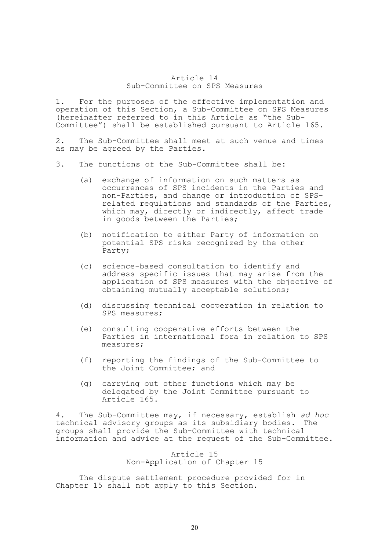## Article 14 Sub-Committee on SPS Measures

1. For the purposes of the effective implementation and operation of this Section, a Sub-Committee on SPS Measures (hereinafter referred to in this Article as "the Sub-Committee") shall be established pursuant to Article 165.

2. The Sub-Committee shall meet at such venue and times as may be agreed by the Parties.

- 3. The functions of the Sub-Committee shall be:
	- (a) exchange of information on such matters as occurrences of SPS incidents in the Parties and non-Parties, and change or introduction of SPSrelated regulations and standards of the Parties, which may, directly or indirectly, affect trade in goods between the Parties;
	- (b) notification to either Party of information on potential SPS risks recognized by the other Party;
	- (c) science-based consultation to identify and address specific issues that may arise from the application of SPS measures with the objective of obtaining mutually acceptable solutions;
	- (d) discussing technical cooperation in relation to SPS measures;
	- (e) consulting cooperative efforts between the Parties in international fora in relation to SPS measures;
	- (f) reporting the findings of the Sub-Committee to the Joint Committee; and
	- (g) carrying out other functions which may be delegated by the Joint Committee pursuant to Article 165.

4. The Sub-Committee may, if necessary, establish *ad hoc* technical advisory groups as its subsidiary bodies. The groups shall provide the Sub-Committee with technical information and advice at the request of the Sub-Committee.

> Article 15 Non-Application of Chapter 15

 The dispute settlement procedure provided for in Chapter 15 shall not apply to this Section.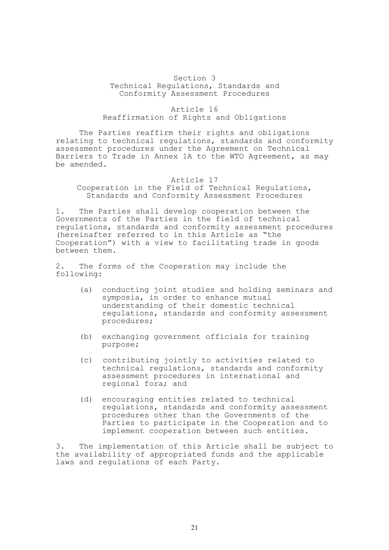# Section 3

Technical Regulations, Standards and Conformity Assessment Procedures

# Article 16 Reaffirmation of Rights and Obligations

 The Parties reaffirm their rights and obligations relating to technical regulations, standards and conformity assessment procedures under the Agreement on Technical Barriers to Trade in Annex 1A to the WTO Agreement, as may be amended.

#### Article 17

Cooperation in the Field of Technical Regulations, Standards and Conformity Assessment Procedures

1. The Parties shall develop cooperation between the Governments of the Parties in the field of technical regulations, standards and conformity assessment procedures (hereinafter referred to in this Article as "the Cooperation") with a view to facilitating trade in goods between them.

2. The forms of the Cooperation may include the following:

- (a) conducting joint studies and holding seminars and symposia, in order to enhance mutual understanding of their domestic technical regulations, standards and conformity assessment procedures;
- (b) exchanging government officials for training purpose;
- (c) contributing jointly to activities related to technical regulations, standards and conformity assessment procedures in international and regional fora; and
- (d) encouraging entities related to technical regulations, standards and conformity assessment procedures other than the Governments of the Parties to participate in the Cooperation and to implement cooperation between such entities.

3. The implementation of this Article shall be subject to the availability of appropriated funds and the applicable laws and regulations of each Party.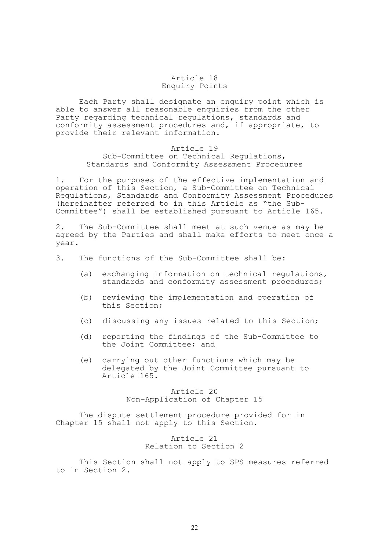### Article 18 Enquiry Points

 Each Party shall designate an enquiry point which is able to answer all reasonable enquiries from the other Party regarding technical regulations, standards and conformity assessment procedures and, if appropriate, to provide their relevant information.

#### Article 19

Sub-Committee on Technical Regulations, Standards and Conformity Assessment Procedures

1. For the purposes of the effective implementation and operation of this Section, a Sub-Committee on Technical Regulations, Standards and Conformity Assessment Procedures (hereinafter referred to in this Article as "the Sub-Committee") shall be established pursuant to Article 165.

2. The Sub-Committee shall meet at such venue as may be agreed by the Parties and shall make efforts to meet once a year.

- 3. The functions of the Sub-Committee shall be:
	- (a) exchanging information on technical regulations, standards and conformity assessment procedures;
	- (b) reviewing the implementation and operation of this Section;
	- (c) discussing any issues related to this Section;
	- (d) reporting the findings of the Sub-Committee to the Joint Committee; and
	- (e) carrying out other functions which may be delegated by the Joint Committee pursuant to Article 165.

# Article 20 Non-Application of Chapter 15

 The dispute settlement procedure provided for in Chapter 15 shall not apply to this Section.

## Article 21 Relation to Section 2

 This Section shall not apply to SPS measures referred to in Section 2.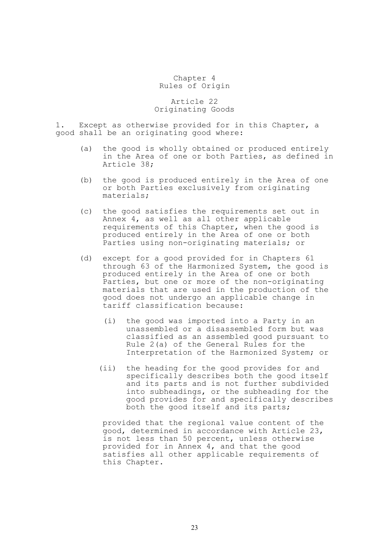## Chapter 4 Rules of Origin

## Article 22 Originating Goods

1. Except as otherwise provided for in this Chapter, a good shall be an originating good where:

- (a) the good is wholly obtained or produced entirely in the Area of one or both Parties, as defined in Article 38;
- (b) the good is produced entirely in the Area of one or both Parties exclusively from originating materials;
- (c) the good satisfies the requirements set out in Annex 4, as well as all other applicable requirements of this Chapter, when the good is produced entirely in the Area of one or both Parties using non-originating materials; or
- (d) except for a good provided for in Chapters 61 through 63 of the Harmonized System, the good is produced entirely in the Area of one or both Parties, but one or more of the non-originating materials that are used in the production of the good does not undergo an applicable change in tariff classification because:
	- (i) the good was imported into a Party in an unassembled or a disassembled form but was classified as an assembled good pursuant to Rule 2(a) of the General Rules for the Interpretation of the Harmonized System; or
	- (ii) the heading for the good provides for and specifically describes both the good itself and its parts and is not further subdivided into subheadings, or the subheading for the good provides for and specifically describes both the good itself and its parts;

 provided that the regional value content of the good, determined in accordance with Article 23, is not less than 50 percent, unless otherwise provided for in Annex 4, and that the good satisfies all other applicable requirements of this Chapter.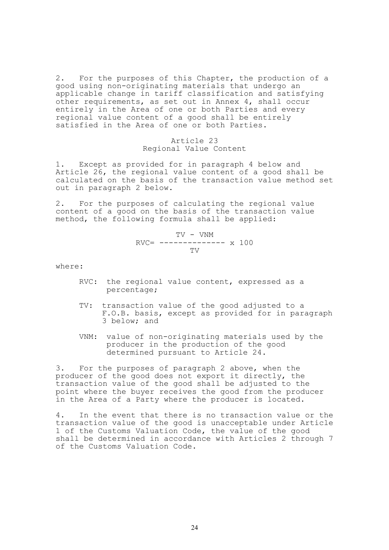2. For the purposes of this Chapter, the production of a good using non-originating materials that undergo an applicable change in tariff classification and satisfying other requirements, as set out in Annex 4, shall occur entirely in the Area of one or both Parties and every regional value content of a good shall be entirely satisfied in the Area of one or both Parties.

#### Article 23 Regional Value Content

1. Except as provided for in paragraph 4 below and Article 26, the regional value content of a good shall be calculated on the basis of the transaction value method set out in paragraph 2 below.

2. For the purposes of calculating the regional value content of a good on the basis of the transaction value method, the following formula shall be applied:

$$
T V - VNM
$$
  
RVC= ------------ - x 100  
TV

where:

- RVC: the regional value content, expressed as a percentage;
- TV: transaction value of the good adjusted to a F.O.B. basis, except as provided for in paragraph 3 below; and
- VNM: value of non-originating materials used by the producer in the production of the good determined pursuant to Article 24.

3. For the purposes of paragraph 2 above, when the producer of the good does not export it directly, the transaction value of the good shall be adjusted to the point where the buyer receives the good from the producer in the Area of a Party where the producer is located.

4. In the event that there is no transaction value or the transaction value of the good is unacceptable under Article 1 of the Customs Valuation Code, the value of the good shall be determined in accordance with Articles 2 through 7 of the Customs Valuation Code.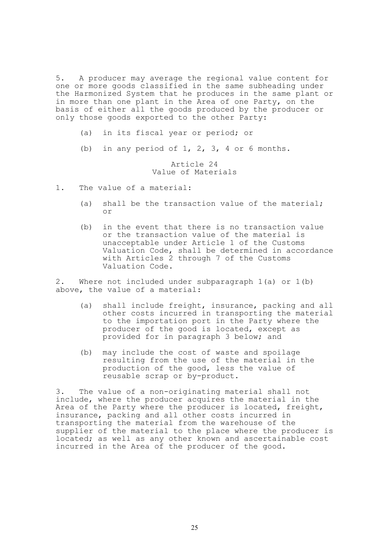5. A producer may average the regional value content for one or more goods classified in the same subheading under the Harmonized System that he produces in the same plant or in more than one plant in the Area of one Party, on the basis of either all the goods produced by the producer or only those goods exported to the other Party:

- (a) in its fiscal year or period; or
- (b) in any period of  $1, 2, 3, 4$  or 6 months.

Article 24 Value of Materials

- 1. The value of a material:
	- (a) shall be the transaction value of the material; or
	- (b) in the event that there is no transaction value or the transaction value of the material is unacceptable under Article 1 of the Customs Valuation Code, shall be determined in accordance with Articles 2 through 7 of the Customs Valuation Code.

2. Where not included under subparagraph 1(a) or 1(b) above, the value of a material:

- (a) shall include freight, insurance, packing and all other costs incurred in transporting the material to the importation port in the Party where the producer of the good is located, except as provided for in paragraph 3 below; and
- (b) may include the cost of waste and spoilage resulting from the use of the material in the production of the good, less the value of reusable scrap or by-product.

3. The value of a non-originating material shall not include, where the producer acquires the material in the Area of the Party where the producer is located, freight, insurance, packing and all other costs incurred in transporting the material from the warehouse of the supplier of the material to the place where the producer is located; as well as any other known and ascertainable cost incurred in the Area of the producer of the good.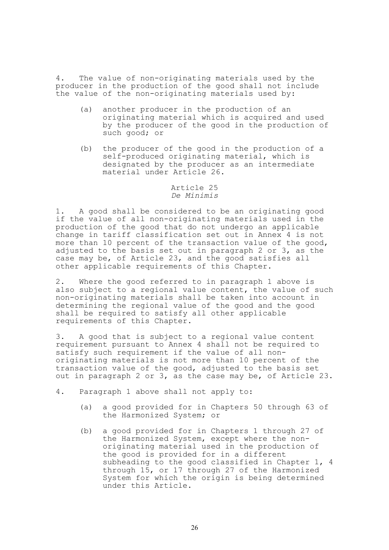4. The value of non-originating materials used by the producer in the production of the good shall not include the value of the non-originating materials used by:

- (a) another producer in the production of an originating material which is acquired and used by the producer of the good in the production of such good; or
- (b) the producer of the good in the production of a self-produced originating material, which is designated by the producer as an intermediate material under Article 26.

### Article 25 *De Minimis*

1. A good shall be considered to be an originating good if the value of all non-originating materials used in the production of the good that do not undergo an applicable change in tariff classification set out in Annex 4 is not more than 10 percent of the transaction value of the good, adjusted to the basis set out in paragraph 2 or 3, as the case may be, of Article 23, and the good satisfies all other applicable requirements of this Chapter.

2. Where the good referred to in paragraph 1 above is also subject to a regional value content, the value of such non-originating materials shall be taken into account in determining the regional value of the good and the good shall be required to satisfy all other applicable requirements of this Chapter.

3. A good that is subject to a regional value content requirement pursuant to Annex 4 shall not be required to satisfy such requirement if the value of all nonoriginating materials is not more than 10 percent of the transaction value of the good, adjusted to the basis set out in paragraph 2 or 3, as the case may be, of Article 23.

- 4. Paragraph 1 above shall not apply to:
	- (a) a good provided for in Chapters 50 through 63 of the Harmonized System; or
	- (b) a good provided for in Chapters 1 through 27 of the Harmonized System, except where the nonoriginating material used in the production of the good is provided for in a different subheading to the good classified in Chapter 1, 4 through 15, or 17 through 27 of the Harmonized System for which the origin is being determined under this Article.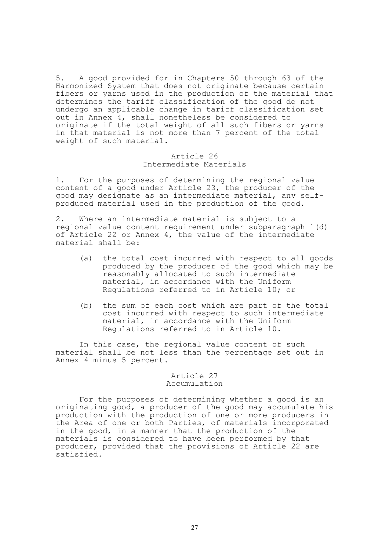5. A good provided for in Chapters 50 through 63 of the Harmonized System that does not originate because certain fibers or yarns used in the production of the material that determines the tariff classification of the good do not undergo an applicable change in tariff classification set out in Annex 4, shall nonetheless be considered to originate if the total weight of all such fibers or yarns in that material is not more than 7 percent of the total weight of such material.

## Article 26 Intermediate Materials

1. For the purposes of determining the regional value content of a good under Article 23, the producer of the good may designate as an intermediate material, any selfproduced material used in the production of the good.

2. Where an intermediate material is subject to a regional value content requirement under subparagraph 1(d) of Article 22 or Annex 4, the value of the intermediate material shall be:

- (a) the total cost incurred with respect to all goods produced by the producer of the good which may be reasonably allocated to such intermediate material, in accordance with the Uniform Regulations referred to in Article 10; or
- (b) the sum of each cost which are part of the total cost incurred with respect to such intermediate material, in accordance with the Uniform Regulations referred to in Article 10.

 In this case, the regional value content of such material shall be not less than the percentage set out in Annex 4 minus 5 percent.

#### Article 27 Accumulation

 For the purposes of determining whether a good is an originating good, a producer of the good may accumulate his production with the production of one or more producers in the Area of one or both Parties, of materials incorporated in the good, in a manner that the production of the materials is considered to have been performed by that producer, provided that the provisions of Article 22 are satisfied.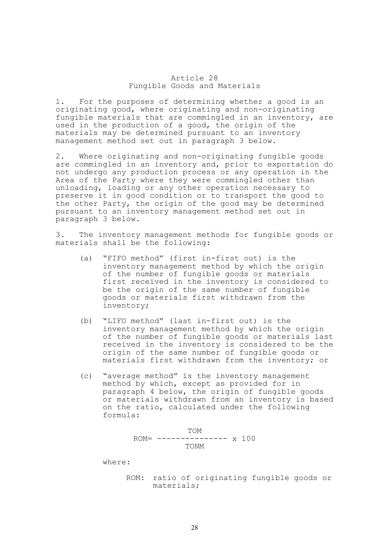### Article 28 Fungible Goods and Materials

1. For the purposes of determining whether a good is an originating good, where originating and non-originating fungible materials that are commingled in an inventory, are used in the production of a good, the origin of the materials may be determined pursuant to an inventory management method set out in paragraph 3 below.

2. Where originating and non-originating fungible goods are commingled in an inventory and, prior to exportation do not undergo any production process or any operation in the Area of the Party where they were commingled other than unloading, loading or any other operation necessary to preserve it in good condition or to transport the good to the other Party, the origin of the good may be determined pursuant to an inventory management method set out in paragraph 3 below.

3. The inventory management methods for fungible goods or materials shall be the following:

- (a) "FIFO method" (first in-first out) is the inventory management method by which the origin of the number of fungible goods or materials first received in the inventory is considered to be the origin of the same number of fungible goods or materials first withdrawn from the inventory;
- (b) "LIFO method" (last in-first out) is the inventory management method by which the origin of the number of fungible goods or materials last received in the inventory is considered to be the origin of the same number of fungible goods or materials first withdrawn from the inventory; or
- (c) "average method" is the inventory management method by which, except as provided for in paragraph 4 below, the origin of fungible goods or materials withdrawn from an inventory is based on the ratio, calculated under the following formula:

$$
\begin{array}{cc}\n\text{TOM} \\
\text{ROM} = \begin{array}{cc}\n & - \text{---} \text{---} \text{---} \text{---} \text{---} \text{X} \\
\text{TOMM}\n\end{array}\n\end{array}
$$

where:

 ROM: ratio of originating fungible goods or materials;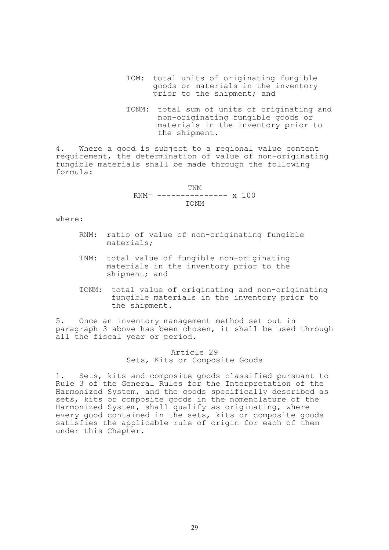- TOM: total units of originating fungible goods or materials in the inventory prior to the shipment; and
- TONM: total sum of units of originating and non-originating fungible goods or materials in the inventory prior to the shipment.

4. Where a good is subject to a regional value content requirement, the determination of value of non-originating fungible materials shall be made through the following formula:

> TNM RNM= --------------- x 100 TONM

where:

- RNM: ratio of value of non-originating fungible materials;
- TNM: total value of fungible non-originating materials in the inventory prior to the shipment; and
- TONM: total value of originating and non-originating fungible materials in the inventory prior to the shipment.

5. Once an inventory management method set out in paragraph 3 above has been chosen, it shall be used through all the fiscal year or period.

> Article 29 Sets, Kits or Composite Goods

1. Sets, kits and composite goods classified pursuant to Rule 3 of the General Rules for the Interpretation of the Harmonized System, and the goods specifically described as sets, kits or composite goods in the nomenclature of the Harmonized System, shall qualify as originating, where every good contained in the sets, kits or composite goods satisfies the applicable rule of origin for each of them under this Chapter.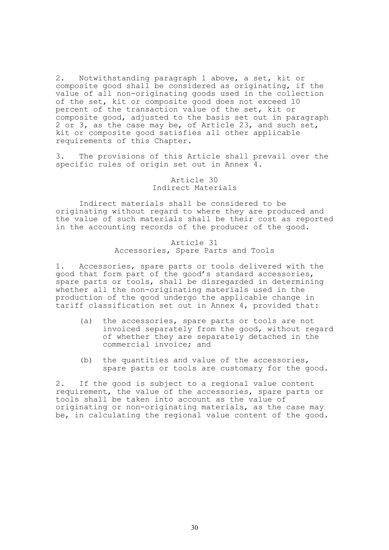2. Notwithstanding paragraph 1 above, a set, kit or composite good shall be considered as originating, if the value of all non-originating goods used in the collection of the set, kit or composite good does not exceed 10 percent of the transaction value of the set, kit or composite good, adjusted to the basis set out in paragraph 2 or 3, as the case may be, of Article 23, and such set, kit or composite good satisfies all other applicable requirements of this Chapter.

3. The provisions of this Article shall prevail over the specific rules of origin set out in Annex 4.

## Article 30 Indirect Materials

 Indirect materials shall be considered to be originating without regard to where they are produced and the value of such materials shall be their cost as reported in the accounting records of the producer of the good.

## Article 31 Accessories, Spare Parts and Tools

1. Accessories, spare parts or tools delivered with the good that form part of the good's standard accessories, spare parts or tools, shall be disregarded in determining whether all the non-originating materials used in the production of the good undergo the applicable change in tariff classification set out in Annex 4, provided that:

- (a) the accessories, spare parts or tools are not invoiced separately from the good, without regard of whether they are separately detached in the commercial invoice; and
- (b) the quantities and value of the accessories, spare parts or tools are customary for the good.

2. If the good is subject to a regional value content requirement, the value of the accessories, spare parts or tools shall be taken into account as the value of originating or non-originating materials, as the case may be, in calculating the regional value content of the good.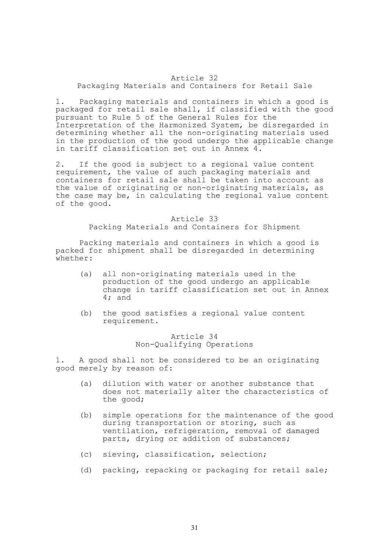## Article 32 Packaging Materials and Containers for Retail Sale

1. Packaging materials and containers in which a good is packaged for retail sale shall, if classified with the good pursuant to Rule 5 of the General Rules for the Interpretation of the Harmonized System, be disregarded in determining whether all the non-originating materials used in the production of the good undergo the applicable change in tariff classification set out in Annex 4.

2. If the good is subject to a regional value content requirement, the value of such packaging materials and containers for retail sale shall be taken into account as the value of originating or non-originating materials, as the case may be, in calculating the regional value content of the good.

# Article 33

Packing Materials and Containers for Shipment

 Packing materials and containers in which a good is packed for shipment shall be disregarded in determining whether:

- (a) all non-originating materials used in the production of the good undergo an applicable change in tariff classification set out in Annex 4; and
- (b) the good satisfies a regional value content requirement.

## Article 34 Non-Qualifying Operations

1. A good shall not be considered to be an originating good merely by reason of:

- (a) dilution with water or another substance that does not materially alter the characteristics of the good;
- (b) simple operations for the maintenance of the good during transportation or storing, such as ventilation, refrigeration, removal of damaged parts, drying or addition of substances;
- (c) sieving, classification, selection;
- (d) packing, repacking or packaging for retail sale;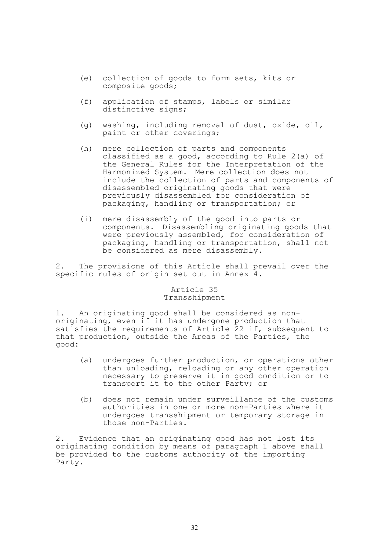- (e) collection of goods to form sets, kits or composite goods;
- (f) application of stamps, labels or similar distinctive signs;
- (g) washing, including removal of dust, oxide, oil, paint or other coverings;
- (h) mere collection of parts and components classified as a good, according to Rule 2(a) of the General Rules for the Interpretation of the Harmonized System. Mere collection does not include the collection of parts and components of disassembled originating goods that were previously disassembled for consideration of packaging, handling or transportation; or
- (i) mere disassembly of the good into parts or components. Disassembling originating goods that were previously assembled, for consideration of packaging, handling or transportation, shall not be considered as mere disassembly.

2. The provisions of this Article shall prevail over the specific rules of origin set out in Annex 4.

# Article 35 Transshipment

1. An originating good shall be considered as nonoriginating, even if it has undergone production that satisfies the requirements of Article 22 if, subsequent to that production, outside the Areas of the Parties, the good:

- (a) undergoes further production, or operations other than unloading, reloading or any other operation necessary to preserve it in good condition or to transport it to the other Party; or
- (b) does not remain under surveillance of the customs authorities in one or more non-Parties where it undergoes transshipment or temporary storage in those non-Parties.

2. Evidence that an originating good has not lost its originating condition by means of paragraph 1 above shall be provided to the customs authority of the importing Party.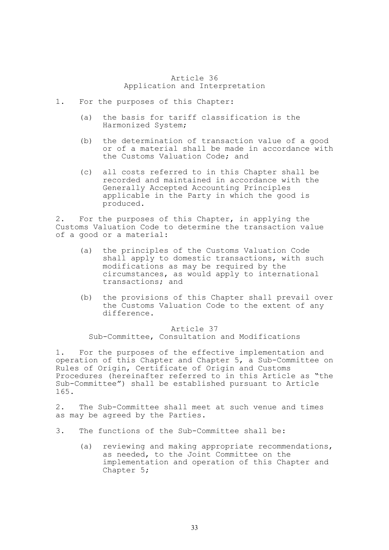### Article 36 Application and Interpretation

- 1. For the purposes of this Chapter:
	- (a) the basis for tariff classification is the Harmonized System;
	- (b) the determination of transaction value of a good or of a material shall be made in accordance with the Customs Valuation Code; and
	- (c) all costs referred to in this Chapter shall be recorded and maintained in accordance with the Generally Accepted Accounting Principles applicable in the Party in which the good is produced.

2. For the purposes of this Chapter, in applying the Customs Valuation Code to determine the transaction value of a good or a material:

- (a) the principles of the Customs Valuation Code shall apply to domestic transactions, with such modifications as may be required by the circumstances, as would apply to international transactions; and
- (b) the provisions of this Chapter shall prevail over the Customs Valuation Code to the extent of any difference.

Article 37 Sub-Committee, Consultation and Modifications

1. For the purposes of the effective implementation and operation of this Chapter and Chapter 5, a Sub-Committee on Rules of Origin, Certificate of Origin and Customs Procedures (hereinafter referred to in this Article as "the Sub-Committee") shall be established pursuant to Article 165.

2. The Sub-Committee shall meet at such venue and times as may be agreed by the Parties.

- 3. The functions of the Sub-Committee shall be:
	- (a) reviewing and making appropriate recommendations, as needed, to the Joint Committee on the implementation and operation of this Chapter and Chapter 5;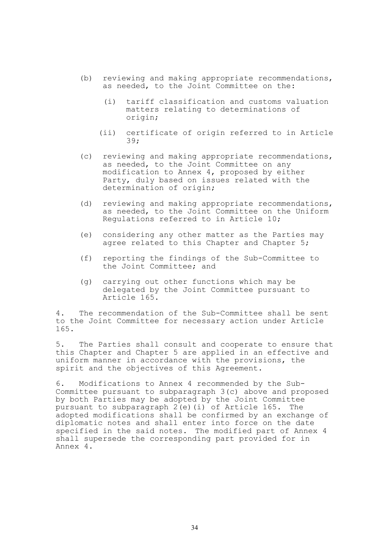- (b) reviewing and making appropriate recommendations, as needed, to the Joint Committee on the:
	- (i) tariff classification and customs valuation matters relating to determinations of origin;
	- (ii) certificate of origin referred to in Article 39;
- (c) reviewing and making appropriate recommendations, as needed, to the Joint Committee on any modification to Annex 4, proposed by either Party, duly based on issues related with the determination of origin;
- (d) reviewing and making appropriate recommendations, as needed, to the Joint Committee on the Uniform Regulations referred to in Article 10;
- (e) considering any other matter as the Parties may agree related to this Chapter and Chapter 5;
- (f) reporting the findings of the Sub-Committee to the Joint Committee; and
- (g) carrying out other functions which may be delegated by the Joint Committee pursuant to Article 165.

4. The recommendation of the Sub-Committee shall be sent to the Joint Committee for necessary action under Article 165.

5. The Parties shall consult and cooperate to ensure that this Chapter and Chapter 5 are applied in an effective and uniform manner in accordance with the provisions, the spirit and the objectives of this Agreement.

6. Modifications to Annex 4 recommended by the Sub-Committee pursuant to subparagraph 3(c) above and proposed by both Parties may be adopted by the Joint Committee pursuant to subparagraph 2(e)(i) of Article 165. The adopted modifications shall be confirmed by an exchange of diplomatic notes and shall enter into force on the date specified in the said notes. The modified part of Annex 4 shall supersede the corresponding part provided for in Annex 4.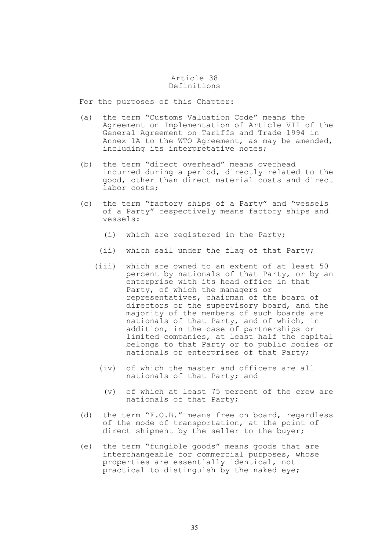### Article 38 Definitions

For the purposes of this Chapter:

- (a) the term "Customs Valuation Code" means the Agreement on Implementation of Article VII of the General Agreement on Tariffs and Trade 1994 in Annex 1A to the WTO Agreement, as may be amended, including its interpretative notes;
- (b) the term "direct overhead" means overhead incurred during a period, directly related to the good, other than direct material costs and direct labor costs;
- (c) the term "factory ships of a Party" and "vessels of a Party" respectively means factory ships and vessels:
	- (i) which are registered in the Party;
	- (ii) which sail under the flag of that Party;
	- (iii) which are owned to an extent of at least 50 percent by nationals of that Party, or by an enterprise with its head office in that Party, of which the managers or representatives, chairman of the board of directors or the supervisory board, and the majority of the members of such boards are nationals of that Party, and of which, in addition, in the case of partnerships or limited companies, at least half the capital belongs to that Party or to public bodies or nationals or enterprises of that Party;
		- (iv) of which the master and officers are all nationals of that Party; and
			- (v) of which at least 75 percent of the crew are nationals of that Party;
- (d) the term "F.O.B." means free on board, regardless of the mode of transportation, at the point of direct shipment by the seller to the buyer;
- (e) the term "fungible goods" means goods that are interchangeable for commercial purposes, whose properties are essentially identical, not practical to distinguish by the naked eye;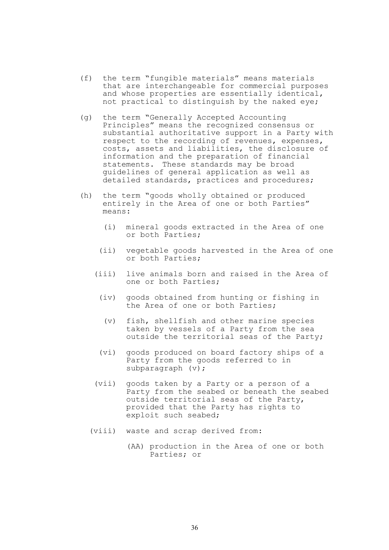- (f) the term "fungible materials" means materials that are interchangeable for commercial purposes and whose properties are essentially identical, not practical to distinguish by the naked eye;
- (g) the term "Generally Accepted Accounting Principles" means the recognized consensus or substantial authoritative support in a Party with respect to the recording of revenues, expenses, costs, assets and liabilities, the disclosure of information and the preparation of financial statements. These standards may be broad guidelines of general application as well as detailed standards, practices and procedures;
- (h) the term "goods wholly obtained or produced entirely in the Area of one or both Parties" means:
	- (i) mineral goods extracted in the Area of one or both Parties;
	- (ii) vegetable goods harvested in the Area of one or both Parties;
	- (iii) live animals born and raised in the Area of one or both Parties;
		- (iv) goods obtained from hunting or fishing in the Area of one or both Parties;
		- (v) fish, shellfish and other marine species taken by vessels of a Party from the sea outside the territorial seas of the Party;
	- (vi) goods produced on board factory ships of a Party from the goods referred to in subparagraph (v);
	- (vii) goods taken by a Party or a person of a Party from the seabed or beneath the seabed outside territorial seas of the Party, provided that the Party has rights to exploit such seabed;
	- (viii) waste and scrap derived from:
		- (AA) production in the Area of one or both Parties; or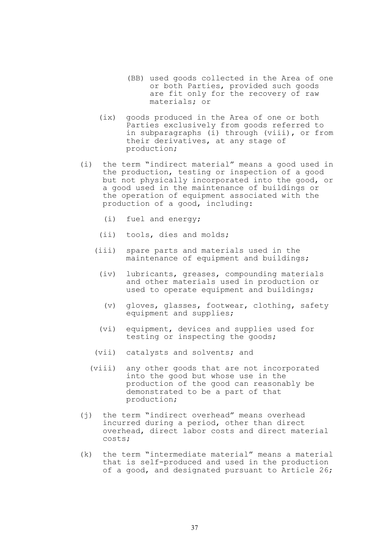- (BB) used goods collected in the Area of one or both Parties, provided such goods are fit only for the recovery of raw materials; or
- (ix) goods produced in the Area of one or both Parties exclusively from goods referred to in subparagraphs (i) through (viii), or from their derivatives, at any stage of production;
- (i) the term "indirect material" means a good used in the production, testing or inspection of a good but not physically incorporated into the good, or a good used in the maintenance of buildings or the operation of equipment associated with the production of a good, including:
	- (i) fuel and energy;
	- (ii) tools, dies and molds;
	- (iii) spare parts and materials used in the maintenance of equipment and buildings;
		- (iv) lubricants, greases, compounding materials and other materials used in production or used to operate equipment and buildings;
			- (v) gloves, glasses, footwear, clothing, safety equipment and supplies;
	- (vi) equipment, devices and supplies used for testing or inspecting the goods;
	- (vii) catalysts and solvents; and
	- (viii) any other goods that are not incorporated into the good but whose use in the production of the good can reasonably be demonstrated to be a part of that production;
- (j) the term "indirect overhead" means overhead incurred during a period, other than direct overhead, direct labor costs and direct material costs;
- (k) the term "intermediate material" means a material that is self-produced and used in the production of a good, and designated pursuant to Article 26;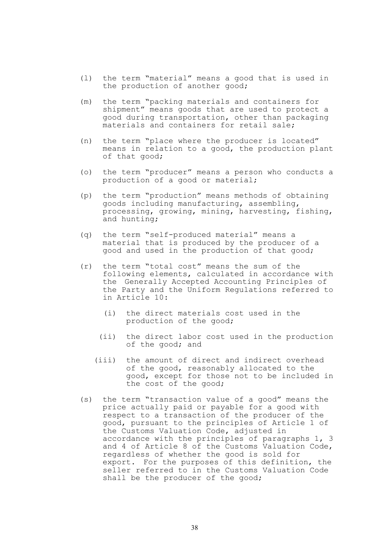- (l) the term "material" means a good that is used in the production of another good;
- (m) the term "packing materials and containers for shipment" means goods that are used to protect a good during transportation, other than packaging materials and containers for retail sale;
	- (n) the term "place where the producer is located" means in relation to a good, the production plant of that good;
	- (o) the term "producer" means a person who conducts a production of a good or material;
	- (p) the term "production" means methods of obtaining goods including manufacturing, assembling, processing, growing, mining, harvesting, fishing, and hunting;
	- (q) the term "self-produced material" means a material that is produced by the producer of a good and used in the production of that good;
	- (r) the term "total cost" means the sum of the following elements, calculated in accordance with the Generally Accepted Accounting Principles of the Party and the Uniform Regulations referred to in Article 10:
		- (i) the direct materials cost used in the production of the good;
		- (ii) the direct labor cost used in the production of the good; and
		- (iii) the amount of direct and indirect overhead of the good, reasonably allocated to the good, except for those not to be included in the cost of the good;
	- (s) the term "transaction value of a good" means the price actually paid or payable for a good with respect to a transaction of the producer of the good, pursuant to the principles of Article 1 of the Customs Valuation Code, adjusted in accordance with the principles of paragraphs 1, 3 and 4 of Article 8 of the Customs Valuation Code, regardless of whether the good is sold for export. For the purposes of this definition, the seller referred to in the Customs Valuation Code shall be the producer of the good;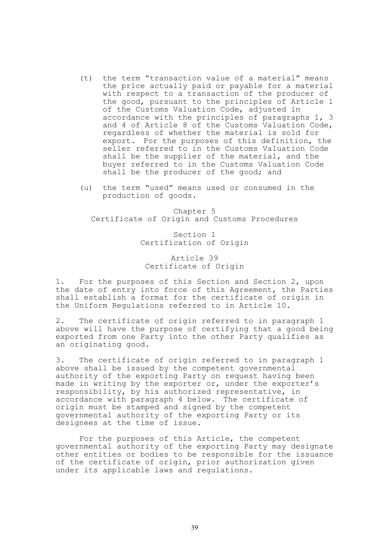- (t) the term "transaction value of a material" means the price actually paid or payable for a material with respect to a transaction of the producer of the good, pursuant to the principles of Article 1 of the Customs Valuation Code, adjusted in accordance with the principles of paragraphs 1, 3 and 4 of Article 8 of the Customs Valuation Code, regardless of whether the material is sold for export. For the purposes of this definition, the seller referred to in the Customs Valuation Code shall be the supplier of the material, and the buyer referred to in the Customs Valuation Code shall be the producer of the good; and
- (u) the term "used" means used or consumed in the production of goods.

Chapter 5 Certificate of Origin and Customs Procedures

> Section 1 Certification of Origin

Article 39 Certificate of Origin

1. For the purposes of this Section and Section 2, upon the date of entry into force of this Agreement, the Parties shall establish a format for the certificate of origin in the Uniform Regulations referred to in Article 10.

2. The certificate of origin referred to in paragraph 1 above will have the purpose of certifying that a good being exported from one Party into the other Party qualifies as an originating good.

3. The certificate of origin referred to in paragraph 1 above shall be issued by the competent governmental authority of the exporting Party on request having been made in writing by the exporter or, under the exporter's responsibility, by his authorized representative, in accordance with paragraph 4 below. The certificate of origin must be stamped and signed by the competent governmental authority of the exporting Party or its designees at the time of issue.

 For the purposes of this Article, the competent governmental authority of the exporting Party may designate other entities or bodies to be responsible for the issuance of the certificate of origin, prior authorization given under its applicable laws and regulations.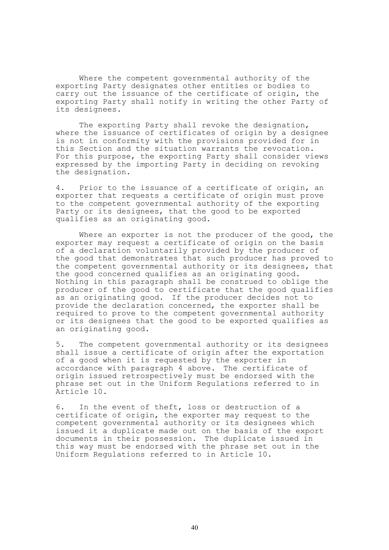Where the competent governmental authority of the exporting Party designates other entities or bodies to carry out the issuance of the certificate of origin, the exporting Party shall notify in writing the other Party of its designees.

The exporting Party shall revoke the designation, where the issuance of certificates of origin by a designee is not in conformity with the provisions provided for in this Section and the situation warrants the revocation. For this purpose, the exporting Party shall consider views expressed by the importing Party in deciding on revoking the designation.

4. Prior to the issuance of a certificate of origin, an exporter that requests a certificate of origin must prove to the competent governmental authority of the exporting Party or its designees, that the good to be exported qualifies as an originating good.

 Where an exporter is not the producer of the good, the exporter may request a certificate of origin on the basis of a declaration voluntarily provided by the producer of the good that demonstrates that such producer has proved to the competent governmental authority or its designees, that the good concerned qualifies as an originating good. Nothing in this paragraph shall be construed to oblige the producer of the good to certificate that the good qualifies as an originating good. If the producer decides not to provide the declaration concerned, the exporter shall be required to prove to the competent governmental authority or its designees that the good to be exported qualifies as an originating good.

5. The competent governmental authority or its designees shall issue a certificate of origin after the exportation of a good when it is requested by the exporter in accordance with paragraph 4 above. The certificate of origin issued retrospectively must be endorsed with the phrase set out in the Uniform Regulations referred to in Article 10.

6. In the event of theft, loss or destruction of a certificate of origin, the exporter may request to the competent governmental authority or its designees which issued it a duplicate made out on the basis of the export documents in their possession. The duplicate issued in this way must be endorsed with the phrase set out in the Uniform Regulations referred to in Article 10.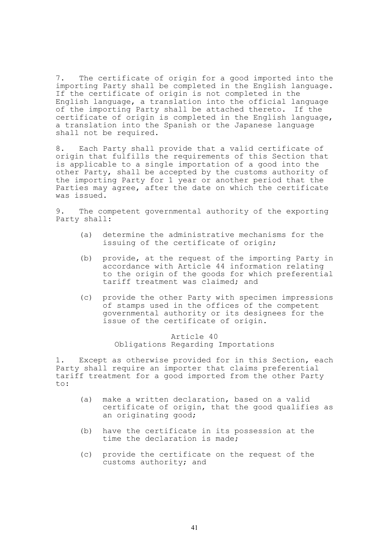7. The certificate of origin for a good imported into the importing Party shall be completed in the English language. If the certificate of origin is not completed in the English language, a translation into the official language of the importing Party shall be attached thereto. If the certificate of origin is completed in the English language, a translation into the Spanish or the Japanese language shall not be required.

8. Each Party shall provide that a valid certificate of origin that fulfills the requirements of this Section that is applicable to a single importation of a good into the other Party, shall be accepted by the customs authority of the importing Party for 1 year or another period that the Parties may agree, after the date on which the certificate was issued.

9. The competent governmental authority of the exporting Party shall:

- (a) determine the administrative mechanisms for the issuing of the certificate of origin;
- (b) provide, at the request of the importing Party in accordance with Article 44 information relating to the origin of the goods for which preferential tariff treatment was claimed; and
- (c) provide the other Party with specimen impressions of stamps used in the offices of the competent governmental authority or its designees for the issue of the certificate of origin.

## Article 40 Obligations Regarding Importations

1. Except as otherwise provided for in this Section, each Party shall require an importer that claims preferential tariff treatment for a good imported from the other Party to:

- (a) make a written declaration, based on a valid certificate of origin, that the good qualifies as an originating good;
- (b) have the certificate in its possession at the time the declaration is made;
- (c) provide the certificate on the request of the customs authority; and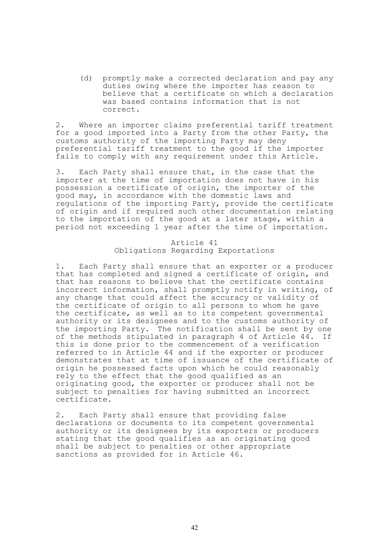(d) promptly make a corrected declaration and pay any duties owing where the importer has reason to believe that a certificate on which a declaration was based contains information that is not correct.

2. Where an importer claims preferential tariff treatment for a good imported into a Party from the other Party, the customs authority of the importing Party may deny preferential tariff treatment to the good if the importer fails to comply with any requirement under this Article.

3. Each Party shall ensure that, in the case that the importer at the time of importation does not have in his possession a certificate of origin, the importer of the good may, in accordance with the domestic laws and regulations of the importing Party, provide the certificate of origin and if required such other documentation relating to the importation of the good at a later stage, within a period not exceeding 1 year after the time of importation.

## Article 41 Obligations Regarding Exportations

1. Each Party shall ensure that an exporter or a producer that has completed and signed a certificate of origin, and that has reasons to believe that the certificate contains incorrect information, shall promptly notify in writing, of any change that could affect the accuracy or validity of the certificate of origin to all persons to whom he gave the certificate, as well as to its competent governmental authority or its designees and to the customs authority of the importing Party. The notification shall be sent by one of the methods stipulated in paragraph 4 of Article 44. If this is done prior to the commencement of a verification referred to in Article 44 and if the exporter or producer demonstrates that at time of issuance of the certificate of origin he possessed facts upon which he could reasonably rely to the effect that the good qualified as an originating good, the exporter or producer shall not be subject to penalties for having submitted an incorrect certificate.

2. Each Party shall ensure that providing false declarations or documents to its competent governmental authority or its designees by its exporters or producers stating that the good qualifies as an originating good shall be subject to penalties or other appropriate sanctions as provided for in Article 46.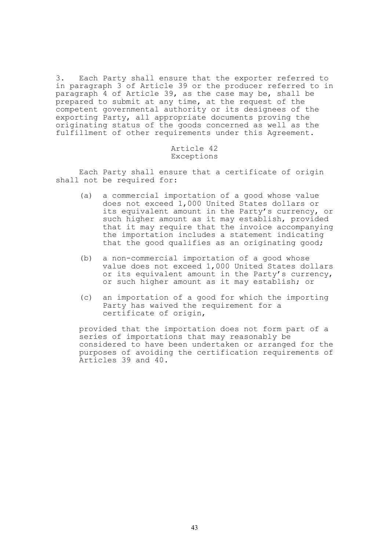3. Each Party shall ensure that the exporter referred to in paragraph 3 of Article 39 or the producer referred to in paragraph 4 of Article 39, as the case may be, shall be prepared to submit at any time, at the request of the competent governmental authority or its designees of the exporting Party, all appropriate documents proving the originating status of the goods concerned as well as the fulfillment of other requirements under this Agreement.

#### Article 42 Exceptions

 Each Party shall ensure that a certificate of origin shall not be required for:

- (a) a commercial importation of a good whose value does not exceed 1,000 United States dollars or its equivalent amount in the Party's currency, or such higher amount as it may establish, provided that it may require that the invoice accompanying the importation includes a statement indicating that the good qualifies as an originating good;
- (b) a non-commercial importation of a good whose value does not exceed 1,000 United States dollars or its equivalent amount in the Party's currency, or such higher amount as it may establish; or
- (c) an importation of a good for which the importing Party has waived the requirement for a certificate of origin,

 provided that the importation does not form part of a series of importations that may reasonably be considered to have been undertaken or arranged for the purposes of avoiding the certification requirements of Articles 39 and 40.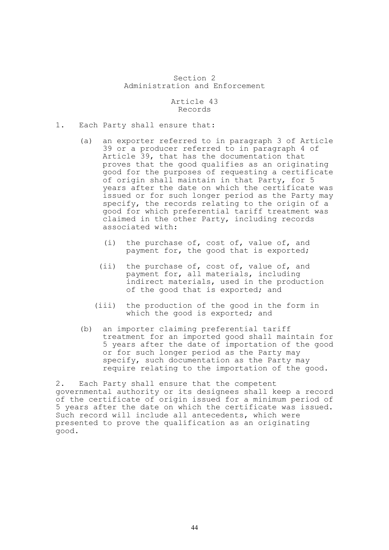## Section 2 Administration and Enforcement

#### Article 43 Records

- 1. Each Party shall ensure that:
	- (a) an exporter referred to in paragraph 3 of Article 39 or a producer referred to in paragraph 4 of Article 39, that has the documentation that proves that the good qualifies as an originating good for the purposes of requesting a certificate of origin shall maintain in that Party, for 5 years after the date on which the certificate was issued or for such longer period as the Party may specify, the records relating to the origin of a good for which preferential tariff treatment was claimed in the other Party, including records associated with:
		- (i) the purchase of, cost of, value of, and payment for, the good that is exported;
		- (ii) the purchase of, cost of, value of, and payment for, all materials, including indirect materials, used in the production of the good that is exported; and
		- (iii) the production of the good in the form in which the good is exported; and
	- (b) an importer claiming preferential tariff treatment for an imported good shall maintain for 5 years after the date of importation of the good or for such longer period as the Party may specify, such documentation as the Party may require relating to the importation of the good.

2. Each Party shall ensure that the competent governmental authority or its designees shall keep a record of the certificate of origin issued for a minimum period of 5 years after the date on which the certificate was issued. Such record will include all antecedents, which were presented to prove the qualification as an originating good.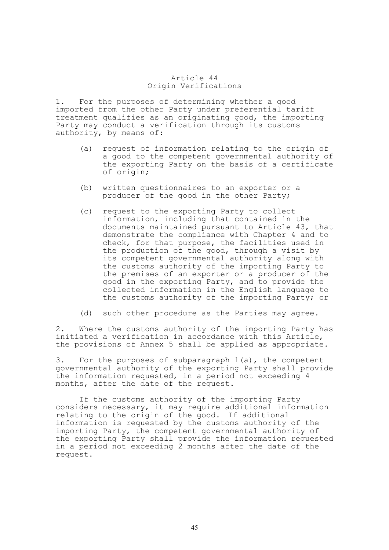#### Article 44 Origin Verifications

1. For the purposes of determining whether a good imported from the other Party under preferential tariff treatment qualifies as an originating good, the importing Party may conduct a verification through its customs authority, by means of:

- (a) request of information relating to the origin of a good to the competent governmental authority of the exporting Party on the basis of a certificate of origin;
- (b) written questionnaires to an exporter or a producer of the good in the other Party;
- (c) request to the exporting Party to collect information, including that contained in the documents maintained pursuant to Article 43, that demonstrate the compliance with Chapter 4 and to check, for that purpose, the facilities used in the production of the good, through a visit by its competent governmental authority along with the customs authority of the importing Party to the premises of an exporter or a producer of the good in the exporting Party, and to provide the collected information in the English language to the customs authority of the importing Party; or
- (d) such other procedure as the Parties may agree.

2. Where the customs authority of the importing Party has initiated a verification in accordance with this Article, the provisions of Annex 5 shall be applied as appropriate.

3. For the purposes of subparagraph 1(a), the competent governmental authority of the exporting Party shall provide the information requested, in a period not exceeding 4 months, after the date of the request.

 If the customs authority of the importing Party considers necessary, it may require additional information relating to the origin of the good. If additional information is requested by the customs authority of the importing Party, the competent governmental authority of the exporting Party shall provide the information requested in a period not exceeding 2 months after the date of the request.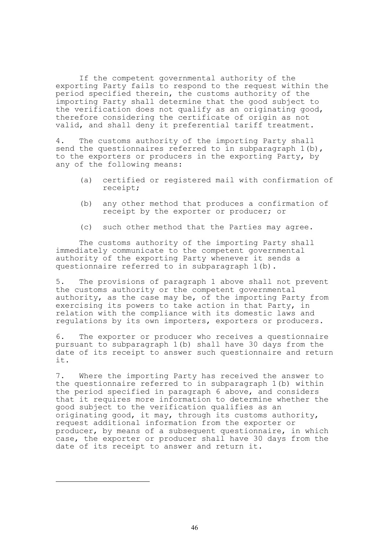If the competent governmental authority of the exporting Party fails to respond to the request within the period specified therein, the customs authority of the importing Party shall determine that the good subject to the verification does not qualify as an originating good, therefore considering the certificate of origin as not valid, and shall deny it preferential tariff treatment.

4. The customs authority of the importing Party shall send the questionnaires referred to in subparagraph  $1(b)$ , to the exporters or producers in the exporting Party, by any of the following means:

- (a) certified or registered mail with confirmation of receipt;
- (b) any other method that produces a confirmation of receipt by the exporter or producer; or
- (c) such other method that the Parties may agree.

 The customs authority of the importing Party shall immediately communicate to the competent governmental authority of the exporting Party whenever it sends a questionnaire referred to in subparagraph 1(b).

5. The provisions of paragraph 1 above shall not prevent the customs authority or the competent governmental authority, as the case may be, of the importing Party from exercising its powers to take action in that Party, in relation with the compliance with its domestic laws and regulations by its own importers, exporters or producers.

6. The exporter or producer who receives a questionnaire pursuant to subparagraph 1(b) shall have 30 days from the date of its receipt to answer such questionnaire and return it.

7. Where the importing Party has received the answer to the questionnaire referred to in subparagraph 1(b) within the period specified in paragraph 6 above, and considers that it requires more information to determine whether the good subject to the verification qualifies as an originating good, it may, through its customs authority, request additional information from the exporter or producer, by means of a subsequent questionnaire, in which case, the exporter or producer shall have 30 days from the date of its receipt to answer and return it.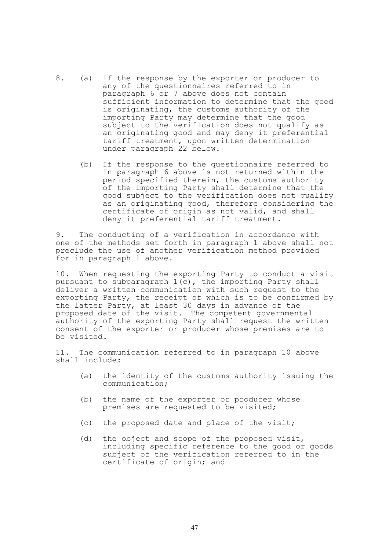- 8. (a) If the response by the exporter or producer to any of the questionnaires referred to in paragraph 6 or 7 above does not contain sufficient information to determine that the good is originating, the customs authority of the importing Party may determine that the good subject to the verification does not qualify as an originating good and may deny it preferential tariff treatment, upon written determination under paragraph 22 below.
	- (b) If the response to the questionnaire referred to in paragraph 6 above is not returned within the period specified therein, the customs authority of the importing Party shall determine that the good subject to the verification does not qualify as an originating good, therefore considering the certificate of origin as not valid, and shall deny it preferential tariff treatment.

9. The conducting of a verification in accordance with one of the methods set forth in paragraph 1 above shall not preclude the use of another verification method provided for in paragraph 1 above.

10. When requesting the exporting Party to conduct a visit pursuant to subparagraph 1(c), the importing Party shall deliver a written communication with such request to the exporting Party, the receipt of which is to be confirmed by the latter Party, at least 30 days in advance of the proposed date of the visit. The competent governmental authority of the exporting Party shall request the written consent of the exporter or producer whose premises are to be visited.

11. The communication referred to in paragraph 10 above shall include:

- (a) the identity of the customs authority issuing the communication;
- (b) the name of the exporter or producer whose premises are requested to be visited;
- (c) the proposed date and place of the visit;
- (d) the object and scope of the proposed visit, including specific reference to the good or goods subject of the verification referred to in the certificate of origin; and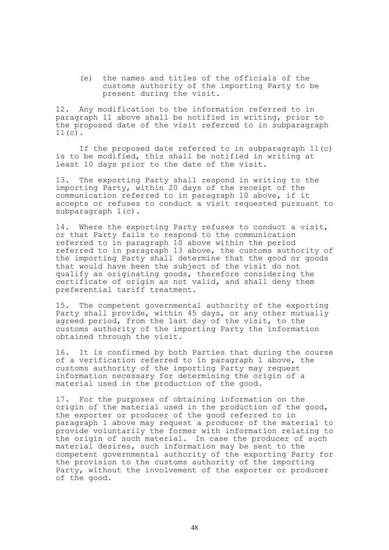(e) the names and titles of the officials of the customs authority of the importing Party to be present during the visit.

12. Any modification to the information referred to in paragraph 11 above shall be notified in writing, prior to the proposed date of the visit referred to in subparagraph 11(c).

 If the proposed date referred to in subparagraph 11(c) is to be modified, this shall be notified in writing at least 10 days prior to the date of the visit.

13. The exporting Party shall respond in writing to the importing Party, within 20 days of the receipt of the communication referred to in paragraph 10 above, if it accepts or refuses to conduct a visit requested pursuant to subparagraph 1(c).

14. Where the exporting Party refuses to conduct a visit, or that Party fails to respond to the communication referred to in paragraph 10 above within the period referred to in paragraph 13 above, the customs authority of the importing Party shall determine that the good or goods that would have been the subject of the visit do not qualify as originating goods, therefore considering the certificate of origin as not valid, and shall deny them preferential tariff treatment.

15. The competent governmental authority of the exporting Party shall provide, within 45 days, or any other mutually agreed period, from the last day of the visit, to the customs authority of the importing Party the information obtained through the visit.

16. It is confirmed by both Parties that during the course of a verification referred to in paragraph 1 above, the customs authority of the importing Party may request information necessary for determining the origin of a material used in the production of the good.

17. For the purposes of obtaining information on the origin of the material used in the production of the good, the exporter or producer of the good referred to in paragraph 1 above may request a producer of the material to provide voluntarily the former with information relating to the origin of such material. In case the producer of such material desires, such information may be sent to the competent governmental authority of the exporting Party for the provision to the customs authority of the importing Party, without the involvement of the exporter or producer of the good.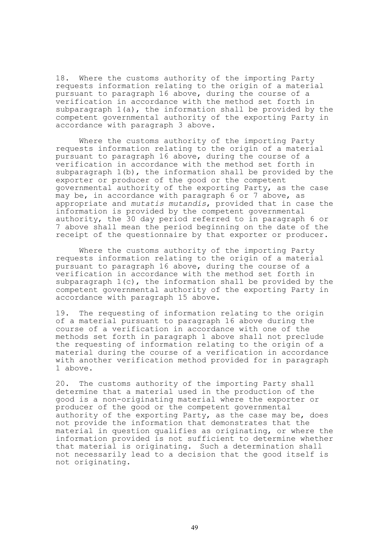18. Where the customs authority of the importing Party requests information relating to the origin of a material pursuant to paragraph 16 above, during the course of a verification in accordance with the method set forth in subparagraph 1(a), the information shall be provided by the competent governmental authority of the exporting Party in accordance with paragraph 3 above.

 Where the customs authority of the importing Party requests information relating to the origin of a material pursuant to paragraph 16 above, during the course of a verification in accordance with the method set forth in subparagraph 1(b), the information shall be provided by the exporter or producer of the good or the competent governmental authority of the exporting Party, as the case may be, in accordance with paragraph 6 or 7 above, as appropriate and *mutatis mutandis*, provided that in case the information is provided by the competent governmental authority, the 30 day period referred to in paragraph 6 or 7 above shall mean the period beginning on the date of the receipt of the questionnaire by that exporter or producer.

 Where the customs authority of the importing Party requests information relating to the origin of a material pursuant to paragraph 16 above, during the course of a verification in accordance with the method set forth in subparagraph 1(c), the information shall be provided by the competent governmental authority of the exporting Party in accordance with paragraph 15 above.

19. The requesting of information relating to the origin of a material pursuant to paragraph 16 above during the course of a verification in accordance with one of the methods set forth in paragraph 1 above shall not preclude the requesting of information relating to the origin of a material during the course of a verification in accordance with another verification method provided for in paragraph 1 above.

20. The customs authority of the importing Party shall determine that a material used in the production of the good is a non-originating material where the exporter or producer of the good or the competent governmental authority of the exporting Party, as the case may be, does not provide the information that demonstrates that the material in question qualifies as originating, or where the information provided is not sufficient to determine whether that material is originating. Such a determination shall not necessarily lead to a decision that the good itself is not originating.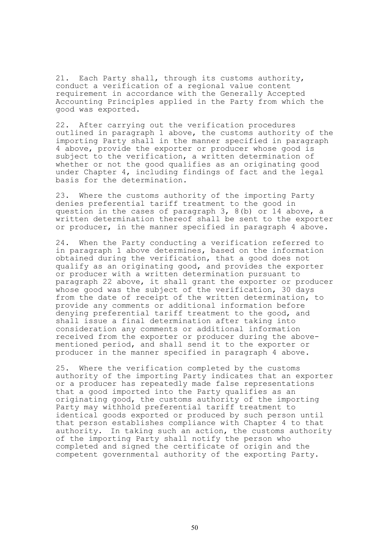21. Each Party shall, through its customs authority, conduct a verification of a regional value content requirement in accordance with the Generally Accepted Accounting Principles applied in the Party from which the good was exported.

22. After carrying out the verification procedures outlined in paragraph 1 above, the customs authority of the importing Party shall in the manner specified in paragraph 4 above, provide the exporter or producer whose good is subject to the verification, a written determination of whether or not the good qualifies as an originating good under Chapter 4, including findings of fact and the legal basis for the determination.

23. Where the customs authority of the importing Party denies preferential tariff treatment to the good in question in the cases of paragraph 3, 8(b) or 14 above, a written determination thereof shall be sent to the exporter or producer, in the manner specified in paragraph 4 above.

24. When the Party conducting a verification referred to in paragraph 1 above determines, based on the information obtained during the verification, that a good does not qualify as an originating good, and provides the exporter or producer with a written determination pursuant to paragraph 22 above, it shall grant the exporter or producer whose good was the subject of the verification, 30 days from the date of receipt of the written determination, to provide any comments or additional information before denying preferential tariff treatment to the good, and shall issue a final determination after taking into consideration any comments or additional information received from the exporter or producer during the abovementioned period, and shall send it to the exporter or producer in the manner specified in paragraph 4 above.

25. Where the verification completed by the customs authority of the importing Party indicates that an exporter or a producer has repeatedly made false representations that a good imported into the Party qualifies as an originating good, the customs authority of the importing Party may withhold preferential tariff treatment to identical goods exported or produced by such person until that person establishes compliance with Chapter 4 to that authority. In taking such an action, the customs authority of the importing Party shall notify the person who completed and signed the certificate of origin and the competent governmental authority of the exporting Party.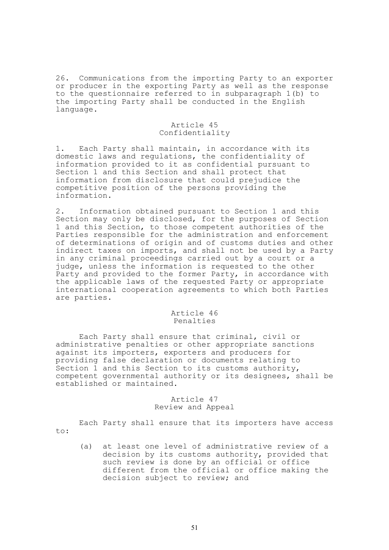26. Communications from the importing Party to an exporter or producer in the exporting Party as well as the response to the questionnaire referred to in subparagraph 1(b) to the importing Party shall be conducted in the English language.

## Article 45 Confidentiality

1. Each Party shall maintain, in accordance with its domestic laws and regulations, the confidentiality of information provided to it as confidential pursuant to Section 1 and this Section and shall protect that information from disclosure that could prejudice the competitive position of the persons providing the information.

2. Information obtained pursuant to Section 1 and this Section may only be disclosed, for the purposes of Section 1 and this Section, to those competent authorities of the Parties responsible for the administration and enforcement of determinations of origin and of customs duties and other indirect taxes on imports, and shall not be used by a Party in any criminal proceedings carried out by a court or a judge, unless the information is requested to the other Party and provided to the former Party, in accordance with the applicable laws of the requested Party or appropriate international cooperation agreements to which both Parties are parties.

### Article 46 Penalties

 Each Party shall ensure that criminal, civil or administrative penalties or other appropriate sanctions against its importers, exporters and producers for providing false declaration or documents relating to Section 1 and this Section to its customs authority, competent governmental authority or its designees, shall be established or maintained.

### Article 47 Review and Appeal

 Each Party shall ensure that its importers have access to:

 (a) at least one level of administrative review of a decision by its customs authority, provided that such review is done by an official or office different from the official or office making the decision subject to review; and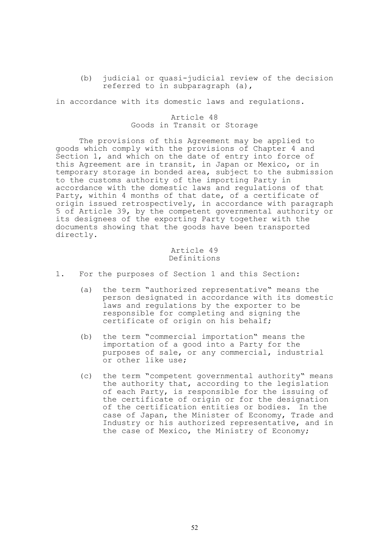(b) judicial or quasi-judicial review of the decision referred to in subparagraph (a),

in accordance with its domestic laws and regulations.

## Article 48 Goods in Transit or Storage

 The provisions of this Agreement may be applied to goods which comply with the provisions of Chapter 4 and Section 1, and which on the date of entry into force of this Agreement are in transit, in Japan or Mexico, or in temporary storage in bonded area, subject to the submission to the customs authority of the importing Party in accordance with the domestic laws and regulations of that Party, within 4 months of that date, of a certificate of origin issued retrospectively, in accordance with paragraph 5 of Article 39, by the competent governmental authority or its designees of the exporting Party together with the documents showing that the goods have been transported directly.

#### Article 49 Definitions

- 1. For the purposes of Section 1 and this Section:
	- (a) the term "authorized representative" means the person designated in accordance with its domestic laws and regulations by the exporter to be responsible for completing and signing the certificate of origin on his behalf;
	- (b) the term "commercial importation" means the importation of a good into a Party for the purposes of sale, or any commercial, industrial or other like use;
	- (c) the term "competent governmental authority" means the authority that, according to the legislation of each Party, is responsible for the issuing of the certificate of origin or for the designation of the certification entities or bodies. In the case of Japan, the Minister of Economy, Trade and Industry or his authorized representative, and in the case of Mexico, the Ministry of Economy;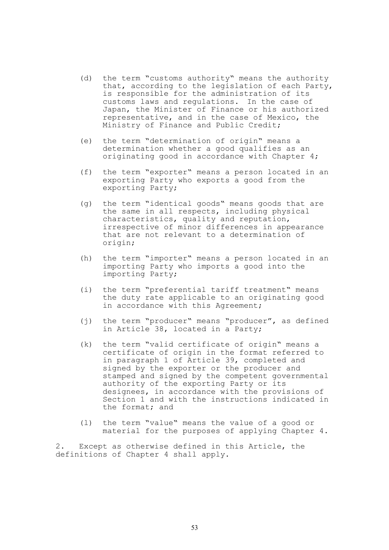- (d) the term "customs authority" means the authority that, according to the legislation of each Party, is responsible for the administration of its customs laws and regulations. In the case of Japan, the Minister of Finance or his authorized representative, and in the case of Mexico, the Ministry of Finance and Public Credit;
- (e) the term "determination of origin" means a determination whether a good qualifies as an originating good in accordance with Chapter 4;
- (f) the term "exporter" means a person located in an exporting Party who exports a good from the exporting Party;
- (g) the term "identical goods" means goods that are the same in all respects, including physical characteristics, quality and reputation, irrespective of minor differences in appearance that are not relevant to a determination of origin;
- (h) the term "importer" means a person located in an importing Party who imports a good into the importing Party;
- (i) the term "preferential tariff treatment" means the duty rate applicable to an originating good in accordance with this Agreement;
- (j) the term "producer" means "producer", as defined in Article 38, located in a Party;
- (k) the term "valid certificate of origin" means a certificate of origin in the format referred to in paragraph 1 of Article 39, completed and signed by the exporter or the producer and stamped and signed by the competent governmental authority of the exporting Party or its designees, in accordance with the provisions of Section 1 and with the instructions indicated in the format; and
- (l) the term "value" means the value of a good or material for the purposes of applying Chapter 4.

2. Except as otherwise defined in this Article, the definitions of Chapter 4 shall apply.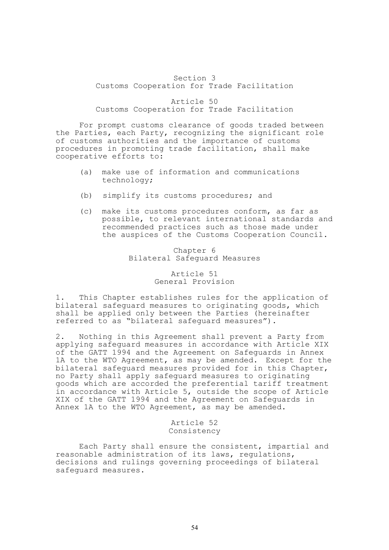Section 3 Customs Cooperation for Trade Facilitation

Article 50 Customs Cooperation for Trade Facilitation

 For prompt customs clearance of goods traded between the Parties, each Party, recognizing the significant role of customs authorities and the importance of customs procedures in promoting trade facilitation, shall make cooperative efforts to:

- (a) make use of information and communications technology;
- (b) simplify its customs procedures; and
- (c) make its customs procedures conform, as far as possible, to relevant international standards and recommended practices such as those made under the auspices of the Customs Cooperation Council.

Chapter 6 Bilateral Safeguard Measures

> Article 51 General Provision

1. This Chapter establishes rules for the application of bilateral safeguard measures to originating goods, which shall be applied only between the Parties (hereinafter referred to as "bilateral safeguard measures").

2. Nothing in this Agreement shall prevent a Party from applying safeguard measures in accordance with Article XIX of the GATT 1994 and the Agreement on Safeguards in Annex 1A to the WTO Agreement, as may be amended. Except for the bilateral safeguard measures provided for in this Chapter, no Party shall apply safeguard measures to originating goods which are accorded the preferential tariff treatment in accordance with Article 5, outside the scope of Article XIX of the GATT 1994 and the Agreement on Safeguards in Annex 1A to the WTO Agreement, as may be amended.

> Article 52 Consistency

 Each Party shall ensure the consistent, impartial and reasonable administration of its laws, regulations, decisions and rulings governing proceedings of bilateral safeguard measures.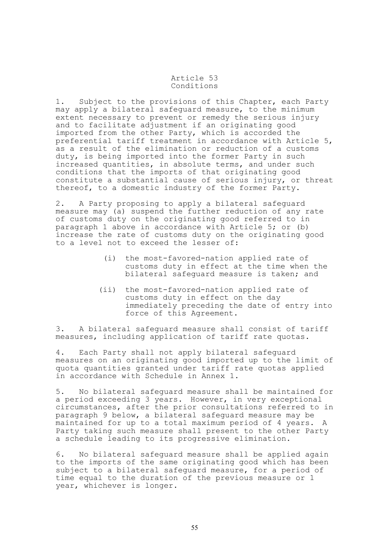#### Article 53 Conditions

1. Subject to the provisions of this Chapter, each Party may apply a bilateral safeguard measure, to the minimum extent necessary to prevent or remedy the serious injury and to facilitate adjustment if an originating good imported from the other Party, which is accorded the preferential tariff treatment in accordance with Article 5, as a result of the elimination or reduction of a customs duty, is being imported into the former Party in such increased quantities, in absolute terms, and under such conditions that the imports of that originating good constitute a substantial cause of serious injury, or threat thereof, to a domestic industry of the former Party.

2. A Party proposing to apply a bilateral safeguard measure may (a) suspend the further reduction of any rate of customs duty on the originating good referred to in paragraph 1 above in accordance with Article 5; or (b) increase the rate of customs duty on the originating good to a level not to exceed the lesser of:

- (i) the most-favored-nation applied rate of customs duty in effect at the time when the bilateral safeguard measure is taken; and
- (ii) the most-favored-nation applied rate of customs duty in effect on the day immediately preceding the date of entry into force of this Agreement.

3. A bilateral safeguard measure shall consist of tariff measures, including application of tariff rate quotas.

4. Each Party shall not apply bilateral safeguard measures on an originating good imported up to the limit of quota quantities granted under tariff rate quotas applied in accordance with Schedule in Annex 1.

5. No bilateral safeguard measure shall be maintained for a period exceeding 3 years. However, in very exceptional circumstances, after the prior consultations referred to in paragraph 9 below, a bilateral safeguard measure may be maintained for up to a total maximum period of 4 years. A Party taking such measure shall present to the other Party a schedule leading to its progressive elimination.

6. No bilateral safeguard measure shall be applied again to the imports of the same originating good which has been subject to a bilateral safeguard measure, for a period of time equal to the duration of the previous measure or 1 year, whichever is longer.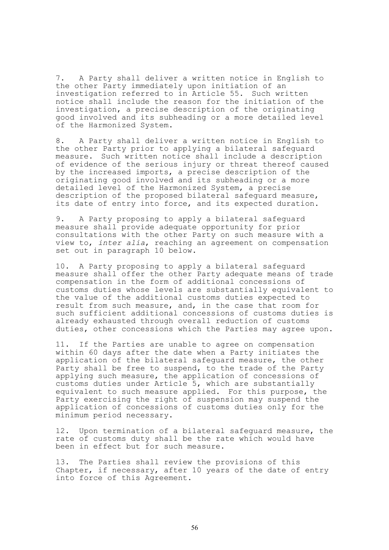7. A Party shall deliver a written notice in English to the other Party immediately upon initiation of an investigation referred to in Article 55. Such written notice shall include the reason for the initiation of the investigation, a precise description of the originating good involved and its subheading or a more detailed level of the Harmonized System.

8. A Party shall deliver a written notice in English to the other Party prior to applying a bilateral safeguard measure. Such written notice shall include a description of evidence of the serious injury or threat thereof caused by the increased imports, a precise description of the originating good involved and its subheading or a more detailed level of the Harmonized System, a precise description of the proposed bilateral safeguard measure, its date of entry into force, and its expected duration.

9. A Party proposing to apply a bilateral safeguard measure shall provide adequate opportunity for prior consultations with the other Party on such measure with a view to, *inter alia*, reaching an agreement on compensation set out in paragraph 10 below.

10. A Party proposing to apply a bilateral safeguard measure shall offer the other Party adequate means of trade compensation in the form of additional concessions of customs duties whose levels are substantially equivalent to the value of the additional customs duties expected to result from such measure, and, in the case that room for such sufficient additional concessions of customs duties is already exhausted through overall reduction of customs duties, other concessions which the Parties may agree upon.

11. If the Parties are unable to agree on compensation within 60 days after the date when a Party initiates the application of the bilateral safeguard measure, the other Party shall be free to suspend, to the trade of the Party applying such measure, the application of concessions of customs duties under Article 5, which are substantially equivalent to such measure applied. For this purpose, the Party exercising the right of suspension may suspend the application of concessions of customs duties only for the minimum period necessary.

12. Upon termination of a bilateral safeguard measure, the rate of customs duty shall be the rate which would have been in effect but for such measure.

13. The Parties shall review the provisions of this Chapter, if necessary, after 10 years of the date of entry into force of this Agreement.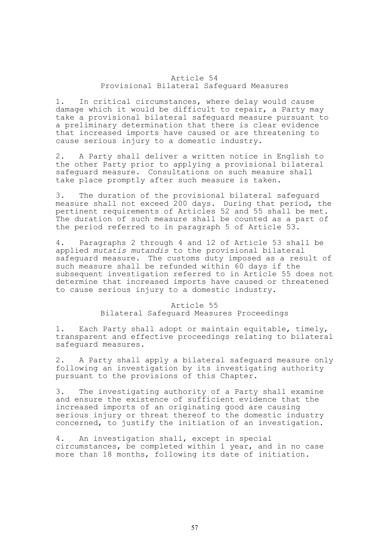## Article 54 Provisional Bilateral Safeguard Measures

1. In critical circumstances, where delay would cause damage which it would be difficult to repair, a Party may take a provisional bilateral safeguard measure pursuant to a preliminary determination that there is clear evidence that increased imports have caused or are threatening to cause serious injury to a domestic industry.

2. A Party shall deliver a written notice in English to the other Party prior to applying a provisional bilateral safeguard measure. Consultations on such measure shall take place promptly after such measure is taken.

3. The duration of the provisional bilateral safeguard measure shall not exceed 200 days. During that period, the pertinent requirements of Articles 52 and 55 shall be met. The duration of such measure shall be counted as a part of the period referred to in paragraph 5 of Article 53**.**

4. Paragraphs 2 through 4 and 12 of Article 53 shall be applied *mutatis mutandis* to the provisional bilateral safeguard measure. The customs duty imposed as a result of such measure shall be refunded within 60 days if the subsequent investigation referred to in Article 55 does not determine that increased imports have caused or threatened to cause serious injury to a domestic industry.

## Article 55 Bilateral Safeguard Measures Proceedings

1. Each Party shall adopt or maintain equitable, timely, transparent and effective proceedings relating to bilateral safeguard measures.

2. A Party shall apply a bilateral safeguard measure only following an investigation by its investigating authority pursuant to the provisions of this Chapter.

3. The investigating authority of a Party shall examine and ensure the existence of sufficient evidence that the increased imports of an originating good are causing serious injury or threat thereof to the domestic industry concerned, to justify the initiation of an investigation.

4. An investigation shall, except in special circumstances, be completed within 1 year, and in no case more than 18 months, following its date of initiation.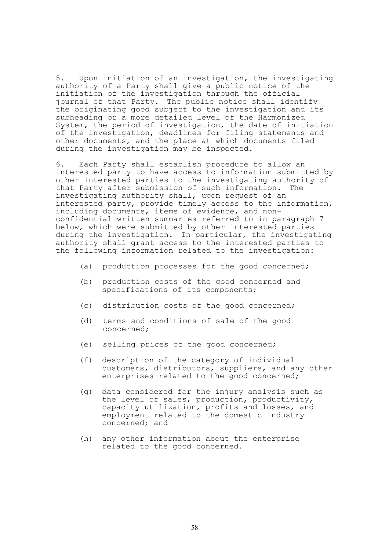5. Upon initiation of an investigation, the investigating authority of a Party shall give a public notice of the initiation of the investigation through the official journal of that Party. The public notice shall identify the originating good subject to the investigation and its subheading or a more detailed level of the Harmonized System, the period of investigation, the date of initiation of the investigation, deadlines for filing statements and other documents, and the place at which documents filed during the investigation may be inspected.

6. Each Party shall establish procedure to allow an interested party to have access to information submitted by other interested parties to the investigating authority of that Party after submission of such information. The investigating authority shall, upon request of an interested party, provide timely access to the information, including documents, items of evidence, and nonconfidential written summaries referred to in paragraph 7 below, which were submitted by other interested parties during the investigation. In particular, the investigating authority shall grant access to the interested parties to the following information related to the investigation:

- (a) production processes for the good concerned;
- (b) production costs of the good concerned and specifications of its components;
- (c) distribution costs of the good concerned;
- (d) terms and conditions of sale of the good concerned;
- (e) selling prices of the good concerned;
- (f) description of the category of individual customers, distributors, suppliers, and any other enterprises related to the good concerned;
- (g) data considered for the injury analysis such as the level of sales, production, productivity, capacity utilization, profits and losses, and employment related to the domestic industry concerned; and
- (h) any other information about the enterprise related to the good concerned.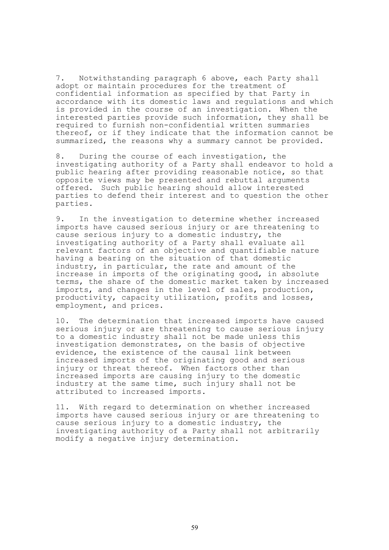7. Notwithstanding paragraph 6 above, each Party shall adopt or maintain procedures for the treatment of confidential information as specified by that Party in accordance with its domestic laws and regulations and which is provided in the course of an investigation. When the interested parties provide such information, they shall be required to furnish non-confidential written summaries thereof, or if they indicate that the information cannot be summarized, the reasons why a summary cannot be provided.

8. During the course of each investigation, the investigating authority of a Party shall endeavor to hold a public hearing after providing reasonable notice, so that opposite views may be presented and rebuttal arguments offered. Such public hearing should allow interested parties to defend their interest and to question the other parties.

9. In the investigation to determine whether increased imports have caused serious injury or are threatening to cause serious injury to a domestic industry, the investigating authority of a Party shall evaluate all relevant factors of an objective and quantifiable nature having a bearing on the situation of that domestic industry, in particular, the rate and amount of the increase in imports of the originating good, in absolute terms, the share of the domestic market taken by increased imports, and changes in the level of sales, production, productivity, capacity utilization, profits and losses, employment, and prices.

10. The determination that increased imports have caused serious injury or are threatening to cause serious injury to a domestic industry shall not be made unless this investigation demonstrates, on the basis of objective evidence, the existence of the causal link between increased imports of the originating good and serious injury or threat thereof. When factors other than increased imports are causing injury to the domestic industry at the same time, such injury shall not be attributed to increased imports.

11. With regard to determination on whether increased imports have caused serious injury or are threatening to cause serious injury to a domestic industry, the investigating authority of a Party shall not arbitrarily modify a negative injury determination.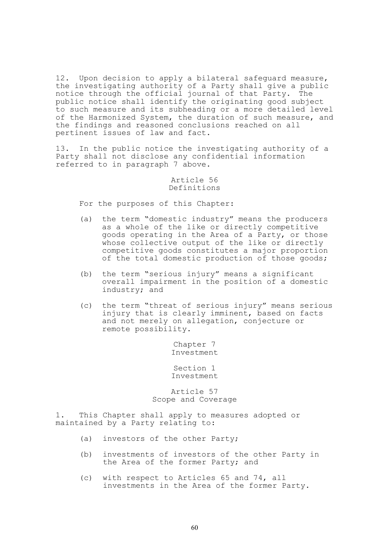12. Upon decision to apply a bilateral safeguard measure, the investigating authority of a Party shall give a public notice through the official journal of that Party. The public notice shall identify the originating good subject to such measure and its subheading or a more detailed level of the Harmonized System, the duration of such measure, and the findings and reasoned conclusions reached on all pertinent issues of law and fact.

13. In the public notice the investigating authority of a Party shall not disclose any confidential information referred to in paragraph 7 above.

## Article 56 Definitions

For the purposes of this Chapter:

- (a) the term "domestic industry" means the producers as a whole of the like or directly competitive goods operating in the Area of a Party, or those whose collective output of the like or directly competitive goods constitutes a major proportion of the total domestic production of those goods;
- (b) the term "serious injury" means a significant overall impairment in the position of a domestic industry; and
- (c) the term "threat of serious injury" means serious injury that is clearly imminent, based on facts and not merely on allegation, conjecture or remote possibility.

Chapter 7 Investment

Section 1 Investment

Article 57 Scope and Coverage

1. This Chapter shall apply to measures adopted or maintained by a Party relating to:

- (a) investors of the other Party;
- (b) investments of investors of the other Party in the Area of the former Party; and
- (c) with respect to Articles 65 and 74, all investments in the Area of the former Party.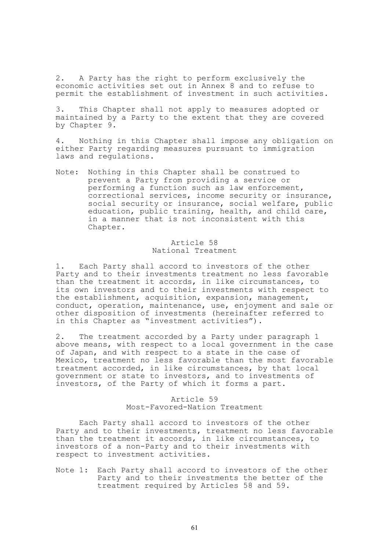2. A Party has the right to perform exclusively the economic activities set out in Annex 8 and to refuse to permit the establishment of investment in such activities.

3. This Chapter shall not apply to measures adopted or maintained by a Party to the extent that they are covered by Chapter 9.

4. Nothing in this Chapter shall impose any obligation on either Party regarding measures pursuant to immigration laws and regulations.

Note: Nothing in this Chapter shall be construed to prevent a Party from providing a service or performing a function such as law enforcement, correctional services, income security or insurance, social security or insurance, social welfare, public education, public training, health, and child care, in a manner that is not inconsistent with this Chapter.

## Article 58 National Treatment

1. Each Party shall accord to investors of the other Party and to their investments treatment no less favorable than the treatment it accords, in like circumstances, to its own investors and to their investments with respect to the establishment, acquisition, expansion, management, conduct, operation, maintenance, use, enjoyment and sale or other disposition of investments (hereinafter referred to in this Chapter as "investment activities").

2. The treatment accorded by a Party under paragraph 1 above means, with respect to a local government in the case of Japan, and with respect to a state in the case of Mexico, treatment no less favorable than the most favorable treatment accorded, in like circumstances, by that local government or state to investors, and to investments of investors, of the Party of which it forms a part.

## Article 59 Most-Favored-Nation Treatment

 Each Party shall accord to investors of the other Party and to their investments, treatment no less favorable than the treatment it accords, in like circumstances, to investors of a non-Party and to their investments with respect to investment activities.

Note 1: Each Party shall accord to investors of the other Party and to their investments the better of the treatment required by Articles 58 and 59.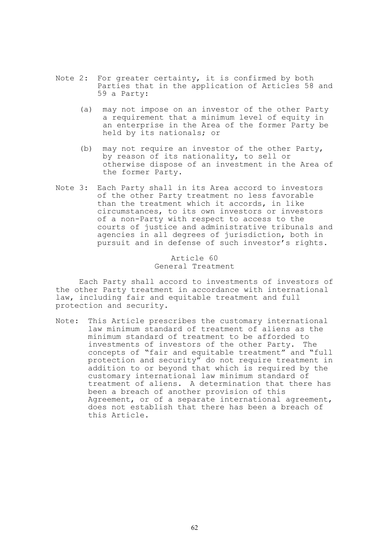- Note 2: For greater certainty, it is confirmed by both Parties that in the application of Articles 58 and 59 a Party:
	- (a) may not impose on an investor of the other Party a requirement that a minimum level of equity in an enterprise in the Area of the former Party be held by its nationals; or
	- (b) may not require an investor of the other Party, by reason of its nationality, to sell or otherwise dispose of an investment in the Area of the former Party.
- Note 3: Each Party shall in its Area accord to investors of the other Party treatment no less favorable than the treatment which it accords, in like circumstances, to its own investors or investors of a non-Party with respect to access to the courts of justice and administrative tribunals and agencies in all degrees of jurisdiction, both in pursuit and in defense of such investor's rights.

#### Article 60 General Treatment

 Each Party shall accord to investments of investors of the other Party treatment in accordance with international law, including fair and equitable treatment and full protection and security.

Note: This Article prescribes the customary international law minimum standard of treatment of aliens as the minimum standard of treatment to be afforded to investments of investors of the other Party. The concepts of "fair and equitable treatment" and "full protection and security" do not require treatment in addition to or beyond that which is required by the customary international law minimum standard of treatment of aliens. A determination that there has been a breach of another provision of this Agreement, or of a separate international agreement, does not establish that there has been a breach of this Article.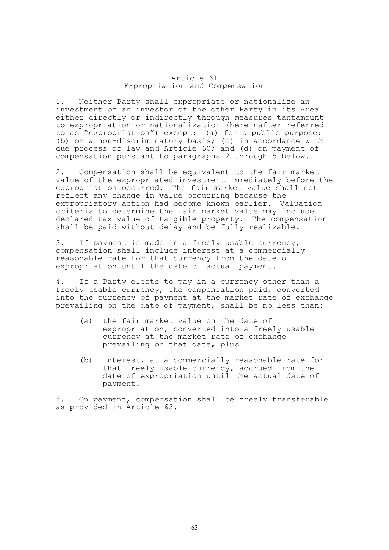#### Article 61 Expropriation and Compensation

1. Neither Party shall expropriate or nationalize an investment of an investor of the other Party in its Area either directly or indirectly through measures tantamount to expropriation or nationalization (hereinafter referred to as "expropriation") except: (a) for a public purpose; (b) on a non-discriminatory basis; (c) in accordance with due process of law and Article 60; and (d) on payment of compensation pursuant to paragraphs 2 through 5 below.

2. Compensation shall be equivalent to the fair market value of the expropriated investment immediately before the expropriation occurred. The fair market value shall not reflect any change in value occurring because the expropriatory action had become known earlier. Valuation criteria to determine the fair market value may include declared tax value of tangible property. The compensation shall be paid without delay and be fully realizable.

3. If payment is made in a freely usable currency, compensation shall include interest at a commercially reasonable rate for that currency from the date of expropriation until the date of actual payment.

4. If a Party elects to pay in a currency other than a freely usable currency, the compensation paid, converted into the currency of payment at the market rate of exchange prevailing on the date of payment, shall be no less than:

- (a) the fair market value on the date of expropriation, converted into a freely usable currency at the market rate of exchange prevailing on that date, plus
- (b) interest, at a commercially reasonable rate for that freely usable currency, accrued from the date of expropriation until the actual date of payment.

5. On payment, compensation shall be freely transferable as provided in Article 63.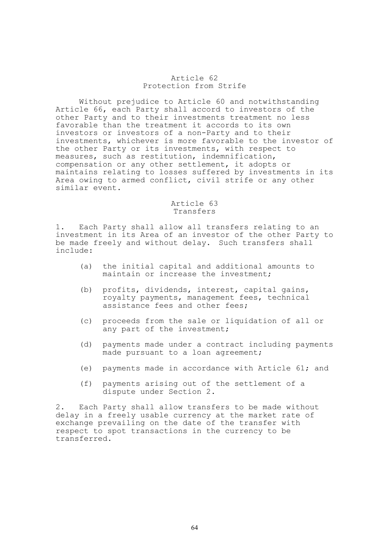## Article 62 Protection from Strife

 Without prejudice to Article 60 and notwithstanding Article 66, each Party shall accord to investors of the other Party and to their investments treatment no less favorable than the treatment it accords to its own investors or investors of a non-Party and to their investments, whichever is more favorable to the investor of the other Party or its investments, with respect to measures, such as restitution, indemnification, compensation or any other settlement, it adopts or maintains relating to losses suffered by investments in its Area owing to armed conflict, civil strife or any other similar event.

## Article 63 Transfers

1. Each Party shall allow all transfers relating to an investment in its Area of an investor of the other Party to be made freely and without delay. Such transfers shall include:

- (a) the initial capital and additional amounts to maintain or increase the investment;
- (b) profits, dividends, interest, capital gains, royalty payments, management fees, technical assistance fees and other fees;
	- (c) proceeds from the sale or liquidation of all or any part of the investment;
	- (d) payments made under a contract including payments made pursuant to a loan agreement;
	- (e) payments made in accordance with Article 61; and
	- (f) payments arising out of the settlement of a dispute under Section 2.

2. Each Party shall allow transfers to be made without delay in a freely usable currency at the market rate of exchange prevailing on the date of the transfer with respect to spot transactions in the currency to be transferred.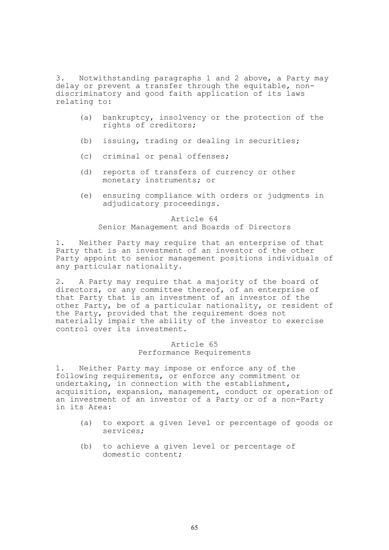3. Notwithstanding paragraphs 1 and 2 above, a Party may delay or prevent a transfer through the equitable, nondiscriminatory and good faith application of its laws relating to:

- (a) bankruptcy, insolvency or the protection of the rights of creditors;
- (b) issuing, trading or dealing in securities;
- (c) criminal or penal offenses;
- (d) reports of transfers of currency or other monetary instruments; or
- (e) ensuring compliance with orders or judgments in adjudicatory proceedings.

## Article 64 Senior Management and Boards of Directors

1. Neither Party may require that an enterprise of that Party that is an investment of an investor of the other Party appoint to senior management positions individuals of any particular nationality.

2. A Party may require that a majority of the board of directors, or any committee thereof, of an enterprise of that Party that is an investment of an investor of the other Party, be of a particular nationality, or resident of the Party, provided that the requirement does not materially impair the ability of the investor to exercise control over its investment.

## Article 65 Performance Requirements

1. Neither Party may impose or enforce any of the following requirements, or enforce any commitment or undertaking, in connection with the establishment, acquisition, expansion, management, conduct or operation of an investment of an investor of a Party or of a non-Party in its Area:

- (a) to export a given level or percentage of goods or services;
- (b) to achieve a given level or percentage of domestic content;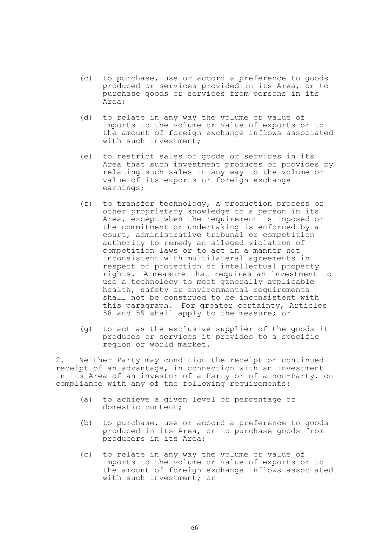- (c) to purchase, use or accord a preference to goods produced or services provided in its Area, or to purchase goods or services from persons in its Area;
- (d) to relate in any way the volume or value of imports to the volume or value of exports or to the amount of foreign exchange inflows associated with such investment;
- (e) to restrict sales of goods or services in its Area that such investment produces or provides by relating such sales in any way to the volume or value of its exports or foreign exchange earnings;
- (f) to transfer technology, a production process or other proprietary knowledge to a person in its Area, except when the requirement is imposed or the commitment or undertaking is enforced by a court, administrative tribunal or competition authority to remedy an alleged violation of competition laws or to act in a manner not inconsistent with multilateral agreements in respect of protection of intellectual property rights. A measure that requires an investment to use a technology to meet generally applicable health, safety or environmental requirements shall not be construed to be inconsistent with this paragraph. For greater certainty, Articles 58 and 59 shall apply to the measure; or
- (g) to act as the exclusive supplier of the goods it produces or services it provides to a specific region or world market.

2. Neither Party may condition the receipt or continued receipt of an advantage, in connection with an investment in its Area of an investor of a Party or of a non-Party, on compliance with any of the following requirements:

- (a) to achieve a given level or percentage of domestic content;
- (b) to purchase, use or accord a preference to goods produced in its Area, or to purchase goods from producers in its Area;
- (c) to relate in any way the volume or value of imports to the volume or value of exports or to the amount of foreign exchange inflows associated with such investment; or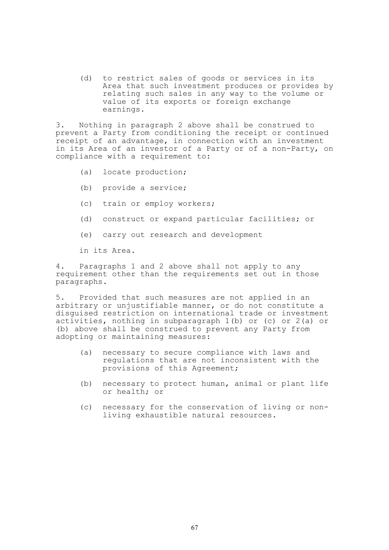(d) to restrict sales of goods or services in its Area that such investment produces or provides by relating such sales in any way to the volume or value of its exports or foreign exchange earnings.

3. Nothing in paragraph 2 above shall be construed to prevent a Party from conditioning the receipt or continued receipt of an advantage, in connection with an investment in its Area of an investor of a Party or of a non-Party, on compliance with a requirement to:

- (a) locate production;
- (b) provide a service;
- (c) train or employ workers;
- (d) construct or expand particular facilities; or
- (e) carry out research and development

in its Area.

4. Paragraphs 1 and 2 above shall not apply to any requirement other than the requirements set out in those paragraphs.

5. Provided that such measures are not applied in an arbitrary or unjustifiable manner, or do not constitute a disguised restriction on international trade or investment activities, nothing in subparagraph 1(b) or (c) or 2(a) or (b) above shall be construed to prevent any Party from adopting or maintaining measures:

- (a) necessary to secure compliance with laws and regulations that are not inconsistent with the provisions of this Agreement;
- (b) necessary to protect human, animal or plant life or health; or
- (c) necessary for the conservation of living or nonliving exhaustible natural resources.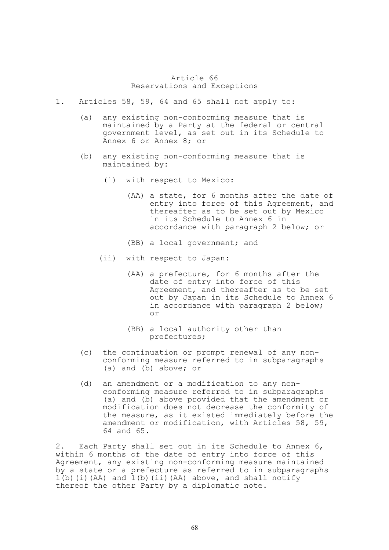## Article 66 Reservations and Exceptions

- 1. Articles 58, 59, 64 and 65 shall not apply to:
	- (a) any existing non-conforming measure that is maintained by a Party at the federal or central government level, as set out in its Schedule to Annex 6 or Annex 8; or
	- (b) any existing non-conforming measure that is maintained by:
		- (i) with respect to Mexico:
			- (AA) a state, for 6 months after the date of entry into force of this Agreement, and thereafter as to be set out by Mexico in its Schedule to Annex 6 in accordance with paragraph 2 below; or
			- (BB) a local government; and
		- (ii) with respect to Japan:
			- (AA) a prefecture, for 6 months after the date of entry into force of this Agreement, and thereafter as to be set out by Japan in its Schedule to Annex 6 in accordance with paragraph 2 below; or
			- (BB) a local authority other than prefectures;
	- (c) the continuation or prompt renewal of any nonconforming measure referred to in subparagraphs (a) and (b) above; or
	- (d) an amendment or a modification to any nonconforming measure referred to in subparagraphs (a) and (b) above provided that the amendment or modification does not decrease the conformity of the measure, as it existed immediately before the amendment or modification, with Articles 58, 59, 64 and 65.

2. Each Party shall set out in its Schedule to Annex 6, within 6 months of the date of entry into force of this Agreement, any existing non-conforming measure maintained by a state or a prefecture as referred to in subparagraphs  $1(b)$ (i)(AA) and  $1(b)$ (ii)(AA) above, and shall notify thereof the other Party by a diplomatic note.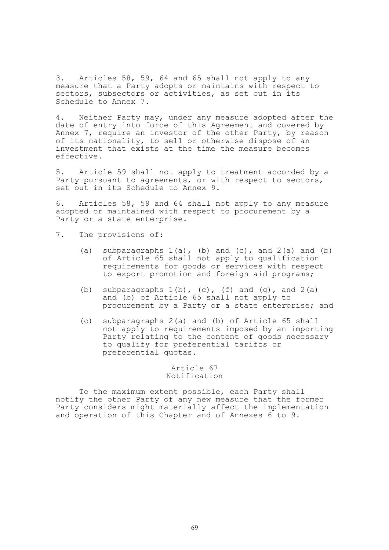3. Articles 58, 59, 64 and 65 shall not apply to any measure that a Party adopts or maintains with respect to sectors, subsectors or activities, as set out in its Schedule to Annex 7.

4. Neither Party may, under any measure adopted after the date of entry into force of this Agreement and covered by Annex 7, require an investor of the other Party, by reason of its nationality, to sell or otherwise dispose of an investment that exists at the time the measure becomes effective.

5. Article 59 shall not apply to treatment accorded by a Party pursuant to agreements, or with respect to sectors, set out in its Schedule to Annex 9.

6. Articles 58, 59 and 64 shall not apply to any measure adopted or maintained with respect to procurement by a Party or a state enterprise.

- 7. The provisions of:
	- (a) subparagraphs  $1(a)$ , (b) and (c), and  $2(a)$  and (b) of Article 65 shall not apply to qualification requirements for goods or services with respect to export promotion and foreign aid programs;
- (b) subparagraphs  $1(b)$ , (c), (f) and (g), and  $2(a)$ and (b) of Article 65 shall not apply to procurement by a Party or a state enterprise; and
	- (c) subparagraphs 2(a) and (b) of Article 65 shall not apply to requirements imposed by an importing Party relating to the content of goods necessary to qualify for preferential tariffs or preferential quotas.

#### Article 67 Notification

 To the maximum extent possible, each Party shall notify the other Party of any new measure that the former Party considers might materially affect the implementation and operation of this Chapter and of Annexes 6 to 9.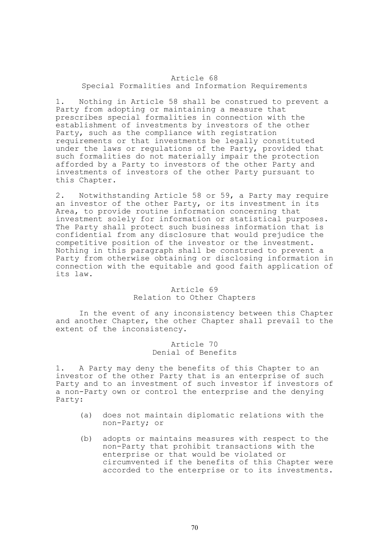### Article 68 Special Formalities and Information Requirements

1. Nothing in Article 58 shall be construed to prevent a Party from adopting or maintaining a measure that prescribes special formalities in connection with the establishment of investments by investors of the other Party, such as the compliance with registration requirements or that investments be legally constituted under the laws or regulations of the Party, provided that such formalities do not materially impair the protection afforded by a Party to investors of the other Party and investments of investors of the other Party pursuant to this Chapter.

2. Notwithstanding Article 58 or 59, a Party may require an investor of the other Party, or its investment in its Area, to provide routine information concerning that investment solely for information or statistical purposes. The Party shall protect such business information that is confidential from any disclosure that would prejudice the competitive position of the investor or the investment. Nothing in this paragraph shall be construed to prevent a Party from otherwise obtaining or disclosing information in connection with the equitable and good faith application of its law.

## Article 69 Relation to Other Chapters

 In the event of any inconsistency between this Chapter and another Chapter, the other Chapter shall prevail to the extent of the inconsistency.

## Article 70 Denial of Benefits

1. A Party may deny the benefits of this Chapter to an investor of the other Party that is an enterprise of such Party and to an investment of such investor if investors of a non-Party own or control the enterprise and the denying Party:

- (a) does not maintain diplomatic relations with the non-Party; or
- (b) adopts or maintains measures with respect to the non-Party that prohibit transactions with the enterprise or that would be violated or circumvented if the benefits of this Chapter were accorded to the enterprise or to its investments.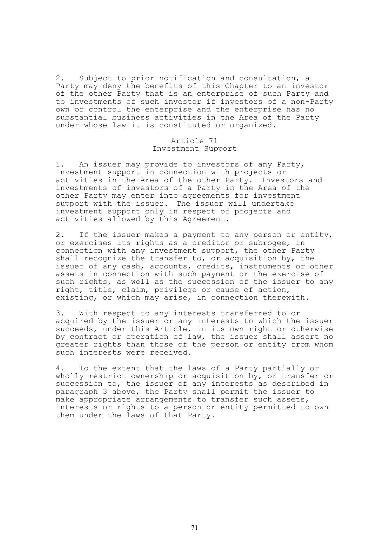2. Subject to prior notification and consultation, a Party may deny the benefits of this Chapter to an investor of the other Party that is an enterprise of such Party and to investments of such investor if investors of a non-Party own or control the enterprise and the enterprise has no substantial business activities in the Area of the Party under whose law it is constituted or organized.

#### Article 71 Investment Support

1. An issuer may provide to investors of any Party, investment support in connection with projects or activities in the Area of the other Party. Investors and investments of investors of a Party in the Area of the other Party may enter into agreements for investment support with the issuer. The issuer will undertake investment support only in respect of projects and activities allowed by this Agreement.

2. If the issuer makes a payment to any person or entity, or exercises its rights as a creditor or subrogee, in connection with any investment support, the other Party shall recognize the transfer to, or acquisition by, the issuer of any cash, accounts, credits, instruments or other assets in connection with such payment or the exercise of such rights, as well as the succession of the issuer to any right, title, claim, privilege or cause of action, existing, or which may arise, in connection therewith.

3. With respect to any interests transferred to or acquired by the issuer or any interests to which the issuer succeeds, under this Article, in its own right or otherwise by contract or operation of law, the issuer shall assert no greater rights than those of the person or entity from whom such interests were received.

4. To the extent that the laws of a Party partially or wholly restrict ownership or acquisition by, or transfer or succession to, the issuer of any interests as described in paragraph 3 above, the Party shall permit the issuer to make appropriate arrangements to transfer such assets, interests or rights to a person or entity permitted to own them under the laws of that Party.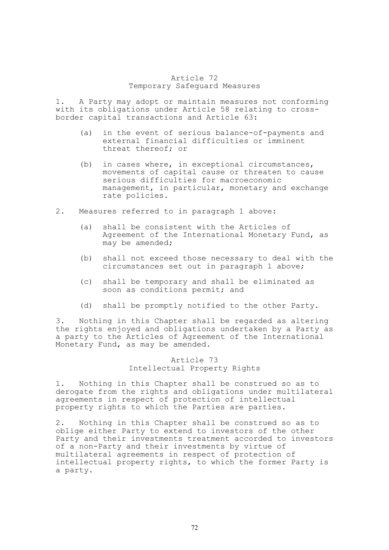## Article 72 Temporary Safeguard Measures

1. A Party may adopt or maintain measures not conforming with its obligations under Article 58 relating to crossborder capital transactions and Article 63:

- (a) in the event of serious balance-of-payments and external financial difficulties or imminent threat thereof; or
- (b) in cases where, in exceptional circumstances, movements of capital cause or threaten to cause serious difficulties for macroeconomic management, in particular, monetary and exchange rate policies.
- 2. Measures referred to in paragraph 1 above:
	- (a) shall be consistent with the Articles of Agreement of the International Monetary Fund, as may be amended;
	- (b) shall not exceed those necessary to deal with the circumstances set out in paragraph 1 above;
	- (c) shall be temporary and shall be eliminated as soon as conditions permit; and
	- (d) shall be promptly notified to the other Party.

3. Nothing in this Chapter shall be regarded as altering the rights enjoyed and obligations undertaken by a Party as a party to the Articles of Agreement of the International Monetary Fund, as may be amended.

# Article 73 Intellectual Property Rights

1. Nothing in this Chapter shall be construed so as to derogate from the rights and obligations under multilateral agreements in respect of protection of intellectual property rights to which the Parties are parties.

2. Nothing in this Chapter shall be construed so as to oblige either Party to extend to investors of the other Party and their investments treatment accorded to investors of a non-Party and their investments by virtue of multilateral agreements in respect of protection of intellectual property rights, to which the former Party is a party.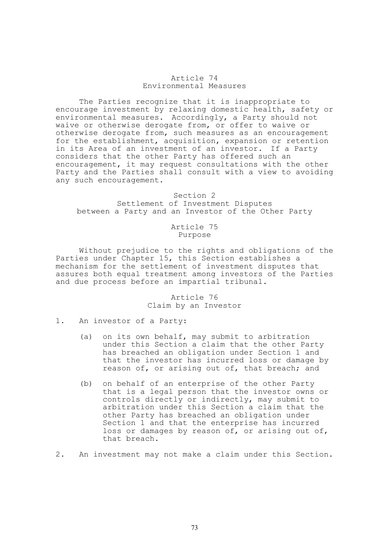### Article 74 Environmental Measures

 The Parties recognize that it is inappropriate to encourage investment by relaxing domestic health, safety or environmental measures. Accordingly, a Party should not waive or otherwise derogate from, or offer to waive or otherwise derogate from, such measures as an encouragement for the establishment, acquisition, expansion or retention in its Area of an investment of an investor. If a Party considers that the other Party has offered such an encouragement, it may request consultations with the other Party and the Parties shall consult with a view to avoiding any such encouragement.

# Section 2

Settlement of Investment Disputes between a Party and an Investor of the Other Party

## Article 75 Purpose

 Without prejudice to the rights and obligations of the Parties under Chapter 15, this Section establishes a mechanism for the settlement of investment disputes that assures both equal treatment among investors of the Parties and due process before an impartial tribunal.

# Article 76 Claim by an Investor

- 1. An investor of a Party:
	- (a) on its own behalf, may submit to arbitration under this Section a claim that the other Party has breached an obligation under Section 1 and that the investor has incurred loss or damage by reason of, or arising out of, that breach; and
	- (b) on behalf of an enterprise of the other Party that is a legal person that the investor owns or controls directly or indirectly, may submit to arbitration under this Section a claim that the other Party has breached an obligation under Section 1 and that the enterprise has incurred loss or damages by reason of, or arising out of, that breach.
- 2. An investment may not make a claim under this Section.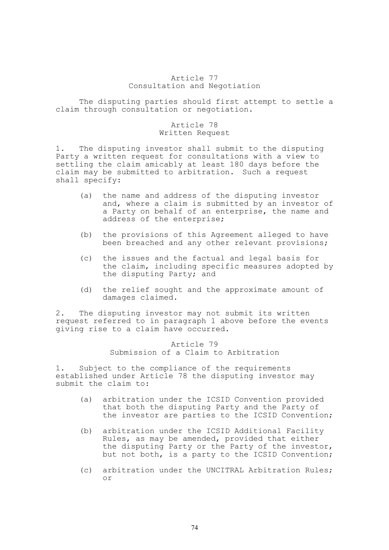## Article 77 Consultation and Negotiation

 The disputing parties should first attempt to settle a claim through consultation or negotiation.

## Article 78 Written Request

1. The disputing investor shall submit to the disputing Party a written request for consultations with a view to settling the claim amicably at least 180 days before the claim may be submitted to arbitration. Such a request shall specify:

- (a) the name and address of the disputing investor and, where a claim is submitted by an investor of a Party on behalf of an enterprise, the name and address of the enterprise;
- (b) the provisions of this Agreement alleged to have been breached and any other relevant provisions;
- (c) the issues and the factual and legal basis for the claim, including specific measures adopted by the disputing Party; and
- (d) the relief sought and the approximate amount of damages claimed.

2. The disputing investor may not submit its written request referred to in paragraph 1 above before the events giving rise to a claim have occurred.

> Article 79 Submission of a Claim to Arbitration

1. Subject to the compliance of the requirements established under Article 78 the disputing investor may submit the claim to:

- (a) arbitration under the ICSID Convention provided that both the disputing Party and the Party of the investor are parties to the ICSID Convention;
- (b) arbitration under the ICSID Additional Facility Rules, as may be amended, provided that either the disputing Party or the Party of the investor, but not both, is a party to the ICSID Convention;
- (c) arbitration under the UNCITRAL Arbitration Rules; or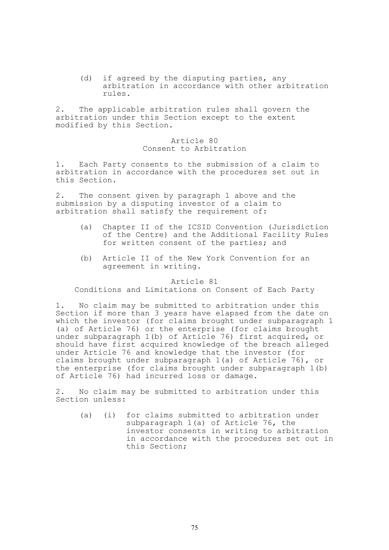(d) if agreed by the disputing parties, any arbitration in accordance with other arbitration rules.

2. The applicable arbitration rules shall govern the arbitration under this Section except to the extent modified by this Section.

## Article 80 Consent to Arbitration

1. Each Party consents to the submission of a claim to arbitration in accordance with the procedures set out in this Section.

2. The consent given by paragraph 1 above and the submission by a disputing investor of a claim to arbitration shall satisfy the requirement of:

- (a) Chapter II of the ICSID Convention (Jurisdiction of the Centre) and the Additional Facility Rules for written consent of the parties; and
- (b) Article II of the New York Convention for an agreement in writing.

## Article 81

Conditions and Limitations on Consent of Each Party

1. No claim may be submitted to arbitration under this Section if more than 3 years have elapsed from the date on which the investor (for claims brought under subparagraph 1 (a) of Article 76) or the enterprise (for claims brought under subparagraph 1(b) of Article 76) first acquired, or should have first acquired knowledge of the breach alleged under Article 76 and knowledge that the investor (for claims brought under subparagraph 1(a) of Article 76), or the enterprise (for claims brought under subparagraph 1(b) of Article 76) had incurred loss or damage.

2. No claim may be submitted to arbitration under this Section unless:

 (a) (i) for claims submitted to arbitration under subparagraph 1(a) of Article 76, the investor consents in writing to arbitration in accordance with the procedures set out in this Section;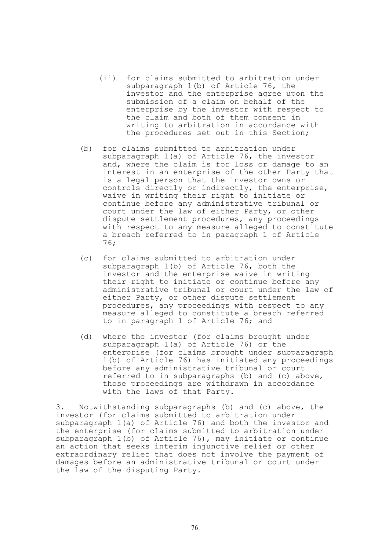- (ii) for claims submitted to arbitration under subparagraph 1(b) of Article 76, the investor and the enterprise agree upon the submission of a claim on behalf of the enterprise by the investor with respect to the claim and both of them consent in writing to arbitration in accordance with the procedures set out in this Section;
- (b) for claims submitted to arbitration under subparagraph 1(a) of Article 76, the investor and, where the claim is for loss or damage to an interest in an enterprise of the other Party that is a legal person that the investor owns or controls directly or indirectly, the enterprise, waive in writing their right to initiate or continue before any administrative tribunal or court under the law of either Party, or other dispute settlement procedures, any proceedings with respect to any measure alleged to constitute a breach referred to in paragraph 1 of Article 76;
- (c) for claims submitted to arbitration under subparagraph 1(b) of Article 76, both the investor and the enterprise waive in writing their right to initiate or continue before any administrative tribunal or court under the law of either Party, or other dispute settlement procedures, any proceedings with respect to any measure alleged to constitute a breach referred to in paragraph 1 of Article 76; and
- (d) where the investor (for claims brought under subparagraph 1(a) of Article 76) or the enterprise (for claims brought under subparagraph 1(b) of Article 76) has initiated any proceedings before any administrative tribunal or court referred to in subparagraphs (b) and (c) above, those proceedings are withdrawn in accordance with the laws of that Party.

3. Notwithstanding subparagraphs (b) and (c) above, the investor (for claims submitted to arbitration under subparagraph 1(a) of Article 76) and both the investor and the enterprise (for claims submitted to arbitration under subparagraph 1(b) of Article 76), may initiate or continue an action that seeks interim injunctive relief or other extraordinary relief that does not involve the payment of damages before an administrative tribunal or court under the law of the disputing Party.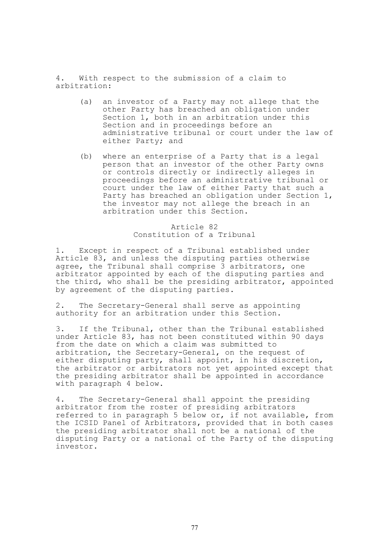4. With respect to the submission of a claim to arbitration:

- (a) an investor of a Party may not allege that the other Party has breached an obligation under Section 1, both in an arbitration under this Section and in proceedings before an administrative tribunal or court under the law of either Party; and
- (b) where an enterprise of a Party that is a legal person that an investor of the other Party owns or controls directly or indirectly alleges in proceedings before an administrative tribunal or court under the law of either Party that such a Party has breached an obligation under Section 1, the investor may not allege the breach in an arbitration under this Section.

## Article 82 Constitution of a Tribunal

1. Except in respect of a Tribunal established under Article 83, and unless the disputing parties otherwise agree, the Tribunal shall comprise 3 arbitrators, one arbitrator appointed by each of the disputing parties and the third, who shall be the presiding arbitrator, appointed by agreement of the disputing parties.

2. The Secretary-General shall serve as appointing authority for an arbitration under this Section.

3. If the Tribunal, other than the Tribunal established under Article 83, has not been constituted within 90 days from the date on which a claim was submitted to arbitration, the Secretary-General, on the request of either disputing party, shall appoint, in his discretion, the arbitrator or arbitrators not yet appointed except that the presiding arbitrator shall be appointed in accordance with paragraph 4 below.

4. The Secretary-General shall appoint the presiding arbitrator from the roster of presiding arbitrators referred to in paragraph 5 below or, if not available, from the ICSID Panel of Arbitrators, provided that in both cases the presiding arbitrator shall not be a national of the disputing Party or a national of the Party of the disputing investor.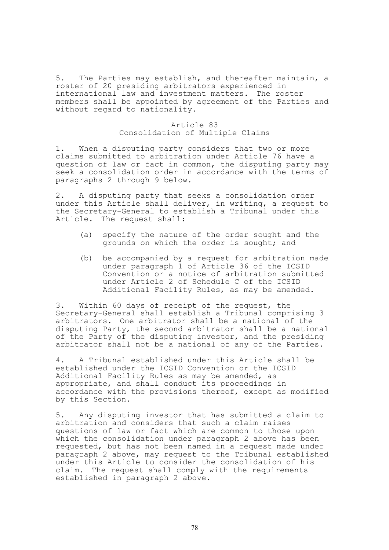5. The Parties may establish, and thereafter maintain, a roster of 20 presiding arbitrators experienced in international law and investment matters. The roster members shall be appointed by agreement of the Parties and without regard to nationality.

# Article 83 Consolidation of Multiple Claims

1. When a disputing party considers that two or more claims submitted to arbitration under Article 76 have a question of law or fact in common, the disputing party may seek a consolidation order in accordance with the terms of paragraphs 2 through 9 below.

2. A disputing party that seeks a consolidation order under this Article shall deliver, in writing, a request to the Secretary-General to establish a Tribunal under this Article. The request shall:

- (a) specify the nature of the order sought and the grounds on which the order is sought; and
- (b) be accompanied by a request for arbitration made under paragraph 1 of Article 36 of the ICSID Convention or a notice of arbitration submitted under Article 2 of Schedule C of the ICSID Additional Facility Rules, as may be amended.

3. Within 60 days of receipt of the request, the Secretary-General shall establish a Tribunal comprising 3 arbitrators. One arbitrator shall be a national of the disputing Party, the second arbitrator shall be a national of the Party of the disputing investor, and the presiding arbitrator shall not be a national of any of the Parties.

4. A Tribunal established under this Article shall be established under the ICSID Convention or the ICSID Additional Facility Rules as may be amended, as appropriate, and shall conduct its proceedings in accordance with the provisions thereof, except as modified by this Section.

5. Any disputing investor that has submitted a claim to arbitration and considers that such a claim raises questions of law or fact which are common to those upon which the consolidation under paragraph 2 above has been requested, but has not been named in a request made under paragraph 2 above, may request to the Tribunal established under this Article to consider the consolidation of his claim. The request shall comply with the requirements established in paragraph 2 above.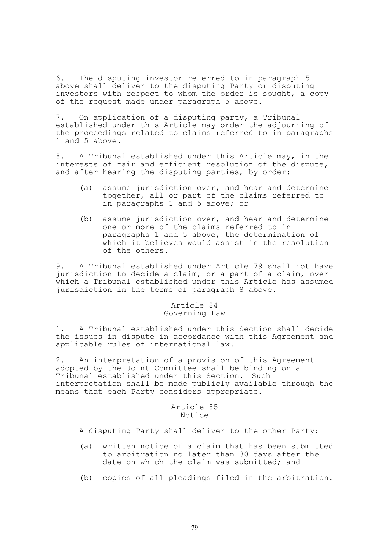6. The disputing investor referred to in paragraph 5 above shall deliver to the disputing Party or disputing investors with respect to whom the order is sought, a copy of the request made under paragraph 5 above.

7. On application of a disputing party, a Tribunal established under this Article may order the adjourning of the proceedings related to claims referred to in paragraphs 1 and 5 above.

8. A Tribunal established under this Article may, in the interests of fair and efficient resolution of the dispute, and after hearing the disputing parties, by order:

- (a) assume jurisdiction over, and hear and determine together, all or part of the claims referred to in paragraphs 1 and 5 above; or
- (b) assume jurisdiction over, and hear and determine one or more of the claims referred to in paragraphs 1 and 5 above, the determination of which it believes would assist in the resolution of the others.

9. A Tribunal established under Article 79 shall not have jurisdiction to decide a claim, or a part of a claim, over which a Tribunal established under this Article has assumed jurisdiction in the terms of paragraph 8 above.

## Article 84 Governing Law

1. A Tribunal established under this Section shall decide the issues in dispute in accordance with this Agreement and applicable rules of international law.

2. An interpretation of a provision of this Agreement adopted by the Joint Committee shall be binding on a Tribunal established under this Section. Such interpretation shall be made publicly available through the means that each Party considers appropriate.

#### Article 85 Notice

A disputing Party shall deliver to the other Party:

- (a) written notice of a claim that has been submitted to arbitration no later than 30 days after the date on which the claim was submitted; and
- (b) copies of all pleadings filed in the arbitration.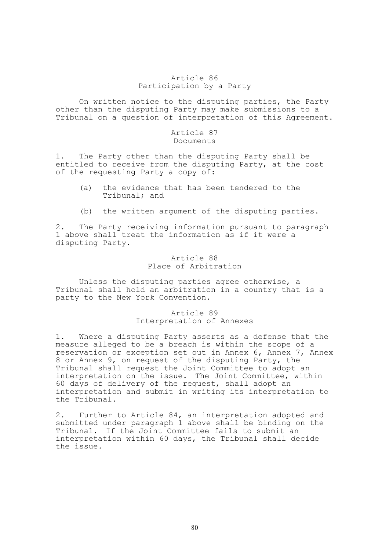### Article 86 Participation by a Party

 On written notice to the disputing parties, the Party other than the disputing Party may make submissions to a Tribunal on a question of interpretation of this Agreement.

#### Article 87 Documents

1. The Party other than the disputing Party shall be entitled to receive from the disputing Party, at the cost of the requesting Party a copy of:

- (a) the evidence that has been tendered to the Tribunal; and
- (b) the written argument of the disputing parties.

2. The Party receiving information pursuant to paragraph 1 above shall treat the information as if it were a disputing Party.

## Article 88 Place of Arbitration

 Unless the disputing parties agree otherwise, a Tribunal shall hold an arbitration in a country that is a party to the New York Convention.

# Article 89 Interpretation of Annexes

1. Where a disputing Party asserts as a defense that the measure alleged to be a breach is within the scope of a reservation or exception set out in Annex 6, Annex 7, Annex 8 or Annex 9, on request of the disputing Party, the Tribunal shall request the Joint Committee to adopt an interpretation on the issue. The Joint Committee, within 60 days of delivery of the request, shall adopt an interpretation and submit in writing its interpretation to the Tribunal.

2. Further to Article 84, an interpretation adopted and submitted under paragraph 1 above shall be binding on the Tribunal. If the Joint Committee fails to submit an interpretation within 60 days, the Tribunal shall decide the issue.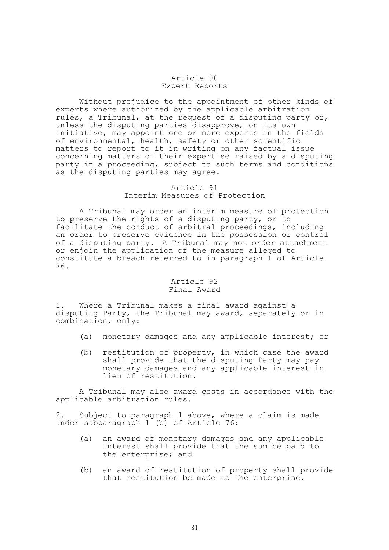#### Article 90 Expert Reports

 Without prejudice to the appointment of other kinds of experts where authorized by the applicable arbitration rules, a Tribunal, at the request of a disputing party or, unless the disputing parties disapprove, on its own initiative, may appoint one or more experts in the fields of environmental, health, safety or other scientific matters to report to it in writing on any factual issue concerning matters of their expertise raised by a disputing party in a proceeding, subject to such terms and conditions as the disputing parties may agree.

#### Article 91 Interim Measures of Protection

 A Tribunal may order an interim measure of protection to preserve the rights of a disputing party, or to facilitate the conduct of arbitral proceedings, including an order to preserve evidence in the possession or control of a disputing party. A Tribunal may not order attachment or enjoin the application of the measure alleged to constitute a breach referred to in paragraph 1 of Article 76.

# Article 92 Final Award

1. Where a Tribunal makes a final award against a disputing Party, the Tribunal may award, separately or in combination, only:

- (a) monetary damages and any applicable interest; or
- (b) restitution of property, in which case the award shall provide that the disputing Party may pay monetary damages and any applicable interest in lieu of restitution.

 A Tribunal may also award costs in accordance with the applicable arbitration rules.

2. Subject to paragraph 1 above, where a claim is made under subparagraph 1 (b) of Article 76:

- (a) an award of monetary damages and any applicable interest shall provide that the sum be paid to the enterprise; and
- (b) an award of restitution of property shall provide that restitution be made to the enterprise.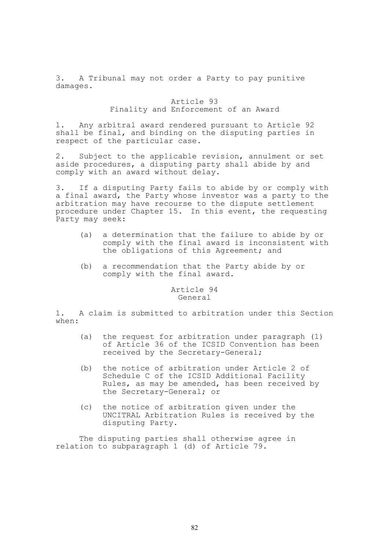3. A Tribunal may not order a Party to pay punitive damages.

## Article 93 Finality and Enforcement of an Award

1. Any arbitral award rendered pursuant to Article 92 shall be final, and binding on the disputing parties in respect of the particular case.

2. Subject to the applicable revision, annulment or set aside procedures, a disputing party shall abide by and comply with an award without delay.

3. If a disputing Party fails to abide by or comply with a final award, the Party whose investor was a party to the arbitration may have recourse to the dispute settlement procedure under Chapter 15. In this event, the requesting Party may seek:

- (a) a determination that the failure to abide by or comply with the final award is inconsistent with the obligations of this Agreement; and
- (b) a recommendation that the Party abide by or comply with the final award.

#### Article 94 General

1. A claim is submitted to arbitration under this Section when:

- (a) the request for arbitration under paragraph (1) of Article 36 of the ICSID Convention has been received by the Secretary-General;
- (b) the notice of arbitration under Article 2 of Schedule C of the ICSID Additional Facility Rules, as may be amended, has been received by the Secretary-General; or
- (c) the notice of arbitration given under the UNCITRAL Arbitration Rules is received by the disputing Party.

 The disputing parties shall otherwise agree in relation to subparagraph 1 (d) of Article 79.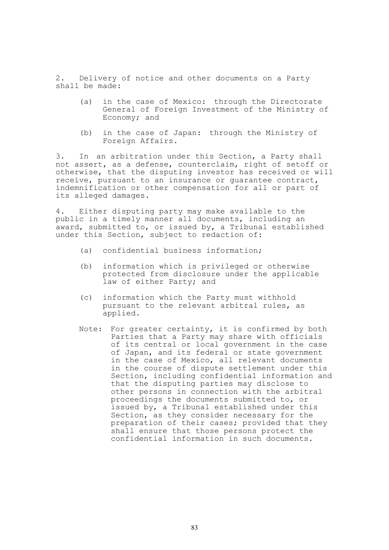2. Delivery of notice and other documents on a Party shall be made:

- (a) in the case of Mexico: through the Directorate General of Foreign Investment of the Ministry of Economy; and
- (b) in the case of Japan: through the Ministry of Foreign Affairs.

3. In an arbitration under this Section, a Party shall not assert, as a defense, counterclaim, right of setoff or otherwise, that the disputing investor has received or will receive, pursuant to an insurance or guarantee contract, indemnification or other compensation for all or part of its alleged damages.

4. Either disputing party may make available to the public in a timely manner all documents, including an award, submitted to, or issued by, a Tribunal established under this Section, subject to redaction of:

- (a) confidential business information;
- (b) information which is privileged or otherwise protected from disclosure under the applicable law of either Party; and
- (c) information which the Party must withhold pursuant to the relevant arbitral rules, as applied.
- Note: For greater certainty, it is confirmed by both Parties that a Party may share with officials of its central or local government in the case of Japan, and its federal or state government in the case of Mexico, all relevant documents in the course of dispute settlement under this Section, including confidential information and that the disputing parties may disclose to other persons in connection with the arbitral proceedings the documents submitted to, or issued by, a Tribunal established under this Section, as they consider necessary for the preparation of their cases; provided that they shall ensure that those persons protect the confidential information in such documents.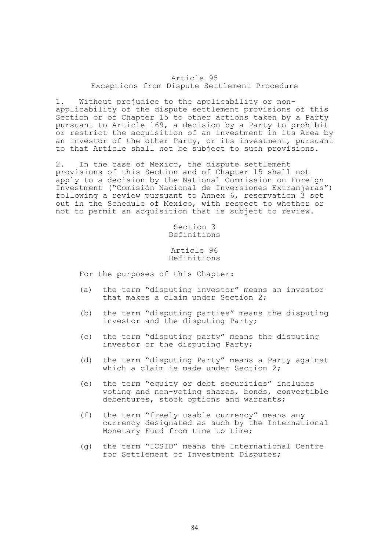#### Article 95 Exceptions from Dispute Settlement Procedure

1. Without prejudice to the applicability or nonapplicability of the dispute settlement provisions of this Section or of Chapter 15 to other actions taken by a Party pursuant to Article 169, a decision by a Party to prohibit or restrict the acquisition of an investment in its Area by an investor of the other Party, or its investment, pursuant to that Article shall not be subject to such provisions.

2. In the case of Mexico, the dispute settlement provisions of this Section and of Chapter 15 shall not apply to a decision by the National Commission on Foreign Investment ("Comisión Nacional de Inversiones Extranjeras") following a review pursuant to Annex 6, reservation 3 set out in the Schedule of Mexico, with respect to whether or not to permit an acquisition that is subject to review.

> Section 3 Definitions

## Article 96 Definitions

For the purposes of this Chapter:

- (a) the term "disputing investor" means an investor that makes a claim under Section 2;
- (b) the term "disputing parties" means the disputing investor and the disputing Party;
- (c) the term "disputing party" means the disputing investor or the disputing Party;
- (d) the term "disputing Party" means a Party against which a claim is made under Section 2;
- (e) the term "equity or debt securities" includes voting and non-voting shares, bonds, convertible debentures, stock options and warrants;
- (f) the term "freely usable currency" means any currency designated as such by the International Monetary Fund from time to time;
- (g) the term "ICSID" means the International Centre for Settlement of Investment Disputes;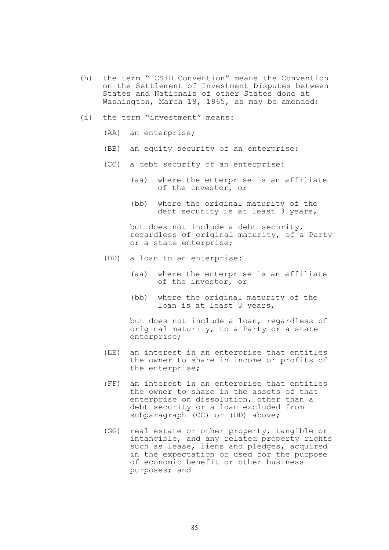- (h) the term "ICSID Convention" means the Convention on the Settlement of Investment Disputes between States and Nationals of other States done at Washington, March 18, 1965, as may be amended;
- (i) the term "investment" means:
	- (AA) an enterprise;
	- (BB) an equity security of an enterprise;
	- (CC) a debt security of an enterprise:
		- (aa) where the enterprise is an affiliate of the investor, or
		- (bb) where the original maturity of the debt security is at least 3 years,

 but does not include a debt security, regardless of original maturity, of a Party or a state enterprise;

- (DD) a loan to an enterprise:
	- (aa) where the enterprise is an affiliate of the investor, or
	- (bb) where the original maturity of the loan is at least 3 years,

 but does not include a loan, regardless of original maturity, to a Party or a state enterprise;

- (EE) an interest in an enterprise that entitles the owner to share in income or profits of the enterprise;
- (FF) an interest in an enterprise that entitles the owner to share in the assets of that enterprise on dissolution, other than a debt security or a loan excluded from subparagraph (CC) or (DD) above;
- (GG) real estate or other property, tangible or intangible, and any related property rights such as lease, liens and pledges, acquired in the expectation or used for the purpose of economic benefit or other business purposes; and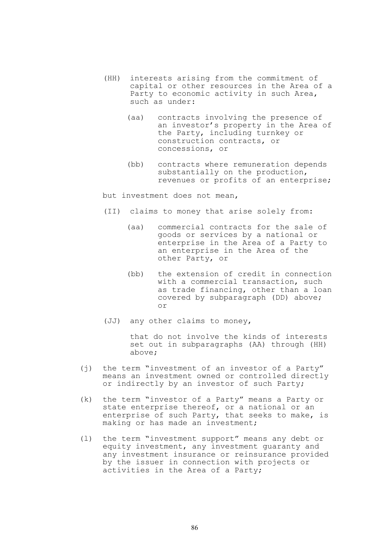- (HH) interests arising from the commitment of capital or other resources in the Area of a Party to economic activity in such Area, such as under:
	- (aa) contracts involving the presence of an investor's property in the Area of the Party, including turnkey or construction contracts, or concessions, or
	- (bb) contracts where remuneration depends substantially on the production, revenues or profits of an enterprise;
- but investment does not mean,
- (II) claims to money that arise solely from:
	- (aa) commercial contracts for the sale of goods or services by a national or enterprise in the Area of a Party to an enterprise in the Area of the other Party, or
	- (bb) the extension of credit in connection with a commercial transaction, such as trade financing, other than a loan covered by subparagraph (DD) above; or
- (JJ) any other claims to money,

 that do not involve the kinds of interests set out in subparagraphs (AA) through (HH) above;

- (j) the term "investment of an investor of a Party" means an investment owned or controlled directly or indirectly by an investor of such Party;
- (k) the term "investor of a Party" means a Party or state enterprise thereof, or a national or an enterprise of such Party, that seeks to make, is making or has made an investment;
- (l) the term "investment support" means any debt or equity investment, any investment guaranty and any investment insurance or reinsurance provided by the issuer in connection with projects or activities in the Area of a Party;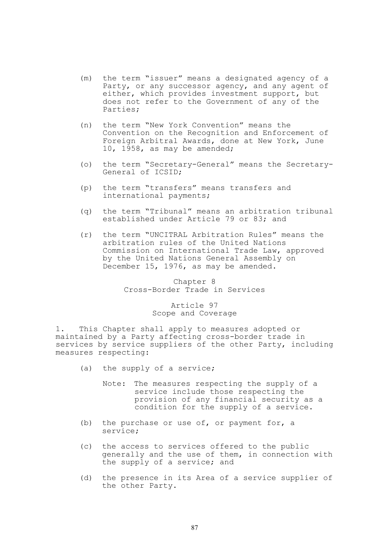- (m) the term "issuer" means a designated agency of a Party, or any successor agency, and any agent of either, which provides investment support, but does not refer to the Government of any of the Parties;
- (n) the term "New York Convention" means the Convention on the Recognition and Enforcement of Foreign Arbitral Awards, done at New York, June 10, 1958, as may be amended;
- (o) the term "Secretary-General" means the Secretary-General of ICSID;
- (p) the term "transfers" means transfers and international payments;
- (q) the term "Tribunal" means an arbitration tribunal established under Article 79 or 83; and
- (r) the term "UNCITRAL Arbitration Rules" means the arbitration rules of the United Nations Commission on International Trade Law, approved by the United Nations General Assembly on December 15, 1976, as may be amended.

Chapter 8 Cross-Border Trade in Services

## Article 97 Scope and Coverage

1. This Chapter shall apply to measures adopted or maintained by a Party affecting cross-border trade in services by service suppliers of the other Party, including measures respecting:

- (a) the supply of a service;
	- Note: The measures respecting the supply of a service include those respecting the provision of any financial security as a condition for the supply of a service.
- (b) the purchase or use of, or payment for, a service;
- (c) the access to services offered to the public generally and the use of them, in connection with the supply of a service; and
- (d) the presence in its Area of a service supplier of the other Party.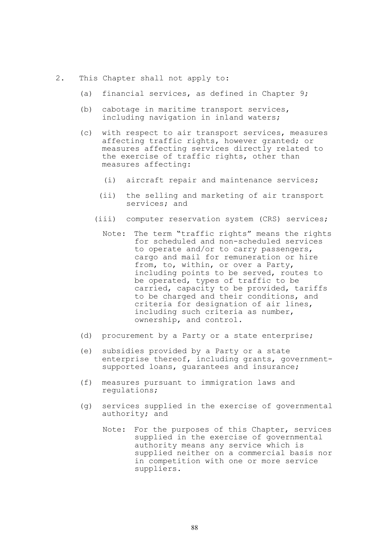- 2. This Chapter shall not apply to:
	- (a) financial services, as defined in Chapter 9;
	- (b) cabotage in maritime transport services, including navigation in inland waters;
	- (c) with respect to air transport services, measures affecting traffic rights, however granted; or measures affecting services directly related to the exercise of traffic rights, other than measures affecting:
		- (i) aircraft repair and maintenance services;
		- (ii) the selling and marketing of air transport services; and
		- (iii) computer reservation system (CRS) services;
			- Note: The term "traffic rights" means the rights for scheduled and non-scheduled services to operate and/or to carry passengers, cargo and mail for remuneration or hire from, to, within, or over a Party, including points to be served, routes to be operated, types of traffic to be carried, capacity to be provided, tariffs to be charged and their conditions, and criteria for designation of air lines, including such criteria as number, ownership, and control.
	- (d) procurement by a Party or a state enterprise;
	- (e) subsidies provided by a Party or a state enterprise thereof, including grants, governmentsupported loans, guarantees and insurance;
	- (f) measures pursuant to immigration laws and regulations;
	- (g) services supplied in the exercise of governmental authority; and
		- Note: For the purposes of this Chapter, services supplied in the exercise of governmental authority means any service which is supplied neither on a commercial basis nor in competition with one or more service suppliers.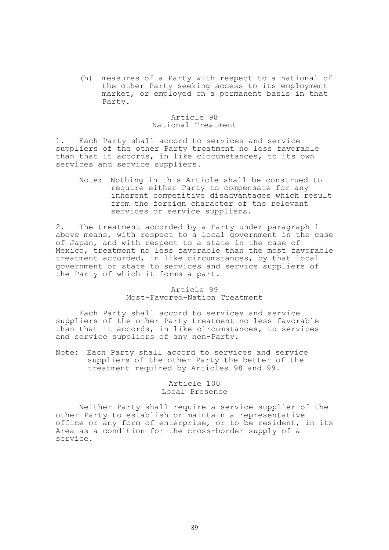(h) measures of a Party with respect to a national of the other Party seeking access to its employment market, or employed on a permanent basis in that Party.

#### Article 98 National Treatment

1. Each Party shall accord to services and service suppliers of the other Party treatment no less favorable than that it accords, in like circumstances, to its own services and service suppliers.

 Note: Nothing in this Article shall be construed to require either Party to compensate for any inherent competitive disadvantages which result from the foreign character of the relevant services or service suppliers.

2. The treatment accorded by a Party under paragraph 1 above means, with respect to a local government in the case of Japan, and with respect to a state in the case of Mexico, treatment no less favorable than the most favorable treatment accorded, in like circumstances, by that local government or state to services and service suppliers of the Party of which it forms a part.

# Article 99 Most-Favored-Nation Treatment

 Each Party shall accord to services and service suppliers of the other Party treatment no less favorable than that it accords, in like circumstances, to services and service suppliers of any non-Party.

Note: Each Party shall accord to services and service suppliers of the other Party the better of the treatment required by Articles 98 and 99.

# Article 100 Local Presence

 Neither Party shall require a service supplier of the other Party to establish or maintain a representative office or any form of enterprise, or to be resident, in its Area as a condition for the cross-border supply of a service.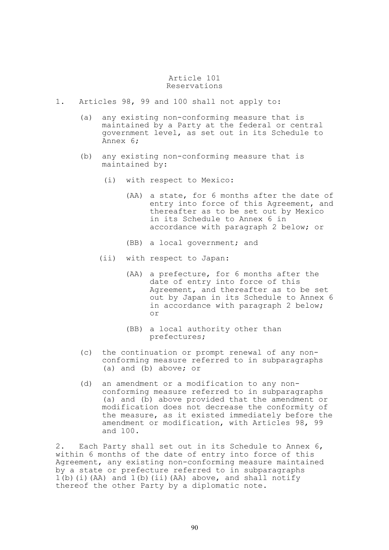## Article 101 Reservations

- 1. Articles 98, 99 and 100 shall not apply to:
	- (a) any existing non-conforming measure that is maintained by a Party at the federal or central government level, as set out in its Schedule to Annex 6;
	- (b) any existing non-conforming measure that is maintained by:
		- (i) with respect to Mexico:
			- (AA) a state, for 6 months after the date of entry into force of this Agreement, and thereafter as to be set out by Mexico in its Schedule to Annex 6 in accordance with paragraph 2 below; or
			- (BB) a local government; and
		- (ii) with respect to Japan:
			- (AA) a prefecture, for 6 months after the date of entry into force of this Agreement, and thereafter as to be set out by Japan in its Schedule to Annex 6 in accordance with paragraph 2 below; or
			- (BB) a local authority other than prefectures;
	- (c) the continuation or prompt renewal of any nonconforming measure referred to in subparagraphs (a) and (b) above; or
	- (d) an amendment or a modification to any nonconforming measure referred to in subparagraphs (a) and (b) above provided that the amendment or modification does not decrease the conformity of the measure, as it existed immediately before the amendment or modification, with Articles 98, 99 and 100.

2. Each Party shall set out in its Schedule to Annex 6, within 6 months of the date of entry into force of this Agreement, any existing non-conforming measure maintained by a state or prefecture referred to in subparagraphs  $1(b)$ (i)(AA) and  $1(b)$ (ii)(AA) above, and shall notify thereof the other Party by a diplomatic note.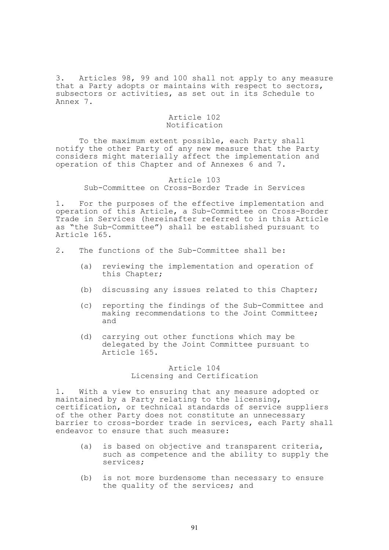3. Articles 98, 99 and 100 shall not apply to any measure that a Party adopts or maintains with respect to sectors, subsectors or activities, as set out in its Schedule to Annex 7.

## Article 102 Notification

 To the maximum extent possible, each Party shall notify the other Party of any new measure that the Party considers might materially affect the implementation and operation of this Chapter and of Annexes 6 and 7.

## Article 103 Sub-Committee on Cross-Border Trade in Services

1. For the purposes of the effective implementation and operation of this Article, a Sub-Committee on Cross-Border Trade in Services (hereinafter referred to in this Article as "the Sub-Committee") shall be established pursuant to Article 165.

- 2. The functions of the Sub-Committee shall be:
	- (a) reviewing the implementation and operation of this Chapter;
	- (b) discussing any issues related to this Chapter;
	- (c) reporting the findings of the Sub-Committee and making recommendations to the Joint Committee; and
	- (d) carrying out other functions which may be delegated by the Joint Committee pursuant to Article 165.

## Article 104 Licensing and Certification

1. With a view to ensuring that any measure adopted or maintained by a Party relating to the licensing, certification, or technical standards of service suppliers of the other Party does not constitute an unnecessary barrier to cross-border trade in services, each Party shall endeavor to ensure that such measure:

- (a) is based on objective and transparent criteria, such as competence and the ability to supply the services;
- (b) is not more burdensome than necessary to ensure the quality of the services; and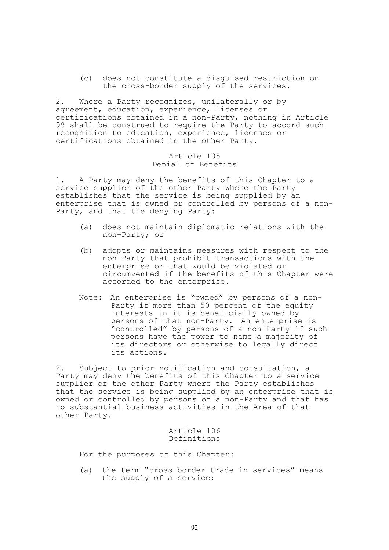(c) does not constitute a disguised restriction on the cross-border supply of the services.

2. Where a Party recognizes, unilaterally or by agreement, education, experience, licenses or certifications obtained in a non-Party, nothing in Article 99 shall be construed to require the Party to accord such recognition to education, experience, licenses or certifications obtained in the other Party.

> Article 105 Denial of Benefits

1. A Party may deny the benefits of this Chapter to a service supplier of the other Party where the Party establishes that the service is being supplied by an enterprise that is owned or controlled by persons of a non-Party, and that the denying Party:

- (a) does not maintain diplomatic relations with the non-Party; or
- (b) adopts or maintains measures with respect to the non-Party that prohibit transactions with the enterprise or that would be violated or circumvented if the benefits of this Chapter were accorded to the enterprise.
- Note: An enterprise is "owned" by persons of a non-Party if more than 50 percent of the equity interests in it is beneficially owned by persons of that non-Party. An enterprise is "controlled" by persons of a non-Party if such persons have the power to name a majority of its directors or otherwise to legally direct its actions.

2. Subject to prior notification and consultation, a Party may deny the benefits of this Chapter to a service supplier of the other Party where the Party establishes that the service is being supplied by an enterprise that is owned or controlled by persons of a non-Party and that has no substantial business activities in the Area of that other Party.

#### Article 106 Definitions

For the purposes of this Chapter:

 (a) the term "cross-border trade in services" means the supply of a service: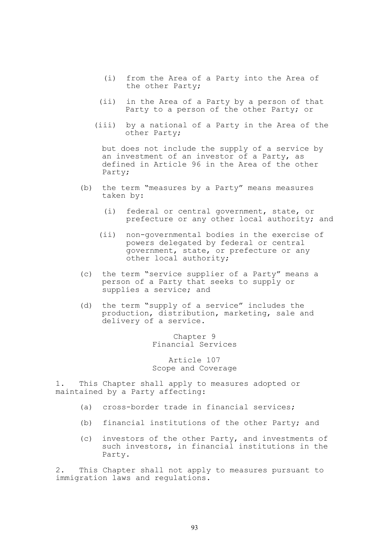- (i) from the Area of a Party into the Area of the other Party;
- (ii) in the Area of a Party by a person of that Party to a person of the other Party; or
- (iii) by a national of a Party in the Area of the other Party;

but does not include the supply of a service by an investment of an investor of a Party, as defined in Article 96 in the Area of the other Party;

- (b) the term "measures by a Party" means measures taken by:
	- (i) federal or central government, state, or prefecture or any other local authority; and
	- (ii) non-governmental bodies in the exercise of powers delegated by federal or central government, state, or prefecture or any other local authority;
- (c) the term "service supplier of a Party" means a person of a Party that seeks to supply or supplies a service; and
- (d) the term "supply of a service" includes the production, distribution, marketing, sale and delivery of a service.

Chapter 9 Financial Services

Article 107 Scope and Coverage

1. This Chapter shall apply to measures adopted or maintained by a Party affecting:

- (a) cross-border trade in financial services;
- (b) financial institutions of the other Party; and
- (c) investors of the other Party, and investments of such investors, in financial institutions in the Party.

2. This Chapter shall not apply to measures pursuant to immigration laws and regulations.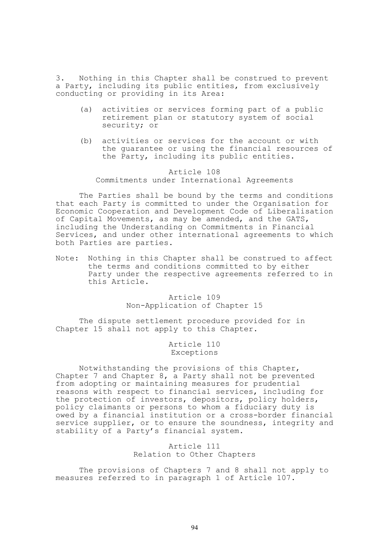3. Nothing in this Chapter shall be construed to prevent a Party, including its public entities, from exclusively conducting or providing in its Area:

- (a) activities or services forming part of a public retirement plan or statutory system of social security; or
- (b) activities or services for the account or with the guarantee or using the financial resources of the Party, including its public entities.

## Article 108 Commitments under International Agreements

 The Parties shall be bound by the terms and conditions that each Party is committed to under the Organisation for Economic Cooperation and Development Code of Liberalisation of Capital Movements, as may be amended, and the GATS, including the Understanding on Commitments in Financial Services, and under other international agreements to which both Parties are parties.

Note: Nothing in this Chapter shall be construed to affect the terms and conditions committed to by either Party under the respective agreements referred to in this Article.

## Article 109 Non-Application of Chapter 15

 The dispute settlement procedure provided for in Chapter 15 shall not apply to this Chapter.

> Article 110 Exceptions

 Notwithstanding the provisions of this Chapter, Chapter 7 and Chapter 8, a Party shall not be prevented from adopting or maintaining measures for prudential reasons with respect to financial services, including for the protection of investors, depositors, policy holders, policy claimants or persons to whom a fiduciary duty is owed by a financial institution or a cross-border financial service supplier, or to ensure the soundness, integrity and stability of a Party's financial system.

## Article 111 Relation to Other Chapters

 The provisions of Chapters 7 and 8 shall not apply to measures referred to in paragraph 1 of Article 107.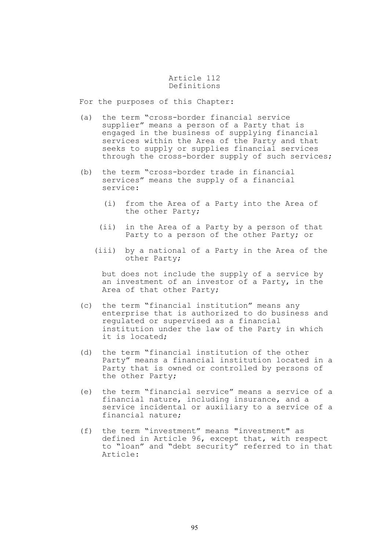## Article 112 Definitions

For the purposes of this Chapter:

- (a) the term "cross-border financial service supplier" means a person of a Party that is engaged in the business of supplying financial services within the Area of the Party and that seeks to supply or supplies financial services through the cross-border supply of such services;
	- (b) the term "cross-border trade in financial services" means the supply of a financial service:
		- (i) from the Area of a Party into the Area of the other Party;
		- (ii) in the Area of a Party by a person of that Party to a person of the other Party; or
		- (iii) by a national of a Party in the Area of the other Party;

 but does not include the supply of a service by an investment of an investor of a Party, in the Area of that other Party;

- (c) the term "financial institution" means any enterprise that is authorized to do business and regulated or supervised as a financial institution under the law of the Party in which it is located;
- (d) the term "financial institution of the other Party" means a financial institution located in a Party that is owned or controlled by persons of the other Party;
- (e) the term "financial service" means a service of a financial nature, including insurance, and a service incidental or auxiliary to a service of a financial nature;
- (f) the term "investment" means "investment" as defined in Article 96, except that, with respect to "loan" and "debt security" referred to in that Article: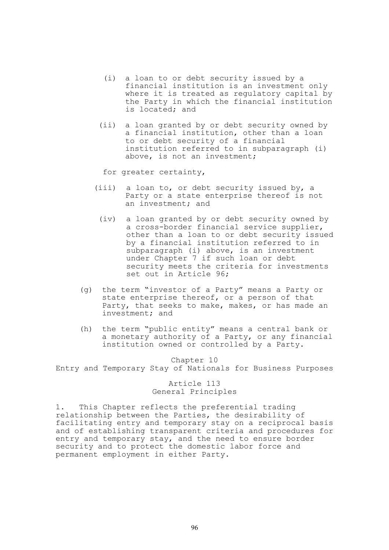- (i) a loan to or debt security issued by a financial institution is an investment only where it is treated as regulatory capital by the Party in which the financial institution is located; and
- (ii) a loan granted by or debt security owned by a financial institution, other than a loan to or debt security of a financial institution referred to in subparagraph (i) above, is not an investment;
- for greater certainty,
- (iii) a loan to, or debt security issued by, a Party or a state enterprise thereof is not an investment; and
	- (iv) a loan granted by or debt security owned by a cross-border financial service supplier, other than a loan to or debt security issued by a financial institution referred to in subparagraph (i) above, is an investment under Chapter 7 if such loan or debt security meets the criteria for investments set out in Article 96;
- (g) the term "investor of a Party" means a Party or state enterprise thereof, or a person of that Party, that seeks to make, makes, or has made an investment; and
- (h) the term "public entity" means a central bank or a monetary authority of a Party, or any financial institution owned or controlled by a Party.

Chapter 10 Entry and Temporary Stay of Nationals for Business Purposes

## Article 113 General Principles

1. This Chapter reflects the preferential trading relationship between the Parties, the desirability of facilitating entry and temporary stay on a reciprocal basis and of establishing transparent criteria and procedures for entry and temporary stay, and the need to ensure border security and to protect the domestic labor force and permanent employment in either Party.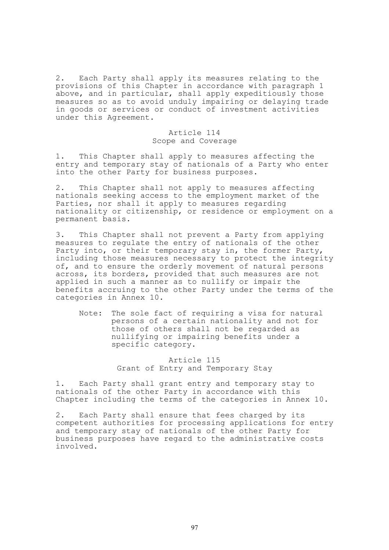2. Each Party shall apply its measures relating to the provisions of this Chapter in accordance with paragraph 1 above, and in particular, shall apply expeditiously those measures so as to avoid unduly impairing or delaying trade in goods or services or conduct of investment activities under this Agreement.

## Article 114 Scope and Coverage

1. This Chapter shall apply to measures affecting the entry and temporary stay of nationals of a Party who enter into the other Party for business purposes.

2. This Chapter shall not apply to measures affecting nationals seeking access to the employment market of the Parties, nor shall it apply to measures regarding nationality or citizenship, or residence or employment on a permanent basis.

3. This Chapter shall not prevent a Party from applying measures to regulate the entry of nationals of the other Party into, or their temporary stay in, the former Party, including those measures necessary to protect the integrity of, and to ensure the orderly movement of natural persons across, its borders, provided that such measures are not applied in such a manner as to nullify or impair the benefits accruing to the other Party under the terms of the categories in Annex 10.

 Note: The sole fact of requiring a visa for natural persons of a certain nationality and not for those of others shall not be regarded as nullifying or impairing benefits under a specific category.

> Article 115 Grant of Entry and Temporary Stay

1. Each Party shall grant entry and temporary stay to nationals of the other Party in accordance with this Chapter including the terms of the categories in Annex 10.

2. Each Party shall ensure that fees charged by its competent authorities for processing applications for entry and temporary stay of nationals of the other Party for business purposes have regard to the administrative costs involved.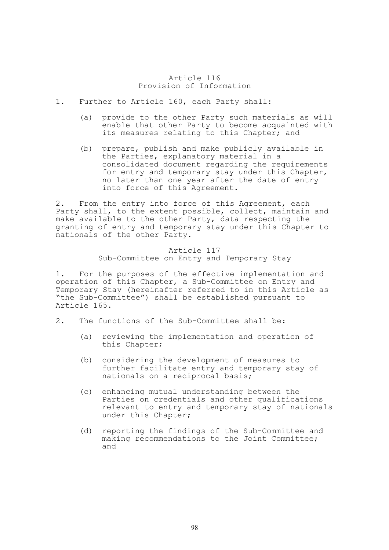## Article 116 Provision of Information

- 1. Further to Article 160, each Party shall:
	- (a) provide to the other Party such materials as will enable that other Party to become acquainted with its measures relating to this Chapter; and
	- (b) prepare, publish and make publicly available in the Parties, explanatory material in a consolidated document regarding the requirements for entry and temporary stay under this Chapter, no later than one year after the date of entry into force of this Agreement.

2. From the entry into force of this Agreement, each Party shall, to the extent possible, collect, maintain and make available to the other Party, data respecting the granting of entry and temporary stay under this Chapter to nationals of the other Party.

# Article 117 Sub-Committee on Entry and Temporary Stay

1. For the purposes of the effective implementation and operation of this Chapter, a Sub-Committee on Entry and Temporary Stay (hereinafter referred to in this Article as "the Sub-Committee") shall be established pursuant to Article 165.

- 2. The functions of the Sub-Committee shall be:
	- (a) reviewing the implementation and operation of this Chapter;
	- (b) considering the development of measures to further facilitate entry and temporary stay of nationals on a reciprocal basis;
	- (c) enhancing mutual understanding between the Parties on credentials and other qualifications relevant to entry and temporary stay of nationals under this Chapter;
	- (d) reporting the findings of the Sub-Committee and making recommendations to the Joint Committee; and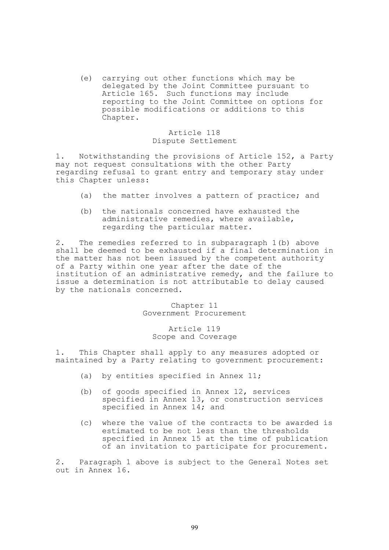(e) carrying out other functions which may be delegated by the Joint Committee pursuant to Article 165. Such functions may include reporting to the Joint Committee on options for possible modifications or additions to this Chapter.

# Article 118 Dispute Settlement

1. Notwithstanding the provisions of Article 152, a Party may not request consultations with the other Party regarding refusal to grant entry and temporary stay under this Chapter unless:

- (a) the matter involves a pattern of practice; and
- (b) the nationals concerned have exhausted the administrative remedies, where available, regarding the particular matter.

2. The remedies referred to in subparagraph 1(b) above shall be deemed to be exhausted if a final determination in the matter has not been issued by the competent authority of a Party within one year after the date of the institution of an administrative remedy, and the failure to issue a determination is not attributable to delay caused by the nationals concerned.

> Chapter 11 Government Procurement

Article 119 Scope and Coverage

1. This Chapter shall apply to any measures adopted or maintained by a Party relating to government procurement:

- (a) by entities specified in Annex 11;
- (b) of goods specified in Annex 12, services specified in Annex 13, or construction services specified in Annex 14; and
- (c) where the value of the contracts to be awarded is estimated to be not less than the thresholds specified in Annex 15 at the time of publication of an invitation to participate for procurement.

2. Paragraph 1 above is subject to the General Notes set out in Annex 16.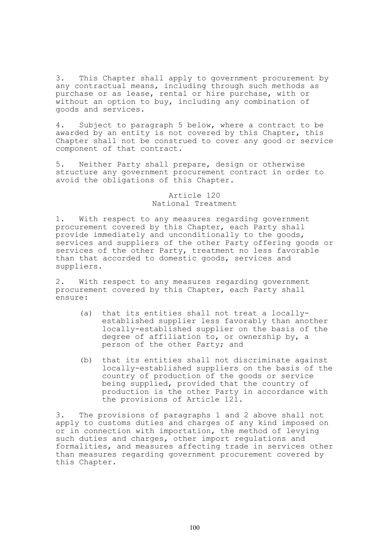3. This Chapter shall apply to government procurement by any contractual means, including through such methods as purchase or as lease, rental or hire purchase, with or without an option to buy, including any combination of goods and services.

4. Subject to paragraph 5 below, where a contract to be awarded by an entity is not covered by this Chapter, this Chapter shall not be construed to cover any good or service component of that contract.

5. Neither Party shall prepare, design or otherwise structure any government procurement contract in order to avoid the obligations of this Chapter.

#### Article 120 National Treatment

1. With respect to any measures regarding government procurement covered by this Chapter, each Party shall provide immediately and unconditionally to the goods, services and suppliers of the other Party offering goods or services of the other Party, treatment no less favorable than that accorded to domestic goods, services and suppliers.

2. With respect to any measures regarding government procurement covered by this Chapter, each Party shall ensure:

- (a) that its entities shall not treat a locallyestablished supplier less favorably than another locally-established supplier on the basis of the degree of affiliation to, or ownership by, a person of the other Party; and
- (b) that its entities shall not discriminate against locally-established suppliers on the basis of the country of production of the goods or service being supplied, provided that the country of production is the other Party in accordance with the provisions of Article 121.

3. The provisions of paragraphs 1 and 2 above shall not apply to customs duties and charges of any kind imposed on or in connection with importation, the method of levying such duties and charges, other import regulations and formalities, and measures affecting trade in services other than measures regarding government procurement covered by this Chapter.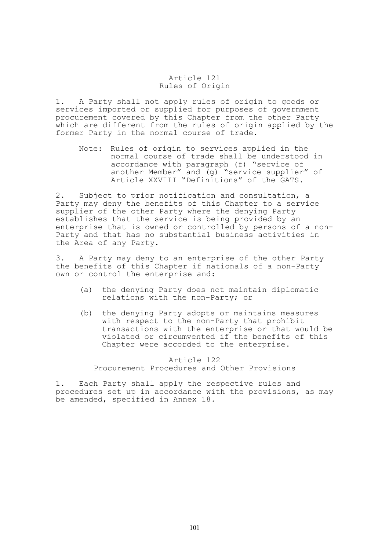#### Article 121 Rules of Origin

1. A Party shall not apply rules of origin to goods or services imported or supplied for purposes of government procurement covered by this Chapter from the other Party which are different from the rules of origin applied by the former Party in the normal course of trade.

 Note: Rules of origin to services applied in the normal course of trade shall be understood in accordance with paragraph (f) "service of another Member" and (g) "service supplier" of Article XXVIII "Definitions" of the GATS.

2. Subject to prior notification and consultation, a Party may deny the benefits of this Chapter to a service supplier of the other Party where the denying Party establishes that the service is being provided by an enterprise that is owned or controlled by persons of a non-Party and that has no substantial business activities in the Area of any Party.

3. A Party may deny to an enterprise of the other Party the benefits of this Chapter if nationals of a non-Party own or control the enterprise and:

- (a) the denying Party does not maintain diplomatic relations with the non-Party; or
- (b) the denying Party adopts or maintains measures with respect to the non-Party that prohibit transactions with the enterprise or that would be violated or circumvented if the benefits of this Chapter were accorded to the enterprise.

Article 122 Procurement Procedures and Other Provisions

1. Each Party shall apply the respective rules and procedures set up in accordance with the provisions, as may be amended, specified in Annex 18.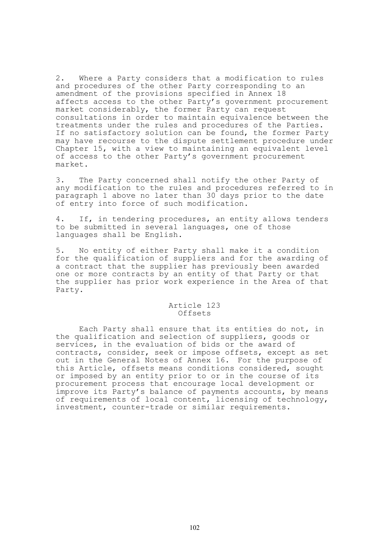2. Where a Party considers that a modification to rules and procedures of the other Party corresponding to an amendment of the provisions specified in Annex 18 affects access to the other Party's government procurement market considerably, the former Party can request consultations in order to maintain equivalence between the treatments under the rules and procedures of the Parties. If no satisfactory solution can be found, the former Party may have recourse to the dispute settlement procedure under Chapter 15, with a view to maintaining an equivalent level of access to the other Party's government procurement market.

3. The Party concerned shall notify the other Party of any modification to the rules and procedures referred to in paragraph 1 above no later than 30 days prior to the date of entry into force of such modification.

4. If, in tendering procedures, an entity allows tenders to be submitted in several languages, one of those languages shall be English.

5. No entity of either Party shall make it a condition for the qualification of suppliers and for the awarding of a contract that the supplier has previously been awarded one or more contracts by an entity of that Party or that the supplier has prior work experience in the Area of that Party.

# Article 123 Offsets

 Each Party shall ensure that its entities do not, in the qualification and selection of suppliers, goods or services, in the evaluation of bids or the award of contracts, consider, seek or impose offsets, except as set out in the General Notes of Annex 16. For the purpose of this Article, offsets means conditions considered, sought or imposed by an entity prior to or in the course of its procurement process that encourage local development or improve its Party's balance of payments accounts, by means of requirements of local content, licensing of technology, investment, counter-trade or similar requirements.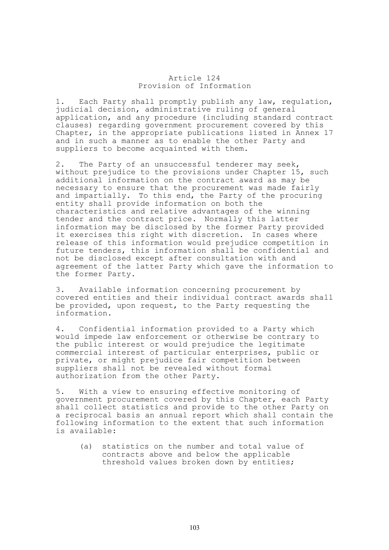#### Article 124 Provision of Information

1. Each Party shall promptly publish any law, regulation, judicial decision, administrative ruling of general application, and any procedure (including standard contract clauses) regarding government procurement covered by this Chapter, in the appropriate publications listed in Annex 17 and in such a manner as to enable the other Party and suppliers to become acquainted with them.

2. The Party of an unsuccessful tenderer may seek, without prejudice to the provisions under Chapter 15, such additional information on the contract award as may be necessary to ensure that the procurement was made fairly and impartially. To this end, the Party of the procuring entity shall provide information on both the characteristics and relative advantages of the winning tender and the contract price. Normally this latter information may be disclosed by the former Party provided it exercises this right with discretion. In cases where release of this information would prejudice competition in future tenders, this information shall be confidential and not be disclosed except after consultation with and agreement of the latter Party which gave the information to the former Party.

3. Available information concerning procurement by covered entities and their individual contract awards shall be provided, upon request, to the Party requesting the information.

4. Confidential information provided to a Party which would impede law enforcement or otherwise be contrary to the public interest or would prejudice the legitimate commercial interest of particular enterprises, public or private, or might prejudice fair competition between suppliers shall not be revealed without formal authorization from the other Party.

5. With a view to ensuring effective monitoring of government procurement covered by this Chapter, each Party shall collect statistics and provide to the other Party on a reciprocal basis an annual report which shall contain the following information to the extent that such information is available:

 (a) statistics on the number and total value of contracts above and below the applicable threshold values broken down by entities;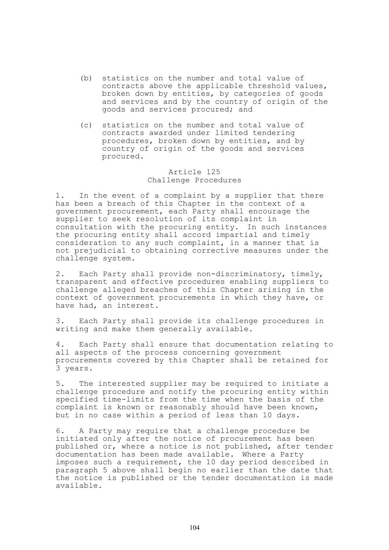- (b) statistics on the number and total value of contracts above the applicable threshold values, broken down by entities, by categories of goods and services and by the country of origin of the goods and services procured; and
- (c) statistics on the number and total value of contracts awarded under limited tendering procedures, broken down by entities, and by country of origin of the goods and services procured.

## Article 125 Challenge Procedures

1. In the event of a complaint by a supplier that there has been a breach of this Chapter in the context of a government procurement, each Party shall encourage the supplier to seek resolution of its complaint in consultation with the procuring entity. In such instances the procuring entity shall accord impartial and timely consideration to any such complaint, in a manner that is not prejudicial to obtaining corrective measures under the challenge system.

2. Each Party shall provide non-discriminatory, timely, transparent and effective procedures enabling suppliers to challenge alleged breaches of this Chapter arising in the context of government procurements in which they have, or have had, an interest.

3. Each Party shall provide its challenge procedures in writing and make them generally available.

4. Each Party shall ensure that documentation relating to all aspects of the process concerning government procurements covered by this Chapter shall be retained for 3 years.

5. The interested supplier may be required to initiate a challenge procedure and notify the procuring entity within specified time-limits from the time when the basis of the complaint is known or reasonably should have been known, but in no case within a period of less than 10 days.

6. A Party may require that a challenge procedure be initiated only after the notice of procurement has been published or, where a notice is not published, after tender documentation has been made available. Where a Party imposes such a requirement, the 10 day period described in paragraph 5 above shall begin no earlier than the date that the notice is published or the tender documentation is made available.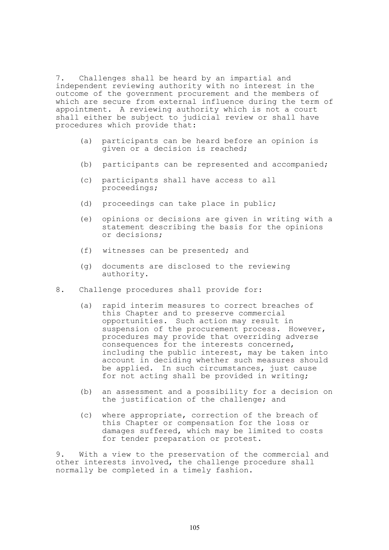7. Challenges shall be heard by an impartial and independent reviewing authority with no interest in the outcome of the government procurement and the members of which are secure from external influence during the term of appointment. A reviewing authority which is not a court shall either be subject to judicial review or shall have procedures which provide that:

- (a) participants can be heard before an opinion is given or a decision is reached;
- (b) participants can be represented and accompanied;
- (c) participants shall have access to all proceedings;
- (d) proceedings can take place in public;
- (e) opinions or decisions are given in writing with a statement describing the basis for the opinions or decisions;
- (f) witnesses can be presented; and
- (g) documents are disclosed to the reviewing authority.
- 8. Challenge procedures shall provide for:
	- (a) rapid interim measures to correct breaches of this Chapter and to preserve commercial opportunities. Such action may result in suspension of the procurement process. However, procedures may provide that overriding adverse consequences for the interests concerned, including the public interest, may be taken into account in deciding whether such measures should be applied. In such circumstances, just cause for not acting shall be provided in writing;
	- (b) an assessment and a possibility for a decision on the justification of the challenge; and
	- (c) where appropriate, correction of the breach of this Chapter or compensation for the loss or damages suffered, which may be limited to costs for tender preparation or protest.

9. With a view to the preservation of the commercial and other interests involved, the challenge procedure shall normally be completed in a timely fashion.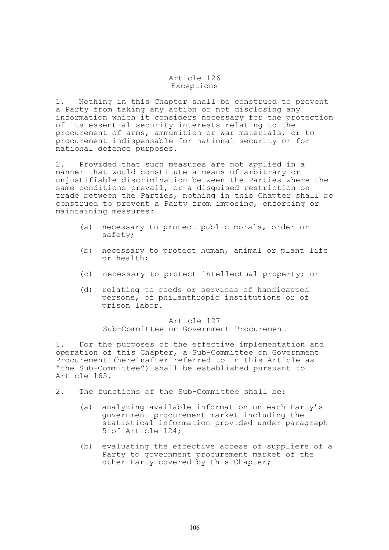#### Article 126 Exceptions

1. Nothing in this Chapter shall be construed to prevent a Party from taking any action or not disclosing any information which it considers necessary for the protection of its essential security interests relating to the procurement of arms, ammunition or war materials, or to procurement indispensable for national security or for national defence purposes.

2. Provided that such measures are not applied in a manner that would constitute a means of arbitrary or unjustifiable discrimination between the Parties where the same conditions prevail, or a disguised restriction on trade between the Parties, nothing in this Chapter shall be construed to prevent a Party from imposing, enforcing or maintaining measures:

- (a) necessary to protect public morals, order or safety;
- (b) necessary to protect human, animal or plant life or health;
- (c) necessary to protect intellectual property; or
- (d) relating to goods or services of handicapped persons, of philanthropic institutions or of prison labor.

Article 127 Sub-Committee on Government Procurement

1. For the purposes of the effective implementation and operation of this Chapter, a Sub-Committee on Government Procurement (hereinafter referred to in this Article as "the Sub-Committee") shall be established pursuant to Article 165.

- 2. The functions of the Sub-Committee shall be:
	- (a) analyzing available information on each Party's government procurement market including the statistical information provided under paragraph 5 of Article 124;
	- (b) evaluating the effective access of suppliers of a Party to government procurement market of the other Party covered by this Chapter;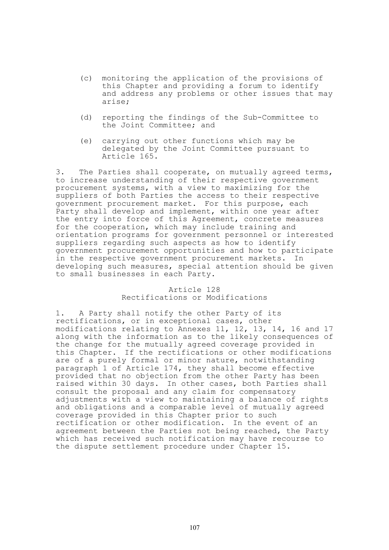- (c) monitoring the application of the provisions of this Chapter and providing a forum to identify and address any problems or other issues that may arise;
- (d) reporting the findings of the Sub-Committee to the Joint Committee; and
- (e) carrying out other functions which may be delegated by the Joint Committee pursuant to Article 165.

3. The Parties shall cooperate, on mutually agreed terms, to increase understanding of their respective government procurement systems, with a view to maximizing for the suppliers of both Parties the access to their respective government procurement market. For this purpose, each Party shall develop and implement, within one year after the entry into force of this Agreement, concrete measures for the cooperation, which may include training and orientation programs for government personnel or interested suppliers regarding such aspects as how to identify government procurement opportunities and how to participate in the respective government procurement markets. In developing such measures, special attention should be given to small businesses in each Party.

# Article 128 Rectifications or Modifications

1. A Party shall notify the other Party of its rectifications, or in exceptional cases, other modifications relating to Annexes 11, 12, 13, 14, 16 and 17 along with the information as to the likely consequences of the change for the mutually agreed coverage provided in this Chapter. If the rectifications or other modifications are of a purely formal or minor nature, notwithstanding paragraph 1 of Article 174, they shall become effective provided that no objection from the other Party has been raised within 30 days. In other cases, both Parties shall consult the proposal and any claim for compensatory adjustments with a view to maintaining a balance of rights and obligations and a comparable level of mutually agreed coverage provided in this Chapter prior to such rectification or other modification. In the event of an agreement between the Parties not being reached, the Party which has received such notification may have recourse to the dispute settlement procedure under Chapter 15.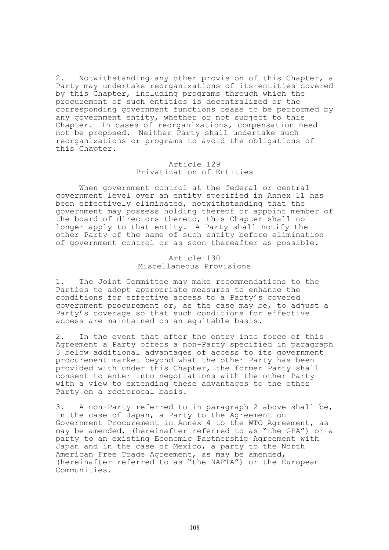2. Notwithstanding any other provision of this Chapter, a Party may undertake reorganizations of its entities covered by this Chapter, including programs through which the procurement of such entities is decentralized or the corresponding government functions cease to be performed by any government entity, whether or not subject to this Chapter. In cases of reorganizations, compensation need not be proposed. Neither Party shall undertake such reorganizations or programs to avoid the obligations of this Chapter.

# Article 129 Privatization of Entities

 When government control at the federal or central government level over an entity specified in Annex 11 has been effectively eliminated, notwithstanding that the government may possess holding thereof or appoint member of the board of directors thereto, this Chapter shall no longer apply to that entity. A Party shall notify the other Party of the name of such entity before elimination of government control or as soon thereafter as possible.

#### Article 130 Miscellaneous Provisions

1. The Joint Committee may make recommendations to the Parties to adopt appropriate measures to enhance the conditions for effective access to a Party's covered government procurement or, as the case may be, to adjust a Party's coverage so that such conditions for effective access are maintained on an equitable basis.

2. In the event that after the entry into force of this Agreement a Party offers a non-Party specified in paragraph 3 below additional advantages of access to its government procurement market beyond what the other Party has been provided with under this Chapter, the former Party shall consent to enter into negotiations with the other Party with a view to extending these advantages to the other Party on a reciprocal basis.

3. A non-Party referred to in paragraph 2 above shall be, in the case of Japan, a Party to the Agreement on Government Procurement in Annex 4 to the WTO Agreement, as may be amended, (hereinafter referred to as "the GPA") or a party to an existing Economic Partnership Agreement with Japan and in the case of Mexico, a party to the North American Free Trade Agreement, as may be amended, (hereinafter referred to as "the NAFTA") or the European Communities.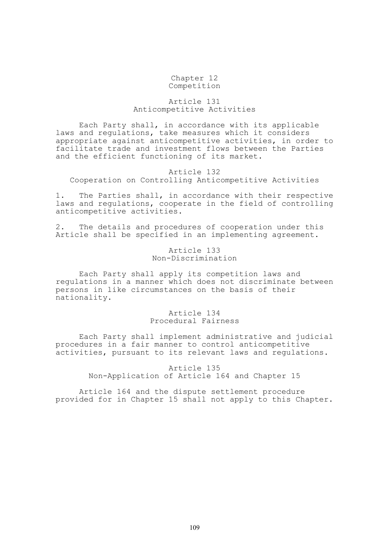#### Chapter 12 Competition

## Article 131 Anticompetitive Activities

 Each Party shall, in accordance with its applicable laws and regulations, take measures which it considers appropriate against anticompetitive activities, in order to facilitate trade and investment flows between the Parties and the efficient functioning of its market.

## Article 132 Cooperation on Controlling Anticompetitive Activities

1. The Parties shall, in accordance with their respective laws and regulations, cooperate in the field of controlling anticompetitive activities.

2. The details and procedures of cooperation under this Article shall be specified in an implementing agreement.

#### Article 133 Non-Discrimination

 Each Party shall apply its competition laws and regulations in a manner which does not discriminate between persons in like circumstances on the basis of their nationality.

# Article 134 Procedural Fairness

 Each Party shall implement administrative and judicial procedures in a fair manner to control anticompetitive activities, pursuant to its relevant laws and regulations.

> Article 135 Non-Application of Article 164 and Chapter 15

 Article 164 and the dispute settlement procedure provided for in Chapter 15 shall not apply to this Chapter.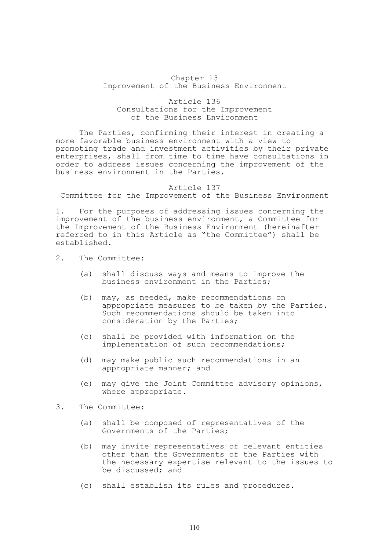# Chapter 13 Improvement of the Business Environment

# Article 136 Consultations for the Improvement of the Business Environment

 The Parties, confirming their interest in creating a more favorable business environment with a view to promoting trade and investment activities by their private enterprises, shall from time to time have consultations in order to address issues concerning the improvement of the business environment in the Parties.

#### Article 137

Committee for the Improvement of the Business Environment

1. For the purposes of addressing issues concerning the improvement of the business environment, a Committee for the Improvement of the Business Environment (hereinafter referred to in this Article as "the Committee") shall be established.

- 2. The Committee:
	- (a) shall discuss ways and means to improve the business environment in the Parties;
	- (b) may, as needed, make recommendations on appropriate measures to be taken by the Parties. Such recommendations should be taken into consideration by the Parties;
	- (c) shall be provided with information on the implementation of such recommendations;
	- (d) may make public such recommendations in an appropriate manner; and
	- (e) may give the Joint Committee advisory opinions, where appropriate.
- 3. The Committee:
	- (a) shall be composed of representatives of the Governments of the Parties;
	- (b) may invite representatives of relevant entities other than the Governments of the Parties with the necessary expertise relevant to the issues to be discussed; and
	- (c) shall establish its rules and procedures.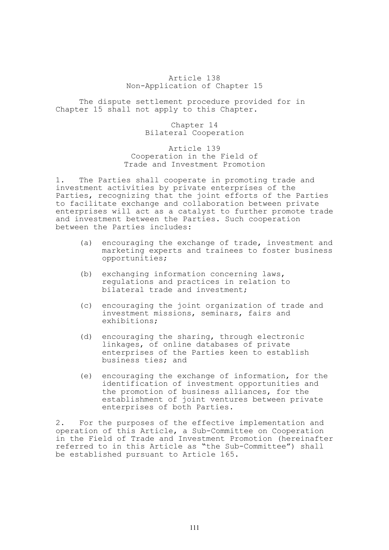### Article 138 Non-Application of Chapter 15

 The dispute settlement procedure provided for in Chapter 15 shall not apply to this Chapter.

> Chapter 14 Bilateral Cooperation

Article 139 Cooperation in the Field of Trade and Investment Promotion

1. The Parties shall cooperate in promoting trade and investment activities by private enterprises of the Parties, recognizing that the joint efforts of the Parties to facilitate exchange and collaboration between private enterprises will act as a catalyst to further promote trade and investment between the Parties. Such cooperation between the Parties includes:

- (a) encouraging the exchange of trade, investment and marketing experts and trainees to foster business opportunities;
- (b) exchanging information concerning laws, regulations and practices in relation to bilateral trade and investment;
- (c) encouraging the joint organization of trade and investment missions, seminars, fairs and exhibitions;
- (d) encouraging the sharing, through electronic linkages, of online databases of private enterprises of the Parties keen to establish business ties; and
- (e) encouraging the exchange of information, for the identification of investment opportunities and the promotion of business alliances, for the establishment of joint ventures between private enterprises of both Parties.

2. For the purposes of the effective implementation and operation of this Article, a Sub-Committee on Cooperation in the Field of Trade and Investment Promotion (hereinafter referred to in this Article as "the Sub-Committee") shall be established pursuant to Article 165.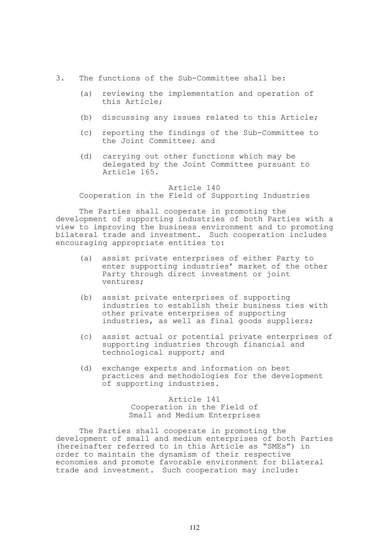- 3. The functions of the Sub-Committee shall be:
	- (a) reviewing the implementation and operation of this Article;
	- (b) discussing any issues related to this Article;
	- (c) reporting the findings of the Sub-Committee to the Joint Committee; and
	- (d) carrying out other functions which may be delegated by the Joint Committee pursuant to Article 165.

Article 140 Cooperation in the Field of Supporting Industries

 The Parties shall cooperate in promoting the development of supporting industries of both Parties with a view to improving the business environment and to promoting bilateral trade and investment. Such cooperation includes encouraging appropriate entities to:

- (a) assist private enterprises of either Party to enter supporting industries' market of the other Party through direct investment or joint ventures;
- (b) assist private enterprises of supporting industries to establish their business ties with other private enterprises of supporting industries, as well as final goods suppliers;
- (c) assist actual or potential private enterprises of supporting industries through financial and technological support; and
- (d) exchange experts and information on best practices and methodologies for the development of supporting industries.

Article 141 Cooperation in the Field of Small and Medium Enterprises

 The Parties shall cooperate in promoting the development of small and medium enterprises of both Parties (hereinafter referred to in this Article as "SMEs") in order to maintain the dynamism of their respective economies and promote favorable environment for bilateral trade and investment. Such cooperation may include: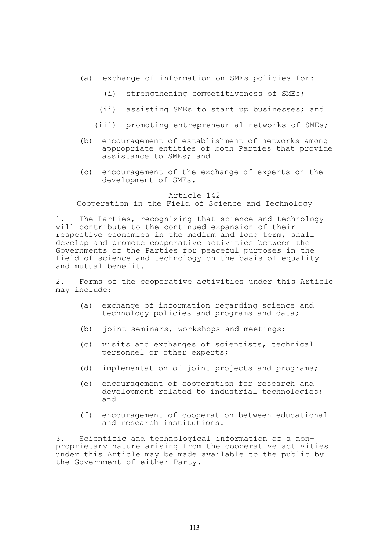- (a) exchange of information on SMEs policies for:
	- (i) strengthening competitiveness of SMEs;
	- (ii) assisting SMEs to start up businesses; and
	- (iii) promoting entrepreneurial networks of SMEs;
- (b) encouragement of establishment of networks among appropriate entities of both Parties that provide assistance to SMEs; and
- (c) encouragement of the exchange of experts on the development of SMEs.

#### Article 142

Cooperation in the Field of Science and Technology

1. The Parties, recognizing that science and technology will contribute to the continued expansion of their respective economies in the medium and long term, shall develop and promote cooperative activities between the Governments of the Parties for peaceful purposes in the field of science and technology on the basis of equality and mutual benefit.

2. Forms of the cooperative activities under this Article may include:

- (a) exchange of information regarding science and technology policies and programs and data;
- (b) joint seminars, workshops and meetings;
- (c) visits and exchanges of scientists, technical personnel or other experts;
- (d) implementation of joint projects and programs;
- (e) encouragement of cooperation for research and development related to industrial technologies; and
- (f) encouragement of cooperation between educational and research institutions.

3. Scientific and technological information of a nonproprietary nature arising from the cooperative activities under this Article may be made available to the public by the Government of either Party.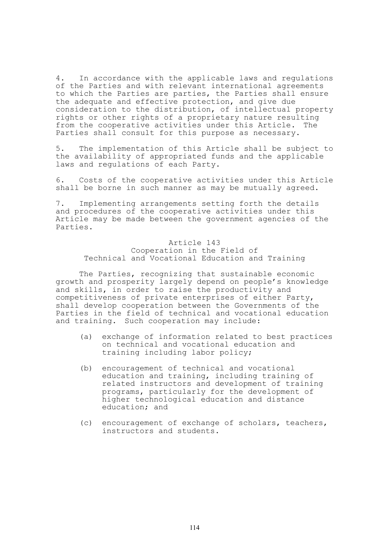4. In accordance with the applicable laws and regulations of the Parties and with relevant international agreements to which the Parties are parties, the Parties shall ensure the adequate and effective protection, and give due consideration to the distribution, of intellectual property rights or other rights of a proprietary nature resulting from the cooperative activities under this Article. The Parties shall consult for this purpose as necessary.

5. The implementation of this Article shall be subject to the availability of appropriated funds and the applicable laws and regulations of each Party.

6. Costs of the cooperative activities under this Article shall be borne in such manner as may be mutually agreed.

7. Implementing arrangements setting forth the details and procedures of the cooperative activities under this Article may be made between the government agencies of the Parties.

# Article 143 Cooperation in the Field of Technical and Vocational Education and Training

 The Parties, recognizing that sustainable economic growth and prosperity largely depend on people's knowledge and skills, in order to raise the productivity and competitiveness of private enterprises of either Party, shall develop cooperation between the Governments of the Parties in the field of technical and vocational education and training. Such cooperation may include:

- (a) exchange of information related to best practices on technical and vocational education and training including labor policy;
- (b) encouragement of technical and vocational education and training, including training of related instructors and development of training programs, particularly for the development of higher technological education and distance education; and
- (c) encouragement of exchange of scholars, teachers, instructors and students.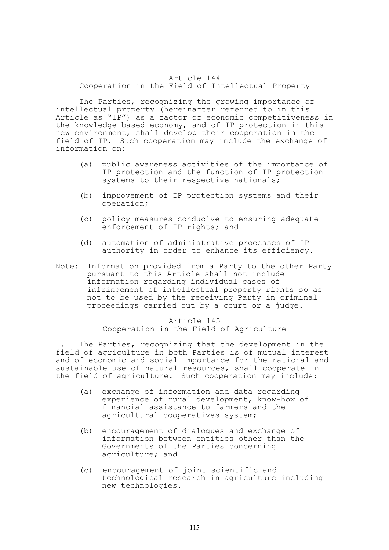# Article 144 Cooperation in the Field of Intellectual Property

 The Parties, recognizing the growing importance of intellectual property (hereinafter referred to in this Article as "IP") as a factor of economic competitiveness in the knowledge-based economy, and of IP protection in this new environment, shall develop their cooperation in the field of IP. Such cooperation may include the exchange of information on:

- (a) public awareness activities of the importance of IP protection and the function of IP protection systems to their respective nationals;
- (b) improvement of IP protection systems and their operation;
- (c) policy measures conducive to ensuring adequate enforcement of IP rights; and
- (d) automation of administrative processes of IP authority in order to enhance its efficiency.
- Note: Information provided from a Party to the other Party pursuant to this Article shall not include information regarding individual cases of infringement of intellectual property rights so as not to be used by the receiving Party in criminal proceedings carried out by a court or a judge.

### Article 145 Cooperation in the Field of Agriculture

1. The Parties, recognizing that the development in the field of agriculture in both Parties is of mutual interest and of economic and social importance for the rational and sustainable use of natural resources, shall cooperate in the field of agriculture. Such cooperation may include:

- (a) exchange of information and data regarding experience of rural development, know-how of financial assistance to farmers and the agricultural cooperatives system;
- (b) encouragement of dialogues and exchange of information between entities other than the Governments of the Parties concerning agriculture; and
- (c) encouragement of joint scientific and technological research in agriculture including new technologies.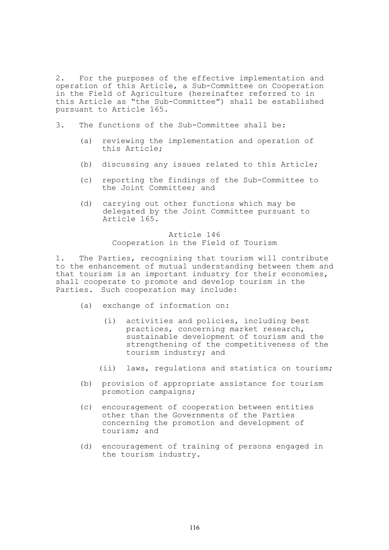2. For the purposes of the effective implementation and operation of this Article, a Sub-Committee on Cooperation in the Field of Agriculture (hereinafter referred to in this Article as "the Sub-Committee") shall be established pursuant to Article 165.

- 3. The functions of the Sub-Committee shall be:
	- (a) reviewing the implementation and operation of this Article;
	- (b) discussing any issues related to this Article;
	- (c) reporting the findings of the Sub-Committee to the Joint Committee; and
	- (d) carrying out other functions which may be delegated by the Joint Committee pursuant to Article 165.

# Article 146 Cooperation in the Field of Tourism

1. The Parties, recognizing that tourism will contribute to the enhancement of mutual understanding between them and that tourism is an important industry for their economies, shall cooperate to promote and develop tourism in the Parties. Such cooperation may include:

- (a) exchange of information on:
	- (i) activities and policies, including best practices, concerning market research, sustainable development of tourism and the strengthening of the competitiveness of the tourism industry; and
	- (ii) laws, regulations and statistics on tourism;
- (b) provision of appropriate assistance for tourism promotion campaigns;
- (c) encouragement of cooperation between entities other than the Governments of the Parties concerning the promotion and development of tourism; and
- (d) encouragement of training of persons engaged in the tourism industry.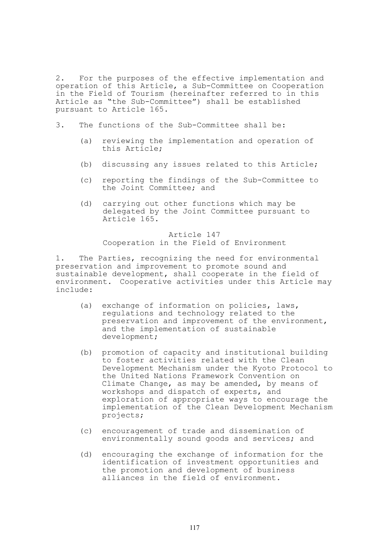2. For the purposes of the effective implementation and operation of this Article, a Sub-Committee on Cooperation in the Field of Tourism (hereinafter referred to in this Article as "the Sub-Committee") shall be established pursuant to Article 165**.** 

- 3. The functions of the Sub-Committee shall be:
	- (a) reviewing the implementation and operation of this Article;
	- (b) discussing any issues related to this Article;
	- (c) reporting the findings of the Sub-Committee to the Joint Committee; and
	- (d) carrying out other functions which may be delegated by the Joint Committee pursuant to Article 165.

Article 147 Cooperation in the Field of Environment

1. The Parties, recognizing the need for environmental preservation and improvement to promote sound and sustainable development, shall cooperate in the field of environment. Cooperative activities under this Article may include:

- (a) exchange of information on policies, laws, regulations and technology related to the preservation and improvement of the environment, and the implementation of sustainable development;
- (b) promotion of capacity and institutional building to foster activities related with the Clean Development Mechanism under the Kyoto Protocol to the United Nations Framework Convention on Climate Change, as may be amended, by means of workshops and dispatch of experts, and exploration of appropriate ways to encourage the implementation of the Clean Development Mechanism projects;
- (c) encouragement of trade and dissemination of environmentally sound goods and services; and
- (d) encouraging the exchange of information for the identification of investment opportunities and the promotion and development of business alliances in the field of environment.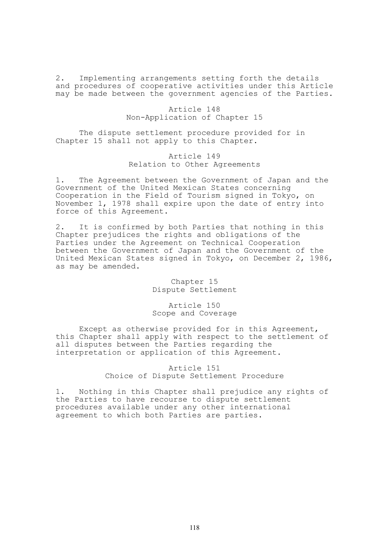2. Implementing arrangements setting forth the details and procedures of cooperative activities under this Article may be made between the government agencies of the Parties.

# Article 148 Non-Application of Chapter 15

 The dispute settlement procedure provided for in Chapter 15 shall not apply to this Chapter.

# Article 149 Relation to Other Agreements

1. The Agreement between the Government of Japan and the Government of the United Mexican States concerning Cooperation in the Field of Tourism signed in Tokyo, on November 1, 1978 shall expire upon the date of entry into force of this Agreement.

2. It is confirmed by both Parties that nothing in this Chapter prejudices the rights and obligations of the Parties under the Agreement on Technical Cooperation between the Government of Japan and the Government of the United Mexican States signed in Tokyo, on December 2, 1986, as may be amended.

> Chapter 15 Dispute Settlement

### Article 150 Scope and Coverage

 Except as otherwise provided for in this Agreement, this Chapter shall apply with respect to the settlement of all disputes between the Parties regarding the interpretation or application of this Agreement.

#### Article 151 Choice of Dispute Settlement Procedure

1. Nothing in this Chapter shall prejudice any rights of the Parties to have recourse to dispute settlement procedures available under any other international agreement to which both Parties are parties.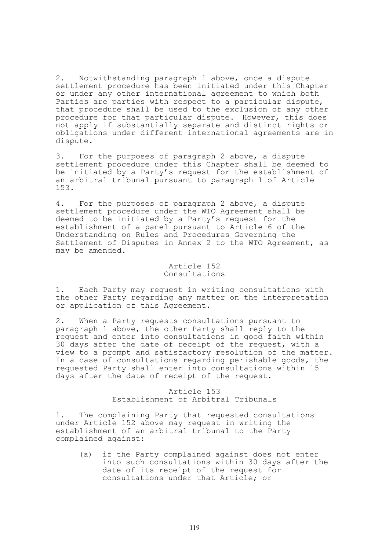2. Notwithstanding paragraph 1 above, once a dispute settlement procedure has been initiated under this Chapter or under any other international agreement to which both Parties are parties with respect to a particular dispute, that procedure shall be used to the exclusion of any other procedure for that particular dispute. However, this does not apply if substantially separate and distinct rights or obligations under different international agreements are in dispute.

3. For the purposes of paragraph 2 above, a dispute settlement procedure under this Chapter shall be deemed to be initiated by a Party's request for the establishment of an arbitral tribunal pursuant to paragraph 1 of Article 153**.**

4. For the purposes of paragraph 2 above, a dispute settlement procedure under the WTO Agreement shall be deemed to be initiated by a Party's request for the establishment of a panel pursuant to Article 6 of the Understanding on Rules and Procedures Governing the Settlement of Disputes in Annex 2 to the WTO Agreement, as may be amended.

#### Article 152 Consultations

1. Each Party may request in writing consultations with the other Party regarding any matter on the interpretation or application of this Agreement.

2. When a Party requests consultations pursuant to paragraph 1 above, the other Party shall reply to the request and enter into consultations in good faith within 30 days after the date of receipt of the request, with a view to a prompt and satisfactory resolution of the matter. In a case of consultations regarding perishable goods, the requested Party shall enter into consultations within 15 days after the date of receipt of the request.

# Article 153 Establishment of Arbitral Tribunals

1. The complaining Party that requested consultations under Article 152 above may request in writing the establishment of an arbitral tribunal to the Party complained against:

(a) if the Party complained against does not enter into such consultations within 30 days after the date of its receipt of the request for consultations under that Article; or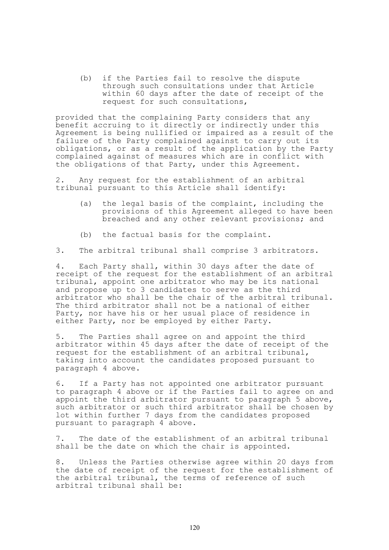(b) if the Parties fail to resolve the dispute through such consultations under that Article within 60 days after the date of receipt of the request for such consultations,

provided that the complaining Party considers that any benefit accruing to it directly or indirectly under this Agreement is being nullified or impaired as a result of the failure of the Party complained against to carry out its obligations, or as a result of the application by the Party complained against of measures which are in conflict with the obligations of that Party, under this Agreement.

2. Any request for the establishment of an arbitral tribunal pursuant to this Article shall identify:

- (a) the legal basis of the complaint, including the provisions of this Agreement alleged to have been breached and any other relevant provisions; and
- (b) the factual basis for the complaint.

3. The arbitral tribunal shall comprise 3 arbitrators.

4. Each Party shall, within 30 days after the date of receipt of the request for the establishment of an arbitral tribunal, appoint one arbitrator who may be its national and propose up to 3 candidates to serve as the third arbitrator who shall be the chair of the arbitral tribunal. The third arbitrator shall not be a national of either Party, nor have his or her usual place of residence in either Party, nor be employed by either Party.

5. The Parties shall agree on and appoint the third arbitrator within 45 days after the date of receipt of the request for the establishment of an arbitral tribunal, taking into account the candidates proposed pursuant to paragraph 4 above.

6. If a Party has not appointed one arbitrator pursuant to paragraph 4 above or if the Parties fail to agree on and appoint the third arbitrator pursuant to paragraph 5 above, such arbitrator or such third arbitrator shall be chosen by lot within further 7 days from the candidates proposed pursuant to paragraph 4 above.

7. The date of the establishment of an arbitral tribunal shall be the date on which the chair is appointed.

8. Unless the Parties otherwise agree within 20 days from the date of receipt of the request for the establishment of the arbitral tribunal, the terms of reference of such arbitral tribunal shall be: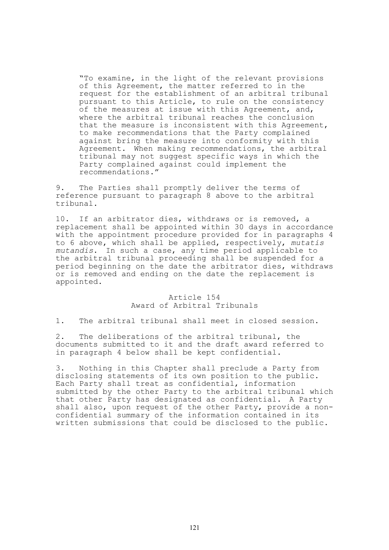"To examine, in the light of the relevant provisions of this Agreement, the matter referred to in the request for the establishment of an arbitral tribunal pursuant to this Article, to rule on the consistency of the measures at issue with this Agreement, and, where the arbitral tribunal reaches the conclusion that the measure is inconsistent with this Agreement, to make recommendations that the Party complained against bring the measure into conformity with this Agreement. When making recommendations, the arbitral tribunal may not suggest specific ways in which the Party complained against could implement the recommendations."

9. The Parties shall promptly deliver the terms of reference pursuant to paragraph 8 above to the arbitral tribunal.

10. If an arbitrator dies, withdraws or is removed, a replacement shall be appointed within 30 days in accordance with the appointment procedure provided for in paragraphs 4 to 6 above, which shall be applied, respectively, *mutatis mutandis*. In such a case, any time period applicable to the arbitral tribunal proceeding shall be suspended for a period beginning on the date the arbitrator dies, withdraws or is removed and ending on the date the replacement is appointed.

# Article 154 Award of Arbitral Tribunals

1. The arbitral tribunal shall meet in closed session.

2. The deliberations of the arbitral tribunal, the documents submitted to it and the draft award referred to in paragraph 4 below shall be kept confidential.

3. Nothing in this Chapter shall preclude a Party from disclosing statements of its own position to the public. Each Party shall treat as confidential, information submitted by the other Party to the arbitral tribunal which that other Party has designated as confidential. A Party shall also, upon request of the other Party, provide a nonconfidential summary of the information contained in its written submissions that could be disclosed to the public.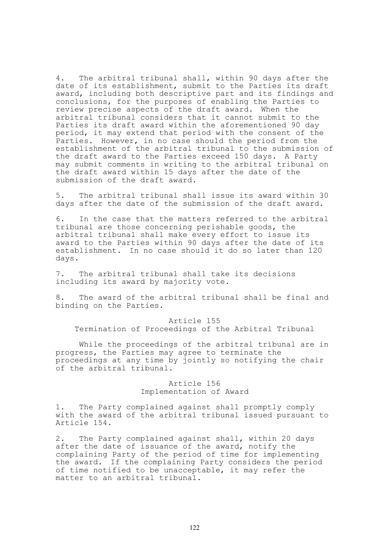4. The arbitral tribunal shall, within 90 days after the date of its establishment, submit to the Parties its draft award, including both descriptive part and its findings and conclusions, for the purposes of enabling the Parties to review precise aspects of the draft award. When the arbitral tribunal considers that it cannot submit to the Parties its draft award within the aforementioned 90 day period, it may extend that period with the consent of the Parties. However, in no case should the period from the establishment of the arbitral tribunal to the submission of the draft award to the Parties exceed 150 days. A Party may submit comments in writing to the arbitral tribunal on the draft award within 15 days after the date of the submission of the draft award.

5. The arbitral tribunal shall issue its award within 30 days after the date of the submission of the draft award.

6. In the case that the matters referred to the arbitral tribunal are those concerning perishable goods, the arbitral tribunal shall make every effort to issue its award to the Parties within 90 days after the date of its establishment. In no case should it do so later than 120 days.

7. The arbitral tribunal shall take its decisions including its award by majority vote.

8. The award of the arbitral tribunal shall be final and binding on the Parties.

## Article 155 Termination of Proceedings of the Arbitral Tribunal

 While the proceedings of the arbitral tribunal are in progress, the Parties may agree to terminate the proceedings at any time by jointly so notifying the chair of the arbitral tribunal.

# Article 156 Implementation of Award

1. The Party complained against shall promptly comply with the award of the arbitral tribunal issued pursuant to Article 154.

2. The Party complained against shall, within 20 days after the date of issuance of the award, notify the complaining Party of the period of time for implementing the award. If the complaining Party considers the period of time notified to be unacceptable, it may refer the matter to an arbitral tribunal.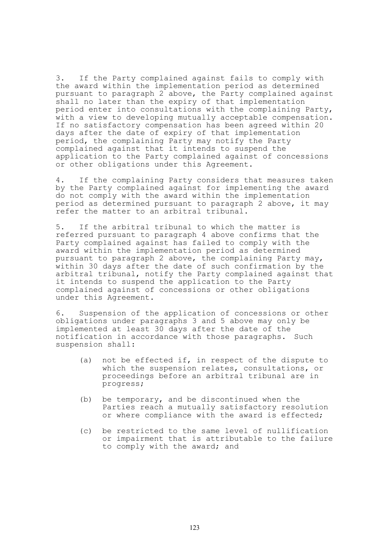3. If the Party complained against fails to comply with the award within the implementation period as determined pursuant to paragraph 2 above, the Party complained against shall no later than the expiry of that implementation period enter into consultations with the complaining Party, with a view to developing mutually acceptable compensation. If no satisfactory compensation has been agreed within 20 days after the date of expiry of that implementation period, the complaining Party may notify the Party complained against that it intends to suspend the application to the Party complained against of concessions or other obligations under this Agreement.

4. If the complaining Party considers that measures taken by the Party complained against for implementing the award do not comply with the award within the implementation period as determined pursuant to paragraph 2 above, it may refer the matter to an arbitral tribunal.

5. If the arbitral tribunal to which the matter is referred pursuant to paragraph 4 above confirms that the Party complained against has failed to comply with the award within the implementation period as determined pursuant to paragraph 2 above, the complaining Party may, within 30 days after the date of such confirmation by the arbitral tribunal, notify the Party complained against that it intends to suspend the application to the Party complained against of concessions or other obligations under this Agreement.

6. Suspension of the application of concessions or other obligations under paragraphs 3 and 5 above may only be implemented at least 30 days after the date of the notification in accordance with those paragraphs. Such suspension shall:

- (a) not be effected if, in respect of the dispute to which the suspension relates, consultations, or proceedings before an arbitral tribunal are in progress;
- (b) be temporary, and be discontinued when the Parties reach a mutually satisfactory resolution or where compliance with the award is effected;
- (c) be restricted to the same level of nullification or impairment that is attributable to the failure to comply with the award; and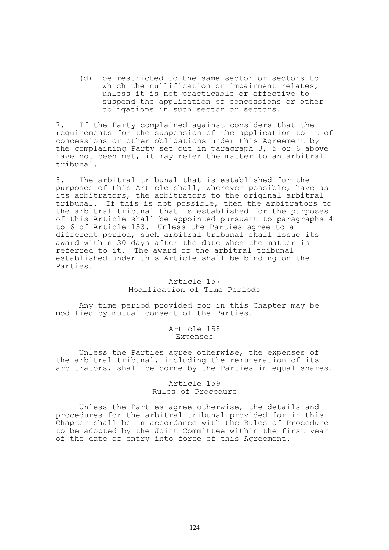(d) be restricted to the same sector or sectors to which the nullification or impairment relates, unless it is not practicable or effective to suspend the application of concessions or other obligations in such sector or sectors.

7. If the Party complained against considers that the requirements for the suspension of the application to it of concessions or other obligations under this Agreement by the complaining Party set out in paragraph 3, 5 or 6 above have not been met, it may refer the matter to an arbitral tribunal.

8. The arbitral tribunal that is established for the purposes of this Article shall, wherever possible, have as its arbitrators, the arbitrators to the original arbitral tribunal. If this is not possible, then the arbitrators to the arbitral tribunal that is established for the purposes of this Article shall be appointed pursuant to paragraphs 4 to 6 of Article 153. Unless the Parties agree to a different period, such arbitral tribunal shall issue its award within 30 days after the date when the matter is referred to it. The award of the arbitral tribunal established under this Article shall be binding on the Parties.

# Article 157 Modification of Time Periods

 Any time period provided for in this Chapter may be modified by mutual consent of the Parties.

#### Article 158 Expenses

 Unless the Parties agree otherwise, the expenses of the arbitral tribunal, including the remuneration of its arbitrators, shall be borne by the Parties in equal shares.

# Article 159 Rules of Procedure

 Unless the Parties agree otherwise, the details and procedures for the arbitral tribunal provided for in this Chapter shall be in accordance with the Rules of Procedure to be adopted by the Joint Committee within the first year of the date of entry into force of this Agreement.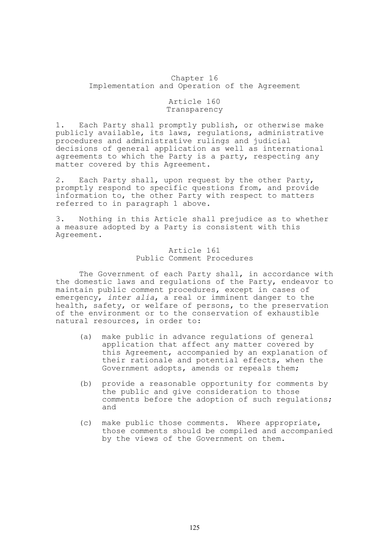# Chapter 16 Implementation and Operation of the Agreement

#### Article 160 Transparency

1. Each Party shall promptly publish, or otherwise make publicly available, its laws, regulations, administrative procedures and administrative rulings and judicial decisions of general application as well as international agreements to which the Party is a party, respecting any matter covered by this Agreement.

2. Each Party shall, upon request by the other Party, promptly respond to specific questions from, and provide information to, the other Party with respect to matters referred to in paragraph 1 above.

3. Nothing in this Article shall prejudice as to whether a measure adopted by a Party is consistent with this Agreement.

## Article 161 Public Comment Procedures

The Government of each Party shall, in accordance with the domestic laws and regulations of the Party, endeavor to maintain public comment procedures, except in cases of emergency, *inter alia*, a real or imminent danger to the health, safety, or welfare of persons, to the preservation of the environment or to the conservation of exhaustible natural resources, in order to:

- (a) make public in advance regulations of general application that affect any matter covered by this Agreement, accompanied by an explanation of their rationale and potential effects, when the Government adopts, amends or repeals them;
- (b) provide a reasonable opportunity for comments by the public and give consideration to those comments before the adoption of such regulations; and
- (c) make public those comments. Where appropriate, those comments should be compiled and accompanied by the views of the Government on them.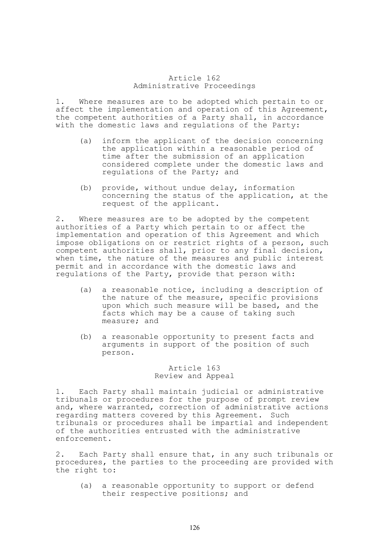#### Article 162 Administrative Proceedings

1. Where measures are to be adopted which pertain to or affect the implementation and operation of this Agreement, the competent authorities of a Party shall, in accordance with the domestic laws and regulations of the Party:

- (a) inform the applicant of the decision concerning the application within a reasonable period of time after the submission of an application considered complete under the domestic laws and regulations of the Party; and
- (b) provide, without undue delay, information concerning the status of the application, at the request of the applicant.

2. Where measures are to be adopted by the competent authorities of a Party which pertain to or affect the implementation and operation of this Agreement and which impose obligations on or restrict rights of a person, such competent authorities shall, prior to any final decision, when time, the nature of the measures and public interest permit and in accordance with the domestic laws and regulations of the Party, provide that person with:

- (a) a reasonable notice, including a description of the nature of the measure, specific provisions upon which such measure will be based, and the facts which may be a cause of taking such measure; and
- (b) a reasonable opportunity to present facts and arguments in support of the position of such person.

# Article 163 Review and Appeal

1. Each Party shall maintain judicial or administrative tribunals or procedures for the purpose of prompt review and, where warranted, correction of administrative actions regarding matters covered by this Agreement. Such tribunals or procedures shall be impartial and independent of the authorities entrusted with the administrative enforcement.

2. Each Party shall ensure that, in any such tribunals or procedures, the parties to the proceeding are provided with the right to:

 (a) a reasonable opportunity to support or defend their respective positions; and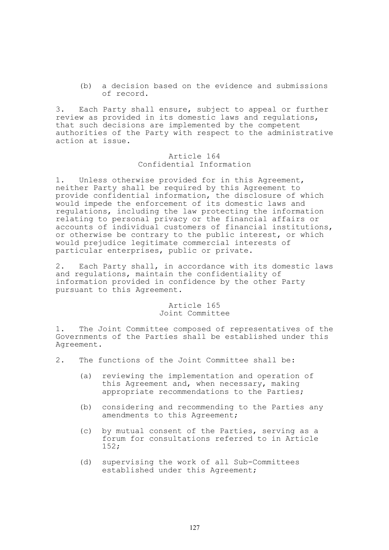(b) a decision based on the evidence and submissions of record.

3. Each Party shall ensure, subject to appeal or further review as provided in its domestic laws and regulations, that such decisions are implemented by the competent authorities of the Party with respect to the administrative action at issue.

# Article 164 Confidential Information

1. Unless otherwise provided for in this Agreement, neither Party shall be required by this Agreement to provide confidential information, the disclosure of which would impede the enforcement of its domestic laws and regulations, including the law protecting the information relating to personal privacy or the financial affairs or accounts of individual customers of financial institutions, or otherwise be contrary to the public interest, or which would prejudice legitimate commercial interests of particular enterprises, public or private.

2. Each Party shall, in accordance with its domestic laws and regulations, maintain the confidentiality of information provided in confidence by the other Party pursuant to this Agreement.

# Article 165 Joint Committee

1. The Joint Committee composed of representatives of the Governments of the Parties shall be established under this Agreement.

- 2. The functions of the Joint Committee shall be:
	- (a) reviewing the implementation and operation of this Agreement and, when necessary, making appropriate recommendations to the Parties;
	- (b) considering and recommending to the Parties any amendments to this Agreement;
	- (c) by mutual consent of the Parties, serving as a forum for consultations referred to in Article 152;
	- (d) supervising the work of all Sub-Committees established under this Agreement;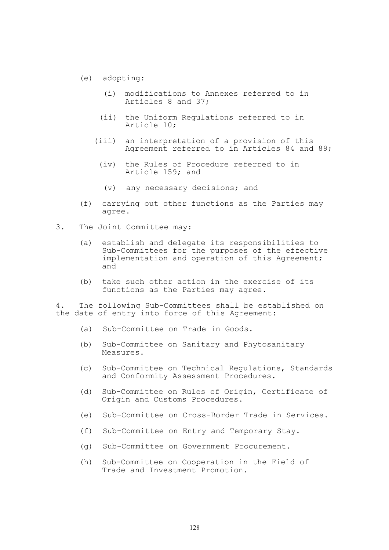- (e) adopting:
	- (i) modifications to Annexes referred to in Articles 8 and 37;
	- (ii) the Uniform Regulations referred to in Article 10;
	- (iii) an interpretation of a provision of this Agreement referred to in Articles 84 and 89;
		- (iv) the Rules of Procedure referred to in Article 159; and
			- (v) any necessary decisions; and
- (f) carrying out other functions as the Parties may agree.
- 3. The Joint Committee may:
	- (a) establish and delegate its responsibilities to Sub-Committees for the purposes of the effective implementation and operation of this Agreement; and
	- (b) take such other action in the exercise of its functions as the Parties may agree.

4. The following Sub-Committees shall be established on the date of entry into force of this Agreement:

- (a) Sub-Committee on Trade in Goods.
- (b) Sub-Committee on Sanitary and Phytosanitary Measures.
- (c) Sub-Committee on Technical Regulations, Standards and Conformity Assessment Procedures.
- (d) Sub-Committee on Rules of Origin, Certificate of Origin and Customs Procedures.
- (e) Sub-Committee on Cross-Border Trade in Services.
- (f) Sub-Committee on Entry and Temporary Stay.
- (g) Sub-Committee on Government Procurement.
- (h) Sub-Committee on Cooperation in the Field of Trade and Investment Promotion.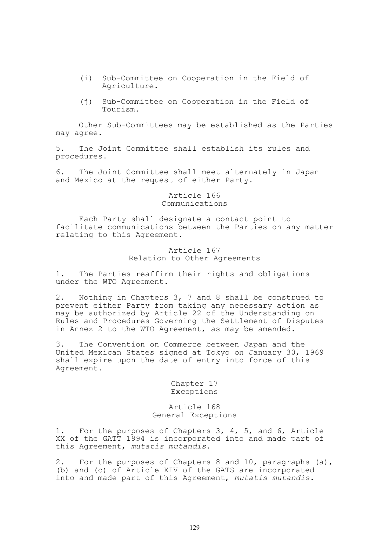- (i) Sub-Committee on Cooperation in the Field of Agriculture.
- (j) Sub-Committee on Cooperation in the Field of Tourism.

 Other Sub-Committees may be established as the Parties may agree.

5. The Joint Committee shall establish its rules and procedures.

6. The Joint Committee shall meet alternately in Japan and Mexico at the request of either Party.

> Article 166 Communications

 Each Party shall designate a contact point to facilitate communications between the Parties on any matter relating to this Agreement.

#### Article 167 Relation to Other Agreements

1. The Parties reaffirm their rights and obligations under the WTO Agreement.

2. Nothing in Chapters 3, 7 and 8 shall be construed to prevent either Party from taking any necessary action as may be authorized by Article 22 of the Understanding on Rules and Procedures Governing the Settlement of Disputes in Annex 2 to the WTO Agreement, as may be amended.

3. The Convention on Commerce between Japan and the United Mexican States signed at Tokyo on January 30, 1969 shall expire upon the date of entry into force of this Agreement.

# Chapter 17 Exceptions

# Article 168 General Exceptions

1. For the purposes of Chapters 3, 4, 5, and 6, Article XX of the GATT 1994 is incorporated into and made part of this Agreement, *mutatis mutandis*.

2. For the purposes of Chapters 8 and 10, paragraphs (a), (b) and (c) of Article XIV of the GATS are incorporated into and made part of this Agreement, *mutatis mutandis*.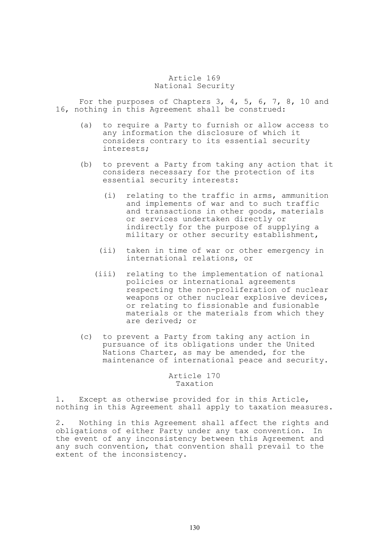## Article 169 National Security

 For the purposes of Chapters 3, 4, 5, 6, 7, 8, 10 and 16, nothing in this Agreement shall be construed:

- (a) to require a Party to furnish or allow access to any information the disclosure of which it considers contrary to its essential security interests;
- (b) to prevent a Party from taking any action that it considers necessary for the protection of its essential security interests:
	- (i) relating to the traffic in arms, ammunition and implements of war and to such traffic and transactions in other goods, materials or services undertaken directly or indirectly for the purpose of supplying a military or other security establishment,
	- (ii) taken in time of war or other emergency in international relations, or
	- (iii) relating to the implementation of national policies or international agreements respecting the non-proliferation of nuclear weapons or other nuclear explosive devices, or relating to fissionable and fusionable materials or the materials from which they are derived; or
- (c) to prevent a Party from taking any action in pursuance of its obligations under the United Nations Charter, as may be amended, for the maintenance of international peace and security.

# Article 170 Taxation

1. Except as otherwise provided for in this Article, nothing in this Agreement shall apply to taxation measures.

2. Nothing in this Agreement shall affect the rights and obligations of either Party under any tax convention. In the event of any inconsistency between this Agreement and any such convention, that convention shall prevail to the extent of the inconsistency.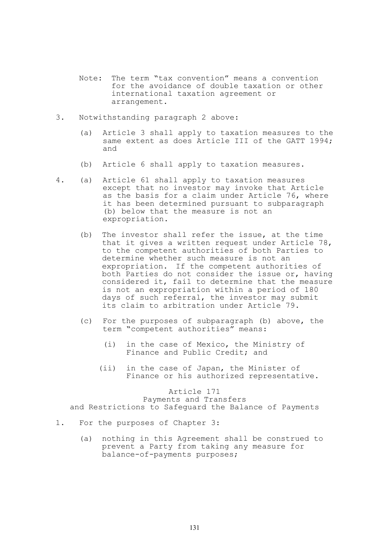- Note: The term "tax convention" means a convention for the avoidance of double taxation or other international taxation agreement or arrangement.
- 3. Notwithstanding paragraph 2 above:
	- (a) Article 3 shall apply to taxation measures to the same extent as does Article III of the GATT 1994; and
	- (b) Article 6 shall apply to taxation measures.
- 4. (a) Article 61 shall apply to taxation measures except that no investor may invoke that Article as the basis for a claim under Article 76, where it has been determined pursuant to subparagraph (b) below that the measure is not an expropriation.
	- (b) The investor shall refer the issue, at the time that it gives a written request under Article 78, to the competent authorities of both Parties to determine whether such measure is not an expropriation. If the competent authorities of both Parties do not consider the issue or, having considered it, fail to determine that the measure is not an expropriation within a period of 180 days of such referral, the investor may submit its claim to arbitration under Article 79.
	- (c) For the purposes of subparagraph (b) above, the term "competent authorities" means:
		- (i) in the case of Mexico, the Ministry of Finance and Public Credit; and
		- (ii) in the case of Japan, the Minister of Finance or his authorized representative.

Article 171 Payments and Transfers and Restrictions to Safeguard the Balance of Payments

- 1. For the purposes of Chapter 3:
	- (a) nothing in this Agreement shall be construed to prevent a Party from taking any measure for balance-of-payments purposes;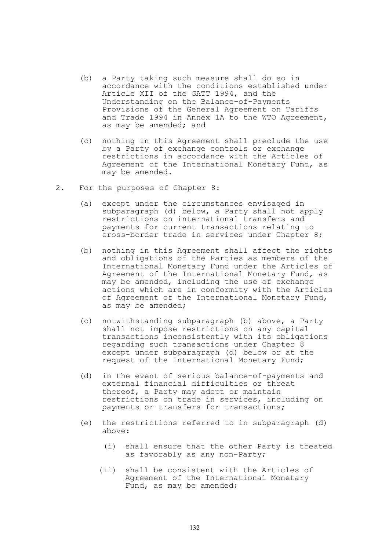- (b) a Party taking such measure shall do so in accordance with the conditions established under Article XII of the GATT 1994, and the Understanding on the Balance-of-Payments Provisions of the General Agreement on Tariffs and Trade 1994 in Annex 1A to the WTO Agreement, as may be amended; and
- (c) nothing in this Agreement shall preclude the use by a Party of exchange controls or exchange restrictions in accordance with the Articles of Agreement of the International Monetary Fund, as may be amended.
- 2. For the purposes of Chapter 8:
	- (a) except under the circumstances envisaged in subparagraph (d) below, a Party shall not apply restrictions on international transfers and payments for current transactions relating to cross-border trade in services under Chapter 8;
	- (b) nothing in this Agreement shall affect the rights and obligations of the Parties as members of the International Monetary Fund under the Articles of Agreement of the International Monetary Fund, as may be amended, including the use of exchange actions which are in conformity with the Articles of Agreement of the International Monetary Fund, as may be amended;
	- (c) notwithstanding subparagraph (b) above, a Party shall not impose restrictions on any capital transactions inconsistently with its obligations regarding such transactions under Chapter 8 except under subparagraph (d) below or at the request of the International Monetary Fund;
	- (d) in the event of serious balance-of-payments and external financial difficulties or threat thereof, a Party may adopt or maintain restrictions on trade in services, including on payments or transfers for transactions;
	- (e) the restrictions referred to in subparagraph (d) above:
		- (i) shall ensure that the other Party is treated as favorably as any non-Party;
		- (ii) shall be consistent with the Articles of Agreement of the International Monetary Fund, as may be amended;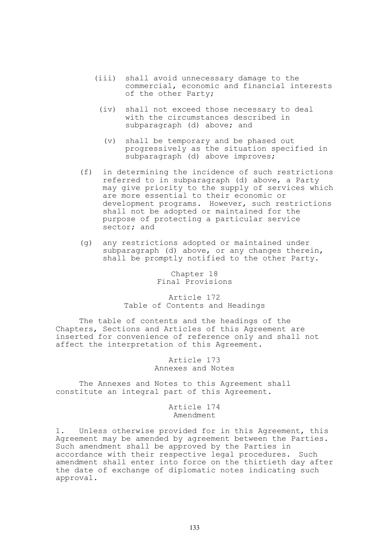- (iii) shall avoid unnecessary damage to the commercial, economic and financial interests of the other Party;
	- (iv) shall not exceed those necessary to deal with the circumstances described in subparagraph (d) above; and
		- (v) shall be temporary and be phased out progressively as the situation specified in subparagraph (d) above improves;
- (f) in determining the incidence of such restrictions referred to in subparagraph (d) above, a Party may give priority to the supply of services which are more essential to their economic or development programs. However, such restrictions shall not be adopted or maintained for the purpose of protecting a particular service sector; and
- (g) any restrictions adopted or maintained under subparagraph (d) above, or any changes therein, shall be promptly notified to the other Party.

Chapter 18 Final Provisions

# Article 172 Table of Contents and Headings

 The table of contents and the headings of the Chapters, Sections and Articles of this Agreement are inserted for convenience of reference only and shall not affect the interpretation of this Agreement.

> Article 173 Annexes and Notes

 The Annexes and Notes to this Agreement shall constitute an integral part of this Agreement.

> Article 174 Amendment

1. Unless otherwise provided for in this Agreement, this Agreement may be amended by agreement between the Parties. Such amendment shall be approved by the Parties in accordance with their respective legal procedures. Such amendment shall enter into force on the thirtieth day after the date of exchange of diplomatic notes indicating such approval.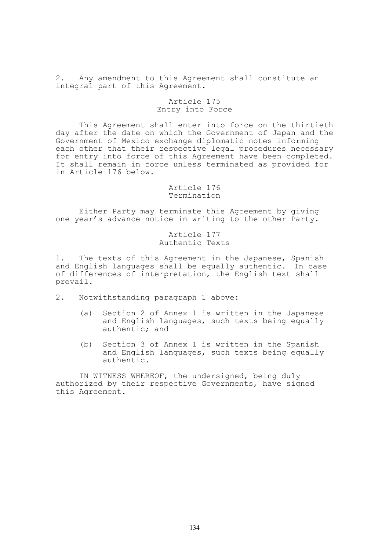2. Any amendment to this Agreement shall constitute an integral part of this Agreement.

#### Article 175 Entry into Force

 This Agreement shall enter into force on the thirtieth day after the date on which the Government of Japan and the Government of Mexico exchange diplomatic notes informing each other that their respective legal procedures necessary for entry into force of this Agreement have been completed. It shall remain in force unless terminated as provided for in Article 176 below.

## Article 176 Termination

 Either Party may terminate this Agreement by giving one year's advance notice in writing to the other Party.

> Article 177 Authentic Texts

1. The texts of this Agreement in the Japanese, Spanish and English languages shall be equally authentic. In case of differences of interpretation, the English text shall prevail.

- 2. Notwithstanding paragraph 1 above:
	- (a) Section 2 of Annex 1 is written in the Japanese and English languages, such texts being equally authentic; and
	- (b) Section 3 of Annex 1 is written in the Spanish and English languages, such texts being equally authentic.

 IN WITNESS WHEREOF, the undersigned, being duly authorized by their respective Governments, have signed this Agreement.